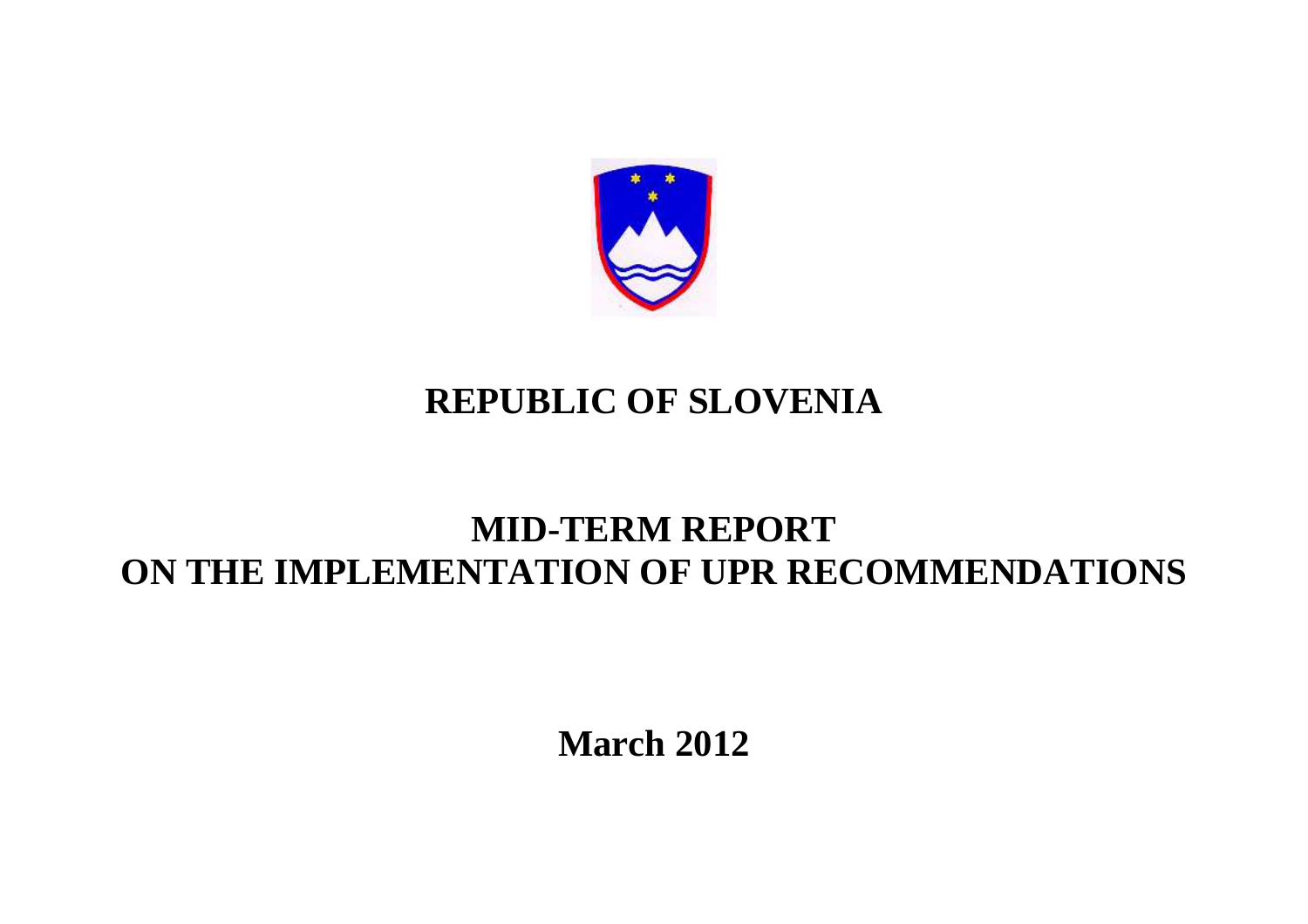

## **REPUBLIC OF SLOVENIA**

## **MID-TERM REPORT ON THE IMPLEMENTATION OF UPR RECOMMENDATIONS**

**March 2012**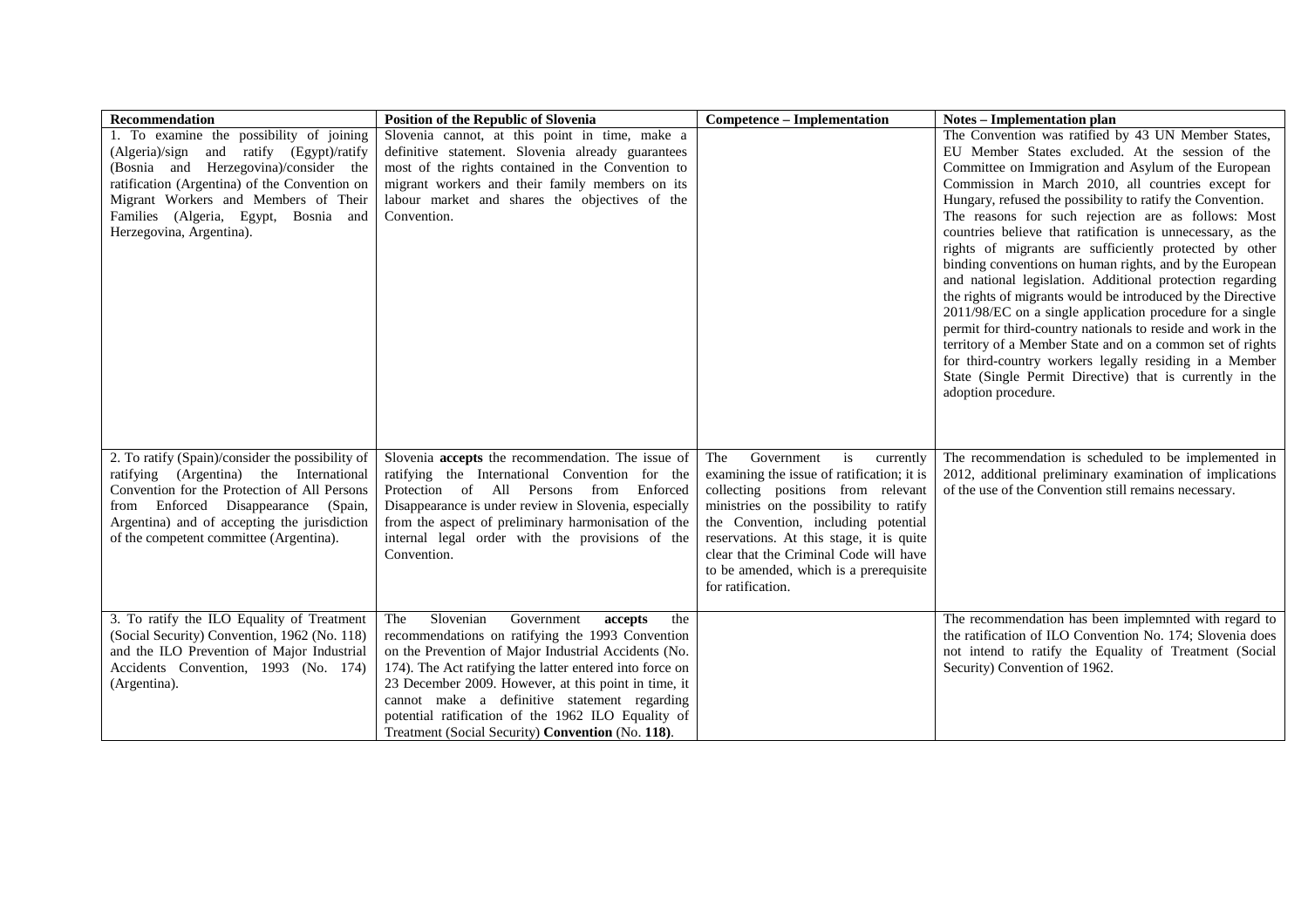| Recommendation                                                                                                                                                                                                                                                                             | Position of the Republic of Slovenia                                                                                                                                                                                                                                                                                                                                                                                                               | <b>Competence – Implementation</b>                                                                                                                                                                                                                                                                                                                              | <b>Notes – Implementation plan</b>                                                                                                                                                                                                                                                                                                                                                                                                                                                                                                                                                                                                                                                                                                                                                                                                                                                                                                                                                               |
|--------------------------------------------------------------------------------------------------------------------------------------------------------------------------------------------------------------------------------------------------------------------------------------------|----------------------------------------------------------------------------------------------------------------------------------------------------------------------------------------------------------------------------------------------------------------------------------------------------------------------------------------------------------------------------------------------------------------------------------------------------|-----------------------------------------------------------------------------------------------------------------------------------------------------------------------------------------------------------------------------------------------------------------------------------------------------------------------------------------------------------------|--------------------------------------------------------------------------------------------------------------------------------------------------------------------------------------------------------------------------------------------------------------------------------------------------------------------------------------------------------------------------------------------------------------------------------------------------------------------------------------------------------------------------------------------------------------------------------------------------------------------------------------------------------------------------------------------------------------------------------------------------------------------------------------------------------------------------------------------------------------------------------------------------------------------------------------------------------------------------------------------------|
| 1. To examine the possibility of joining<br>(Algeria)/sign and ratify (Egypt)/ratify<br>(Bosnia and Herzegovina)/consider the<br>ratification (Argentina) of the Convention on<br>Migrant Workers and Members of Their<br>Families (Algeria, Egypt, Bosnia and<br>Herzegovina, Argentina). | Slovenia cannot, at this point in time, make a<br>definitive statement. Slovenia already guarantees<br>most of the rights contained in the Convention to<br>migrant workers and their family members on its<br>labour market and shares the objectives of the<br>Convention.                                                                                                                                                                       |                                                                                                                                                                                                                                                                                                                                                                 | The Convention was ratified by 43 UN Member States,<br>EU Member States excluded. At the session of the<br>Committee on Immigration and Asylum of the European<br>Commission in March 2010, all countries except for<br>Hungary, refused the possibility to ratify the Convention.<br>The reasons for such rejection are as follows: Most<br>countries believe that ratification is unnecessary, as the<br>rights of migrants are sufficiently protected by other<br>binding conventions on human rights, and by the European<br>and national legislation. Additional protection regarding<br>the rights of migrants would be introduced by the Directive<br>2011/98/EC on a single application procedure for a single<br>permit for third-country nationals to reside and work in the<br>territory of a Member State and on a common set of rights<br>for third-country workers legally residing in a Member<br>State (Single Permit Directive) that is currently in the<br>adoption procedure. |
| 2. To ratify (Spain)/consider the possibility of<br>ratifying (Argentina) the International<br>Convention for the Protection of All Persons<br>from Enforced Disappearance<br>(Spain,<br>Argentina) and of accepting the jurisdiction<br>of the competent committee (Argentina).           | Slovenia <b>accepts</b> the recommendation. The issue of<br>ratifying the International Convention for the<br>Protection of All Persons from Enforced<br>Disappearance is under review in Slovenia, especially<br>from the aspect of preliminary harmonisation of the<br>internal legal order with the provisions of the<br>Convention.                                                                                                            | Government<br>The<br>is<br>currently<br>examining the issue of ratification; it is<br>collecting positions from relevant<br>ministries on the possibility to ratify<br>the Convention, including potential<br>reservations. At this stage, it is quite<br>clear that the Criminal Code will have<br>to be amended, which is a prerequisite<br>for ratification. | The recommendation is scheduled to be implemented in<br>2012, additional preliminary examination of implications<br>of the use of the Convention still remains necessary.                                                                                                                                                                                                                                                                                                                                                                                                                                                                                                                                                                                                                                                                                                                                                                                                                        |
| 3. To ratify the ILO Equality of Treatment<br>(Social Security) Convention, 1962 (No. 118)<br>and the ILO Prevention of Major Industrial<br>Accidents Convention, 1993 (No. 174)<br>(Argentina).                                                                                           | Slovenian<br>Government<br>The<br>accepts<br>the<br>recommendations on ratifying the 1993 Convention<br>on the Prevention of Major Industrial Accidents (No.<br>174). The Act ratifying the latter entered into force on<br>23 December 2009. However, at this point in time, it<br>cannot make a definitive statement regarding<br>potential ratification of the 1962 ILO Equality of<br>Treatment (Social Security) <b>Convention</b> (No. 118). |                                                                                                                                                                                                                                                                                                                                                                 | The recommendation has been implemnted with regard to<br>the ratification of ILO Convention No. 174; Slovenia does<br>not intend to ratify the Equality of Treatment (Social<br>Security) Convention of 1962.                                                                                                                                                                                                                                                                                                                                                                                                                                                                                                                                                                                                                                                                                                                                                                                    |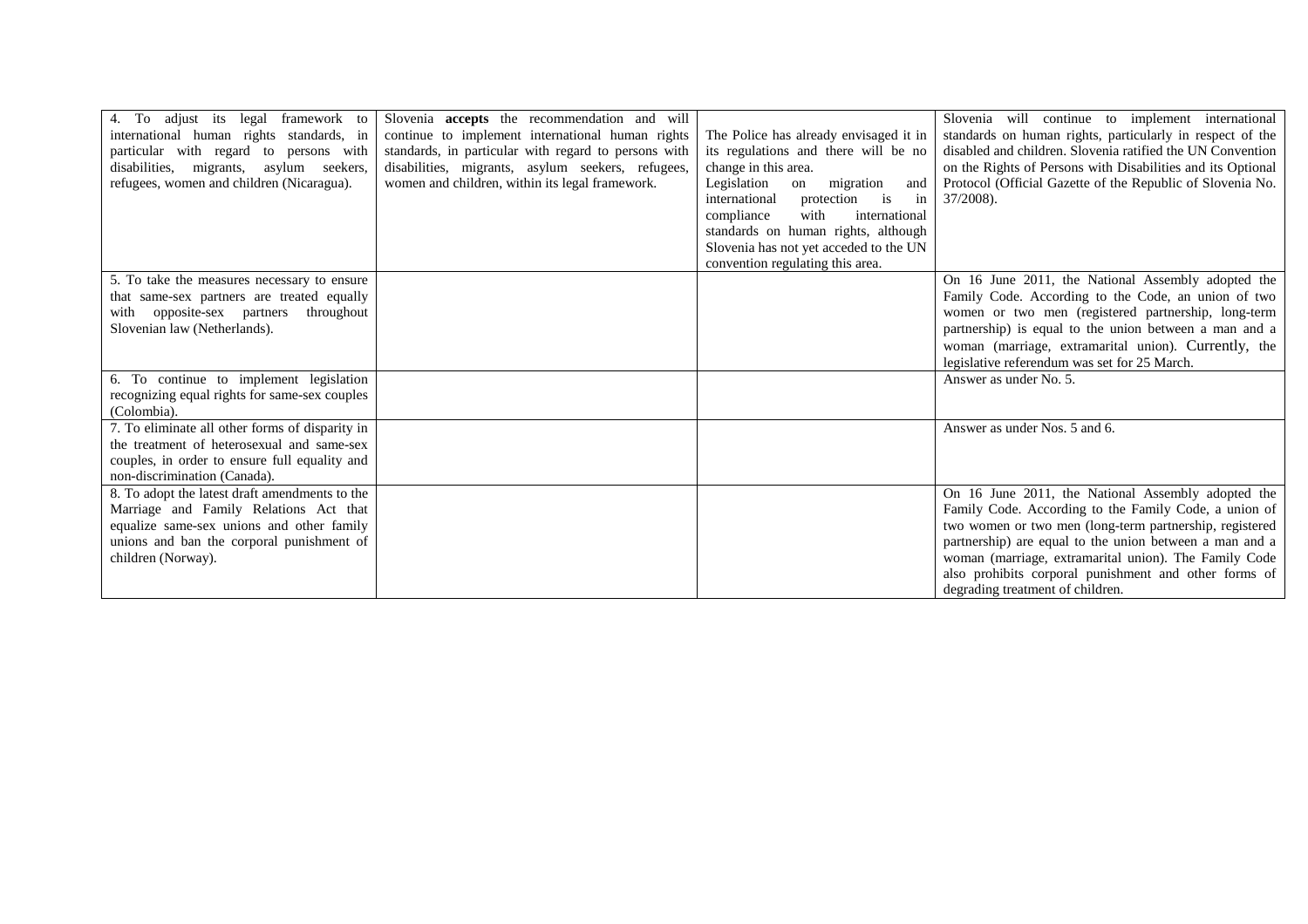| 4. To adjust its legal<br>framework to<br>international human rights standards, in<br>particular with regard to persons with<br>disabilities, migrants, asylum seekers,<br>refugees, women and children (Nicaragua). | Slovenia <b>accepts</b> the recommendation and will<br>continue to implement international human rights<br>standards, in particular with regard to persons with<br>disabilities, migrants, asylum seekers, refugees,<br>women and children, within its legal framework. | The Police has already envisaged it in<br>its regulations and there will be no<br>change in this area.<br>Legislation<br>migration<br>on<br>and<br>in<br>protection is<br>international<br>compliance<br>with<br>international<br>standards on human rights, although<br>Slovenia has not yet acceded to the UN<br>convention regulating this area. | Slovenia will continue to implement international<br>standards on human rights, particularly in respect of the<br>disabled and children. Slovenia ratified the UN Convention<br>on the Rights of Persons with Disabilities and its Optional<br>Protocol (Official Gazette of the Republic of Slovenia No.<br>$37/2008$ ).                                                               |
|----------------------------------------------------------------------------------------------------------------------------------------------------------------------------------------------------------------------|-------------------------------------------------------------------------------------------------------------------------------------------------------------------------------------------------------------------------------------------------------------------------|-----------------------------------------------------------------------------------------------------------------------------------------------------------------------------------------------------------------------------------------------------------------------------------------------------------------------------------------------------|-----------------------------------------------------------------------------------------------------------------------------------------------------------------------------------------------------------------------------------------------------------------------------------------------------------------------------------------------------------------------------------------|
| 5. To take the measures necessary to ensure<br>that same-sex partners are treated equally<br>with opposite-sex partners<br>throughout<br>Slovenian law (Netherlands).<br>6. To continue to implement legislation     |                                                                                                                                                                                                                                                                         |                                                                                                                                                                                                                                                                                                                                                     | On 16 June 2011, the National Assembly adopted the<br>Family Code. According to the Code, an union of two<br>women or two men (registered partnership, long-term<br>partnership) is equal to the union between a man and a<br>woman (marriage, extramarital union). Currently, the<br>legislative referendum was set for 25 March.<br>Answer as under No. 5.                            |
| recognizing equal rights for same-sex couples<br>(Colombia).                                                                                                                                                         |                                                                                                                                                                                                                                                                         |                                                                                                                                                                                                                                                                                                                                                     |                                                                                                                                                                                                                                                                                                                                                                                         |
| 7. To eliminate all other forms of disparity in<br>the treatment of heterosexual and same-sex<br>couples, in order to ensure full equality and<br>non-discrimination (Canada).                                       |                                                                                                                                                                                                                                                                         |                                                                                                                                                                                                                                                                                                                                                     | Answer as under Nos. 5 and 6.                                                                                                                                                                                                                                                                                                                                                           |
| 8. To adopt the latest draft amendments to the<br>Marriage and Family Relations Act that<br>equalize same-sex unions and other family<br>unions and ban the corporal punishment of<br>children (Norway).             |                                                                                                                                                                                                                                                                         |                                                                                                                                                                                                                                                                                                                                                     | On 16 June 2011, the National Assembly adopted the<br>Family Code. According to the Family Code, a union of<br>two women or two men (long-term partnership, registered<br>partnership) are equal to the union between a man and a<br>woman (marriage, extramarital union). The Family Code<br>also prohibits corporal punishment and other forms of<br>degrading treatment of children. |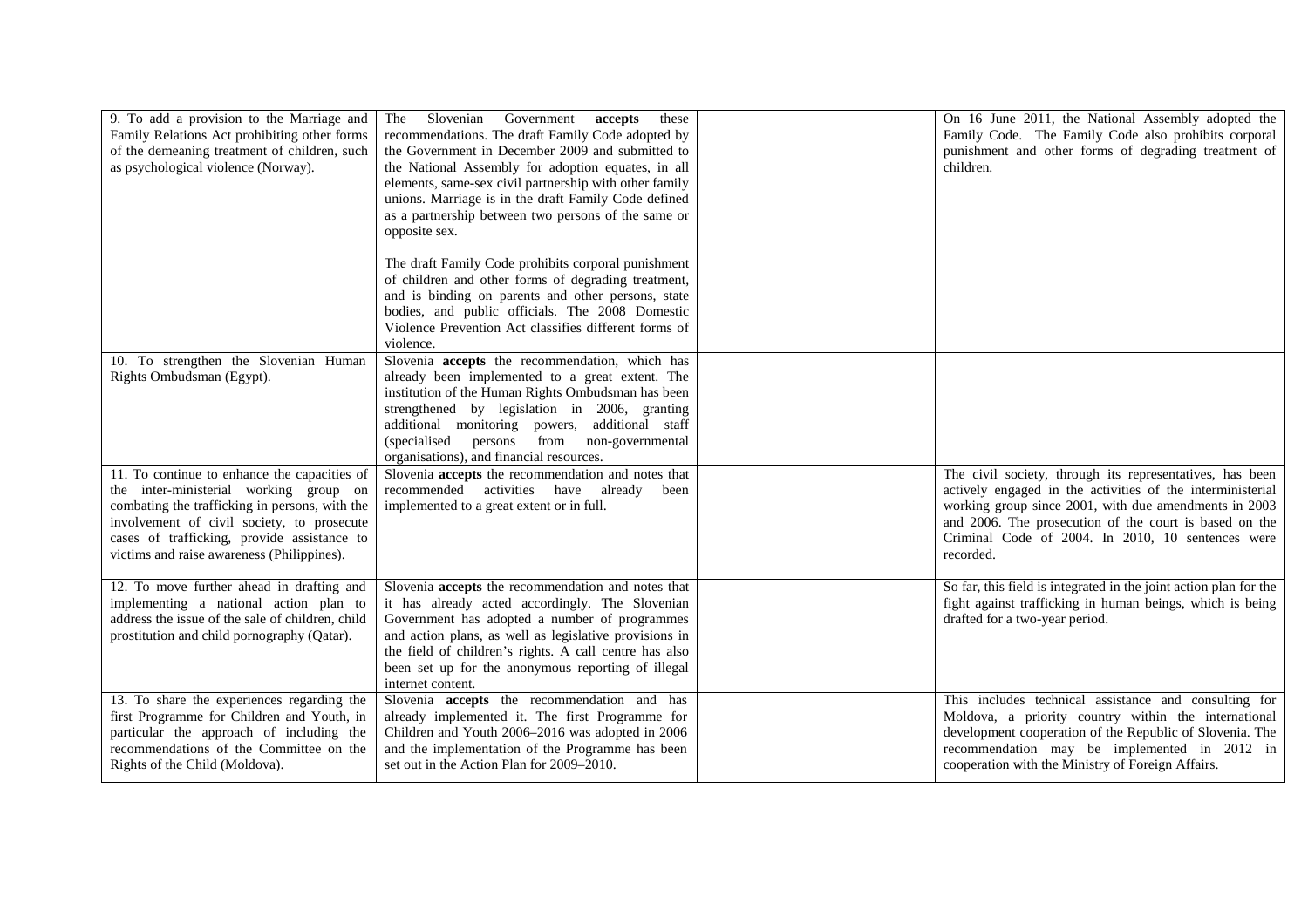| 9. To add a provision to the Marriage and<br>Family Relations Act prohibiting other forms<br>of the demeaning treatment of children, such<br>as psychological violence (Norway).                                                                                                    | Slovenian Government<br>accepts<br>The<br>these<br>recommendations. The draft Family Code adopted by<br>the Government in December 2009 and submitted to<br>the National Assembly for adoption equates, in all<br>elements, same-sex civil partnership with other family<br>unions. Marriage is in the draft Family Code defined<br>as a partnership between two persons of the same or<br>opposite sex.<br>The draft Family Code prohibits corporal punishment<br>of children and other forms of degrading treatment, | On 16 June 2011, the National Assembly adopted the<br>Family Code. The Family Code also prohibits corporal<br>punishment and other forms of degrading treatment of<br>children.                                                                                                                             |
|-------------------------------------------------------------------------------------------------------------------------------------------------------------------------------------------------------------------------------------------------------------------------------------|------------------------------------------------------------------------------------------------------------------------------------------------------------------------------------------------------------------------------------------------------------------------------------------------------------------------------------------------------------------------------------------------------------------------------------------------------------------------------------------------------------------------|-------------------------------------------------------------------------------------------------------------------------------------------------------------------------------------------------------------------------------------------------------------------------------------------------------------|
|                                                                                                                                                                                                                                                                                     | and is binding on parents and other persons, state<br>bodies, and public officials. The 2008 Domestic<br>Violence Prevention Act classifies different forms of<br>violence.                                                                                                                                                                                                                                                                                                                                            |                                                                                                                                                                                                                                                                                                             |
| 10. To strengthen the Slovenian Human<br>Rights Ombudsman (Egypt).                                                                                                                                                                                                                  | Slovenia accepts the recommendation, which has<br>already been implemented to a great extent. The<br>institution of the Human Rights Ombudsman has been<br>strengthened by legislation in 2006, granting<br>additional monitoring powers, additional staff<br>persons from non-governmental<br>(specialised<br>organisations), and financial resources.                                                                                                                                                                |                                                                                                                                                                                                                                                                                                             |
| 11. To continue to enhance the capacities of<br>the inter-ministerial working group on<br>combating the trafficking in persons, with the<br>involvement of civil society, to prosecute<br>cases of trafficking, provide assistance to<br>victims and raise awareness (Philippines). | Slovenia accepts the recommendation and notes that<br>recommended activities have already<br>been<br>implemented to a great extent or in full.                                                                                                                                                                                                                                                                                                                                                                         | The civil society, through its representatives, has been<br>actively engaged in the activities of the interministerial<br>working group since 2001, with due amendments in 2003<br>and 2006. The prosecution of the court is based on the<br>Criminal Code of 2004. In 2010, 10 sentences were<br>recorded. |
| 12. To move further ahead in drafting and<br>implementing a national action plan to<br>address the issue of the sale of children, child<br>prostitution and child pornography (Qatar).                                                                                              | Slovenia accepts the recommendation and notes that<br>it has already acted accordingly. The Slovenian<br>Government has adopted a number of programmes<br>and action plans, as well as legislative provisions in<br>the field of children's rights. A call centre has also<br>been set up for the anonymous reporting of illegal<br>internet content.                                                                                                                                                                  | So far, this field is integrated in the joint action plan for the<br>fight against trafficking in human beings, which is being<br>drafted for a two-year period.                                                                                                                                            |
| 13. To share the experiences regarding the<br>first Programme for Children and Youth, in<br>particular the approach of including the<br>recommendations of the Committee on the<br>Rights of the Child (Moldova).                                                                   | Slovenia accepts the recommendation and has<br>already implemented it. The first Programme for<br>Children and Youth 2006-2016 was adopted in 2006<br>and the implementation of the Programme has been<br>set out in the Action Plan for 2009-2010.                                                                                                                                                                                                                                                                    | This includes technical assistance and consulting for<br>Moldova, a priority country within the international<br>development cooperation of the Republic of Slovenia. The<br>recommendation may be implemented in 2012 in<br>cooperation with the Ministry of Foreign Affairs.                              |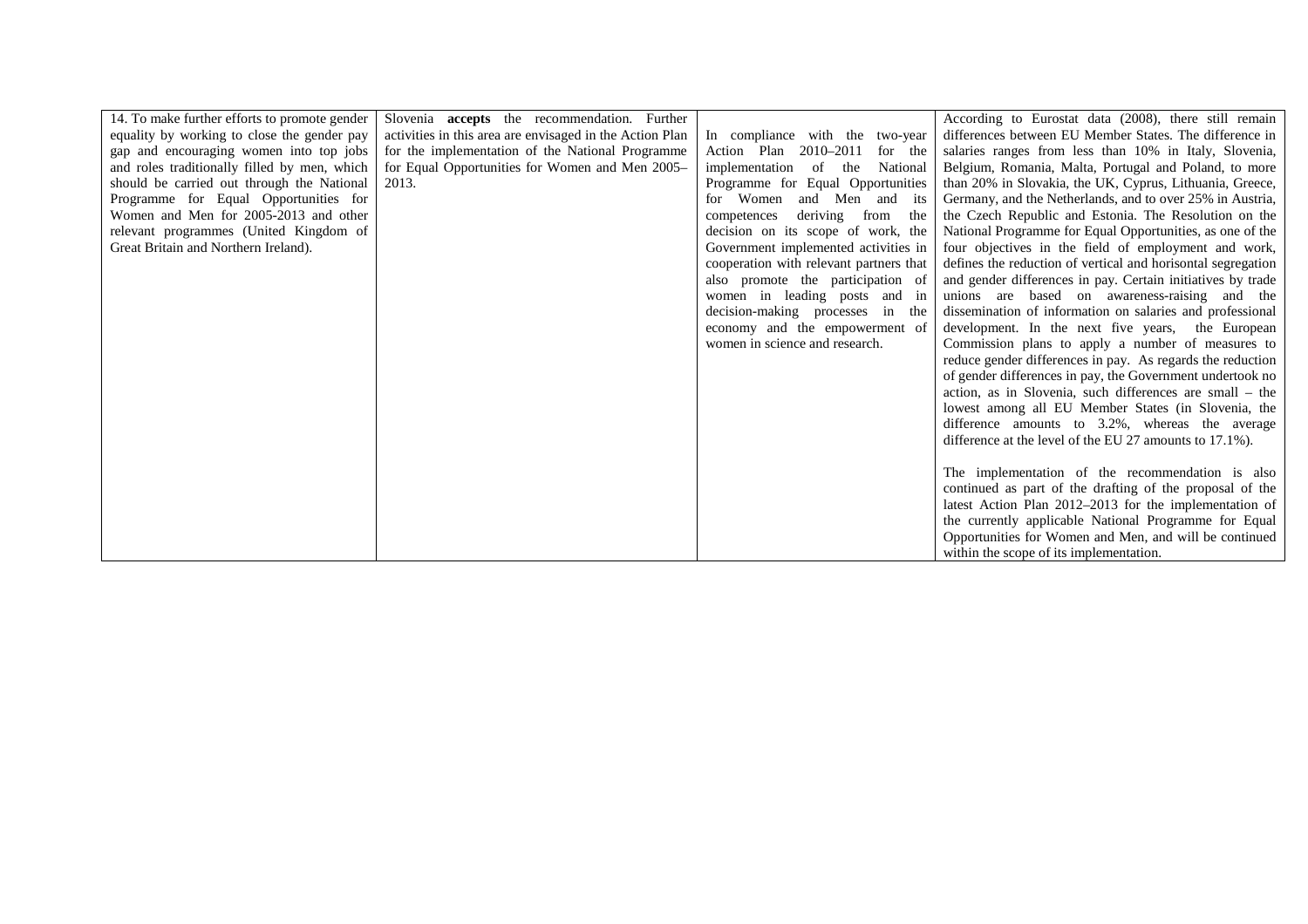| 14. To make further efforts to promote gender | Slovenia <b>accepts</b> the recommendation. Further      |                                         | According to Eurostat data (2008), there still remain        |
|-----------------------------------------------|----------------------------------------------------------|-----------------------------------------|--------------------------------------------------------------|
| equality by working to close the gender pay   | activities in this area are envisaged in the Action Plan | In compliance with the two-year         | differences between EU Member States. The difference in      |
| gap and encouraging women into top jobs       | for the implementation of the National Programme         | 2010–2011<br>Action Plan<br>for the     | salaries ranges from less than 10% in Italy, Slovenia,       |
| and roles traditionally filled by men, which  | for Equal Opportunities for Women and Men 2005–          | implementation<br>National<br>of the    | Belgium, Romania, Malta, Portugal and Poland, to more        |
| should be carried out through the National    | 2013.                                                    | Programme for Equal Opportunities       | than 20% in Slovakia, the UK, Cyprus, Lithuania, Greece,     |
| Programme for Equal Opportunities for         |                                                          | for Women<br>and Men and its            | Germany, and the Netherlands, and to over 25% in Austria,    |
| Women and Men for 2005-2013 and other         |                                                          | deriving<br>from<br>competences<br>the  | the Czech Republic and Estonia. The Resolution on the        |
| relevant programmes (United Kingdom of        |                                                          | decision on its scope of work, the      | National Programme for Equal Opportunities, as one of the    |
| Great Britain and Northern Ireland).          |                                                          | Government implemented activities in    | four objectives in the field of employment and work,         |
|                                               |                                                          | cooperation with relevant partners that | defines the reduction of vertical and horisontal segregation |
|                                               |                                                          | also promote the participation of       | and gender differences in pay. Certain initiatives by trade  |
|                                               |                                                          | women in leading posts and in           | unions are based on awareness-raising and the                |
|                                               |                                                          | decision-making processes in the        | dissemination of information on salaries and professional    |
|                                               |                                                          | economy and the empowerment of          | development. In the next five years, the European            |
|                                               |                                                          | women in science and research.          | Commission plans to apply a number of measures to            |
|                                               |                                                          |                                         | reduce gender differences in pay. As regards the reduction   |
|                                               |                                                          |                                         | of gender differences in pay, the Government undertook no    |
|                                               |                                                          |                                         | action, as in Slovenia, such differences are small – the     |
|                                               |                                                          |                                         | lowest among all EU Member States (in Slovenia, the          |
|                                               |                                                          |                                         | difference amounts to 3.2%, whereas the average              |
|                                               |                                                          |                                         | difference at the level of the EU 27 amounts to 17.1%).      |
|                                               |                                                          |                                         |                                                              |
|                                               |                                                          |                                         | The implementation of the recommendation is also             |
|                                               |                                                          |                                         | continued as part of the drafting of the proposal of the     |
|                                               |                                                          |                                         | latest Action Plan 2012-2013 for the implementation of       |
|                                               |                                                          |                                         | the currently applicable National Programme for Equal        |
|                                               |                                                          |                                         | Opportunities for Women and Men, and will be continued       |
|                                               |                                                          |                                         | within the scope of its implementation.                      |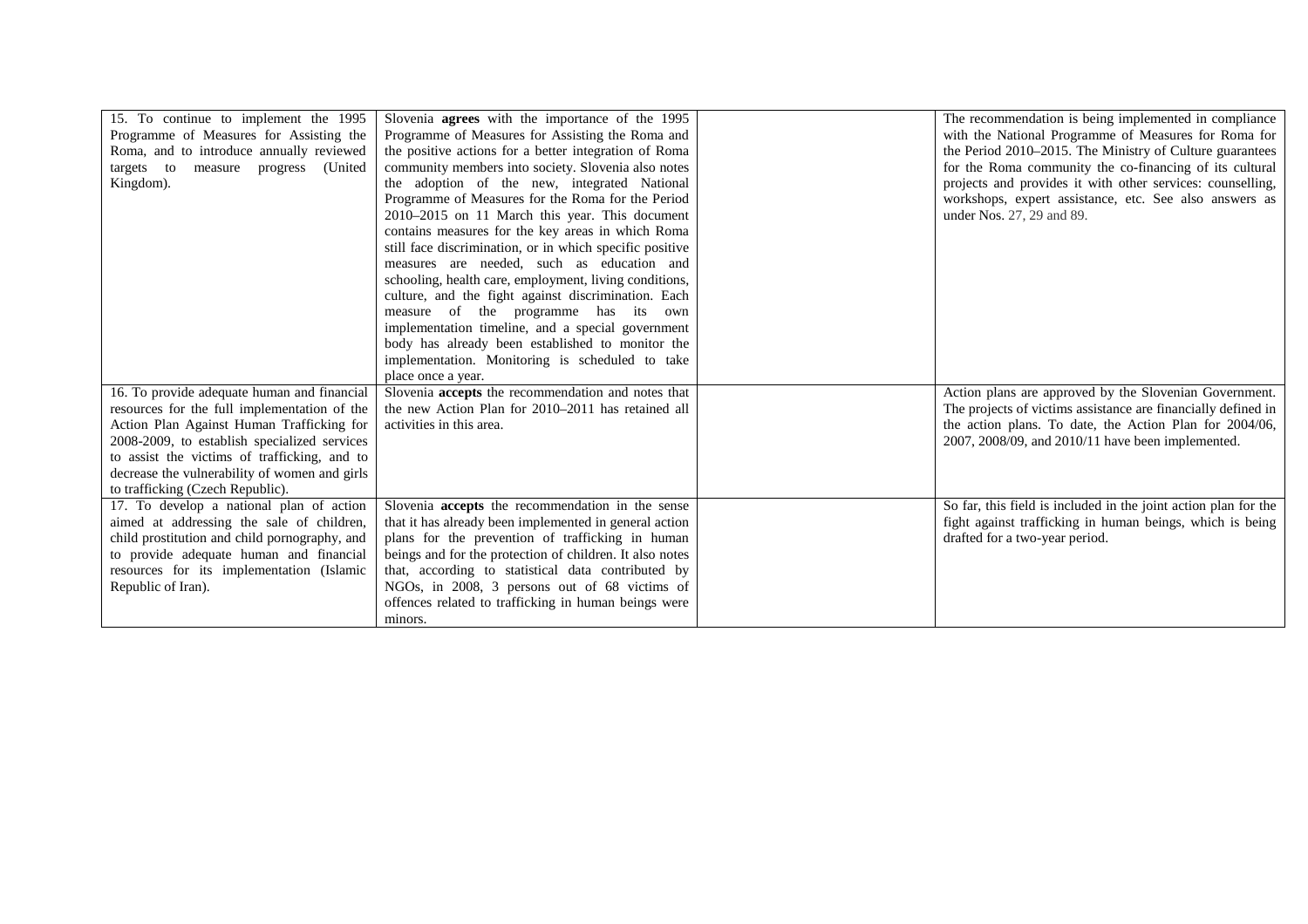| 15. To continue to implement the 1995<br>Programme of Measures for Assisting the<br>Roma, and to introduce annually reviewed<br>measure progress (United<br>targets to<br>Kingdom).                                                                                                                                           | Slovenia <b>agrees</b> with the importance of the 1995<br>Programme of Measures for Assisting the Roma and<br>the positive actions for a better integration of Roma<br>community members into society. Slovenia also notes<br>the adoption of the new, integrated National<br>Programme of Measures for the Roma for the Period<br>2010-2015 on 11 March this year. This document<br>contains measures for the key areas in which Roma<br>still face discrimination, or in which specific positive<br>measures are needed, such as education and<br>schooling, health care, employment, living conditions,<br>culture, and the fight against discrimination. Each<br>measure of the programme has its own<br>implementation timeline, and a special government<br>body has already been established to monitor the<br>implementation. Monitoring is scheduled to take<br>place once a year. | The recommendation is being implemented in compliance<br>with the National Programme of Measures for Roma for<br>the Period 2010-2015. The Ministry of Culture guarantees<br>for the Roma community the co-financing of its cultural<br>projects and provides it with other services: counselling,<br>workshops, expert assistance, etc. See also answers as<br>under Nos. 27, 29 and 89. |
|-------------------------------------------------------------------------------------------------------------------------------------------------------------------------------------------------------------------------------------------------------------------------------------------------------------------------------|---------------------------------------------------------------------------------------------------------------------------------------------------------------------------------------------------------------------------------------------------------------------------------------------------------------------------------------------------------------------------------------------------------------------------------------------------------------------------------------------------------------------------------------------------------------------------------------------------------------------------------------------------------------------------------------------------------------------------------------------------------------------------------------------------------------------------------------------------------------------------------------------|-------------------------------------------------------------------------------------------------------------------------------------------------------------------------------------------------------------------------------------------------------------------------------------------------------------------------------------------------------------------------------------------|
| 16. To provide adequate human and financial<br>resources for the full implementation of the<br>Action Plan Against Human Trafficking for<br>2008-2009, to establish specialized services<br>to assist the victims of trafficking, and to<br>decrease the vulnerability of women and girls<br>to trafficking (Czech Republic). | Slovenia accepts the recommendation and notes that<br>the new Action Plan for 2010-2011 has retained all<br>activities in this area.                                                                                                                                                                                                                                                                                                                                                                                                                                                                                                                                                                                                                                                                                                                                                        | Action plans are approved by the Slovenian Government.<br>The projects of victims assistance are financially defined in<br>the action plans. To date, the Action Plan for 2004/06,<br>2007, 2008/09, and 2010/11 have been implemented.                                                                                                                                                   |
| 17. To develop a national plan of action<br>aimed at addressing the sale of children,<br>child prostitution and child pornography, and<br>to provide adequate human and financial<br>resources for its implementation (Islamic<br>Republic of Iran).                                                                          | Slovenia <b>accepts</b> the recommendation in the sense<br>that it has already been implemented in general action<br>plans for the prevention of trafficking in human<br>beings and for the protection of children. It also notes<br>that, according to statistical data contributed by<br>NGOs, in 2008, 3 persons out of 68 victims of<br>offences related to trafficking in human beings were<br>minors.                                                                                                                                                                                                                                                                                                                                                                                                                                                                                 | So far, this field is included in the joint action plan for the<br>fight against trafficking in human beings, which is being<br>drafted for a two-year period.                                                                                                                                                                                                                            |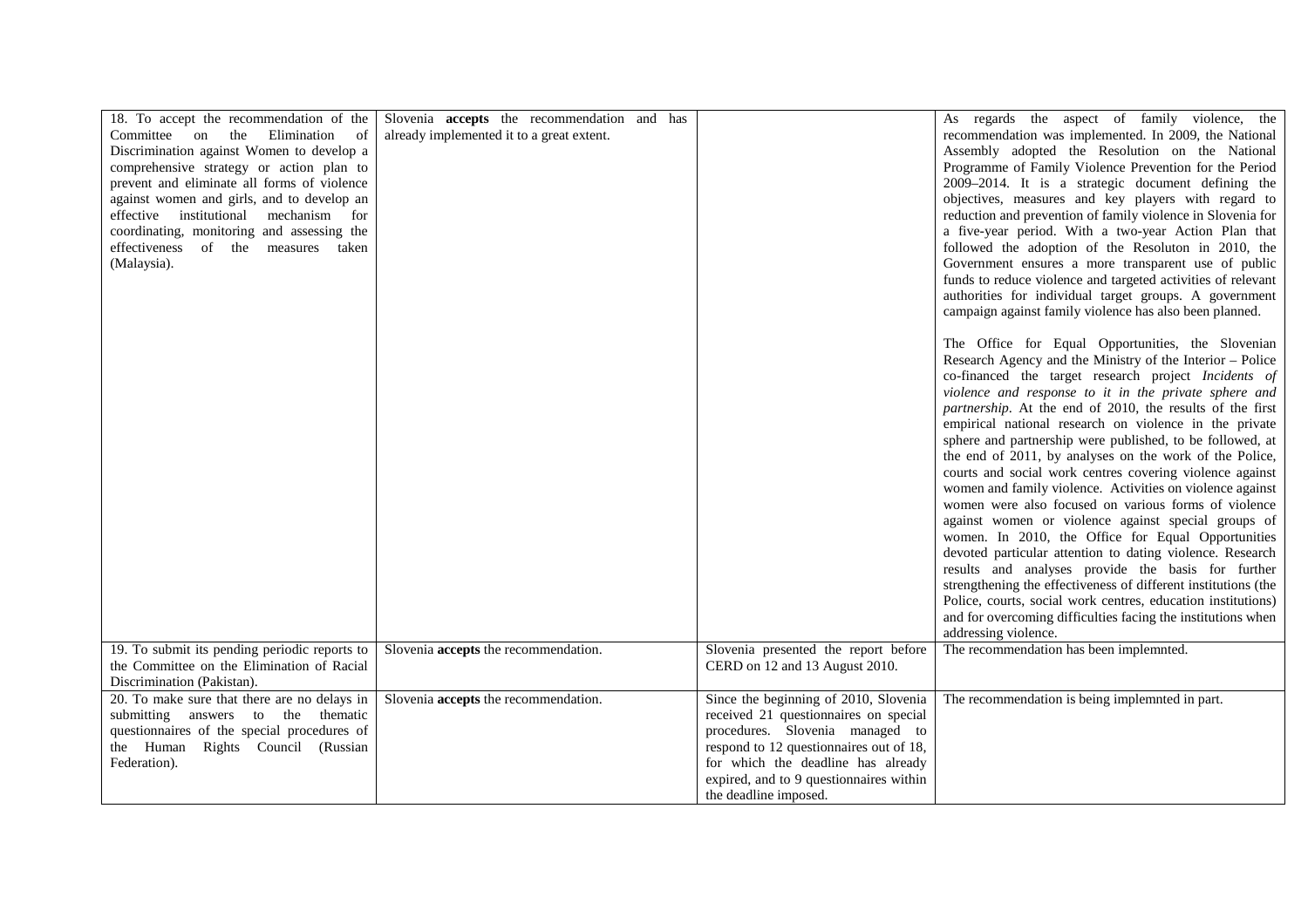| 18. To accept the recommendation of the<br>Committee on the Elimination<br><sub>of</sub><br>Discrimination against Women to develop a<br>comprehensive strategy or action plan to<br>prevent and eliminate all forms of violence<br>against women and girls, and to develop an<br>effective institutional mechanism for<br>coordinating, monitoring and assessing the<br>effectiveness of the measures taken<br>(Malaysia). | Slovenia <b>accepts</b> the recommendation and has<br>already implemented it to a great extent. |                                                                                                                                                                                                                                                                        | As regards the aspect of family violence, the<br>recommendation was implemented. In 2009, the National<br>Assembly adopted the Resolution on the National<br>Programme of Family Violence Prevention for the Period<br>2009-2014. It is a strategic document defining the<br>objectives, measures and key players with regard to<br>reduction and prevention of family violence in Slovenia for<br>a five-year period. With a two-year Action Plan that<br>followed the adoption of the Resoluton in 2010, the<br>Government ensures a more transparent use of public<br>funds to reduce violence and targeted activities of relevant<br>authorities for individual target groups. A government<br>campaign against family violence has also been planned.                                                                                                                                                                                                                                                                                                                                                                |
|-----------------------------------------------------------------------------------------------------------------------------------------------------------------------------------------------------------------------------------------------------------------------------------------------------------------------------------------------------------------------------------------------------------------------------|-------------------------------------------------------------------------------------------------|------------------------------------------------------------------------------------------------------------------------------------------------------------------------------------------------------------------------------------------------------------------------|---------------------------------------------------------------------------------------------------------------------------------------------------------------------------------------------------------------------------------------------------------------------------------------------------------------------------------------------------------------------------------------------------------------------------------------------------------------------------------------------------------------------------------------------------------------------------------------------------------------------------------------------------------------------------------------------------------------------------------------------------------------------------------------------------------------------------------------------------------------------------------------------------------------------------------------------------------------------------------------------------------------------------------------------------------------------------------------------------------------------------|
|                                                                                                                                                                                                                                                                                                                                                                                                                             |                                                                                                 |                                                                                                                                                                                                                                                                        | The Office for Equal Opportunities, the Slovenian<br>Research Agency and the Ministry of the Interior - Police<br>co-financed the target research project Incidents of<br>violence and response to it in the private sphere and<br>partnership. At the end of 2010, the results of the first<br>empirical national research on violence in the private<br>sphere and partnership were published, to be followed, at<br>the end of 2011, by analyses on the work of the Police,<br>courts and social work centres covering violence against<br>women and family violence. Activities on violence against<br>women were also focused on various forms of violence<br>against women or violence against special groups of<br>women. In 2010, the Office for Equal Opportunities<br>devoted particular attention to dating violence. Research<br>results and analyses provide the basis for further<br>strengthening the effectiveness of different institutions (the<br>Police, courts, social work centres, education institutions)<br>and for overcoming difficulties facing the institutions when<br>addressing violence. |
| 19. To submit its pending periodic reports to<br>the Committee on the Elimination of Racial<br>Discrimination (Pakistan).                                                                                                                                                                                                                                                                                                   | Slovenia accepts the recommendation.                                                            | Slovenia presented the report before<br>CERD on 12 and 13 August 2010.                                                                                                                                                                                                 | The recommendation has been implemnted.                                                                                                                                                                                                                                                                                                                                                                                                                                                                                                                                                                                                                                                                                                                                                                                                                                                                                                                                                                                                                                                                                   |
| 20. To make sure that there are no delays in<br>submitting answers to the thematic<br>questionnaires of the special procedures of<br>the Human Rights Council (Russian<br>Federation).                                                                                                                                                                                                                                      | Slovenia accepts the recommendation.                                                            | Since the beginning of 2010, Slovenia<br>received 21 questionnaires on special<br>procedures. Slovenia managed to<br>respond to 12 questionnaires out of 18,<br>for which the deadline has already<br>expired, and to 9 questionnaires within<br>the deadline imposed. | The recommendation is being implemnted in part.                                                                                                                                                                                                                                                                                                                                                                                                                                                                                                                                                                                                                                                                                                                                                                                                                                                                                                                                                                                                                                                                           |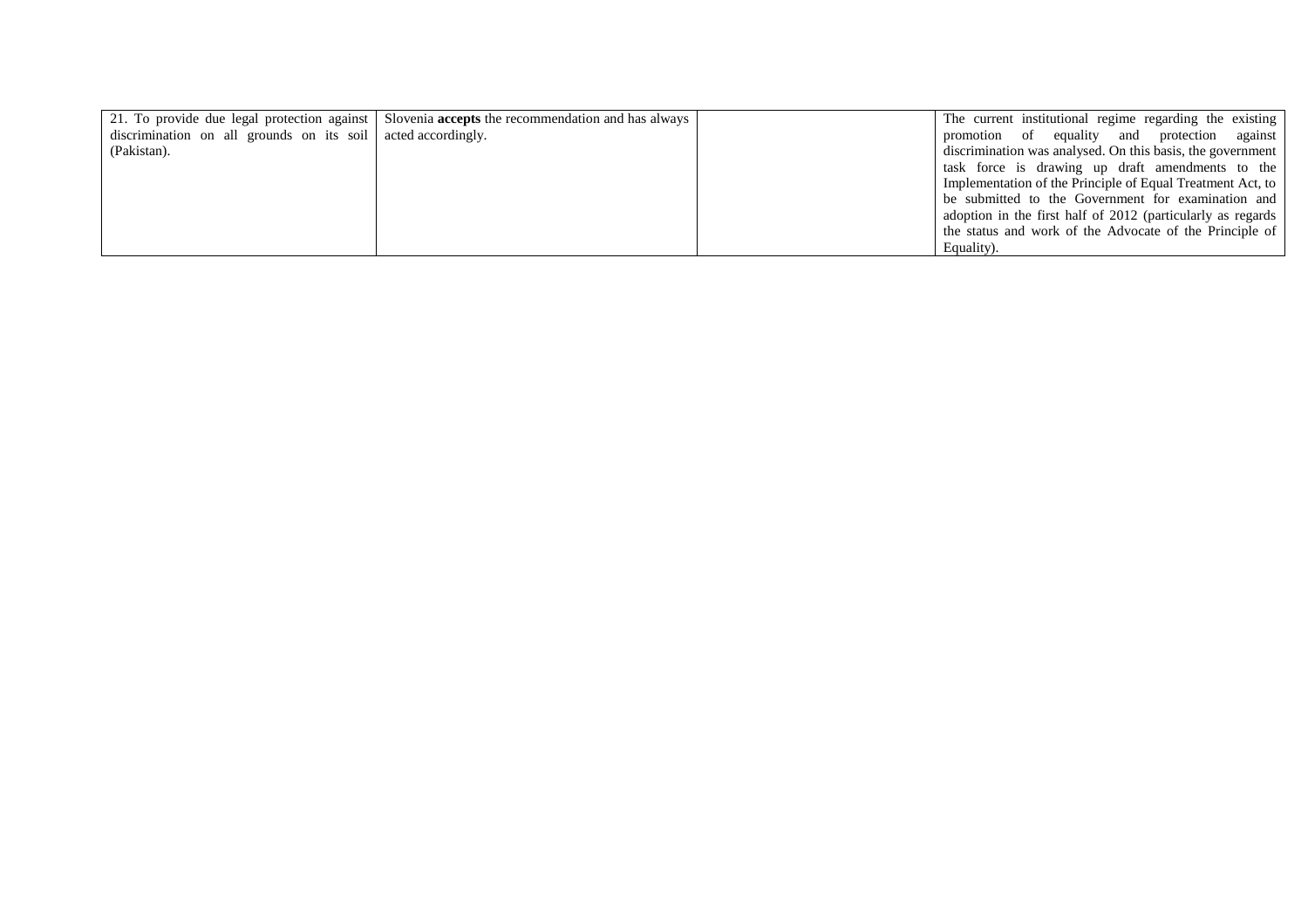|                                                              | 21. To provide due legal protection against   Slovenia <b>accepts</b> the recommendation and has always | The current institutional regime regarding the existing     |
|--------------------------------------------------------------|---------------------------------------------------------------------------------------------------------|-------------------------------------------------------------|
| discrimination on all grounds on its soil acted accordingly. |                                                                                                         | promotion of equality and protection against                |
| (Pakistan).                                                  |                                                                                                         | discrimination was analysed. On this basis, the government  |
|                                                              |                                                                                                         | task force is drawing up draft amendments to the            |
|                                                              |                                                                                                         | Implementation of the Principle of Equal Treatment Act, to  |
|                                                              |                                                                                                         | be submitted to the Government for examination and          |
|                                                              |                                                                                                         | adoption in the first half of 2012 (particularly as regards |
|                                                              |                                                                                                         | the status and work of the Advocate of the Principle of     |
|                                                              |                                                                                                         | Equality).                                                  |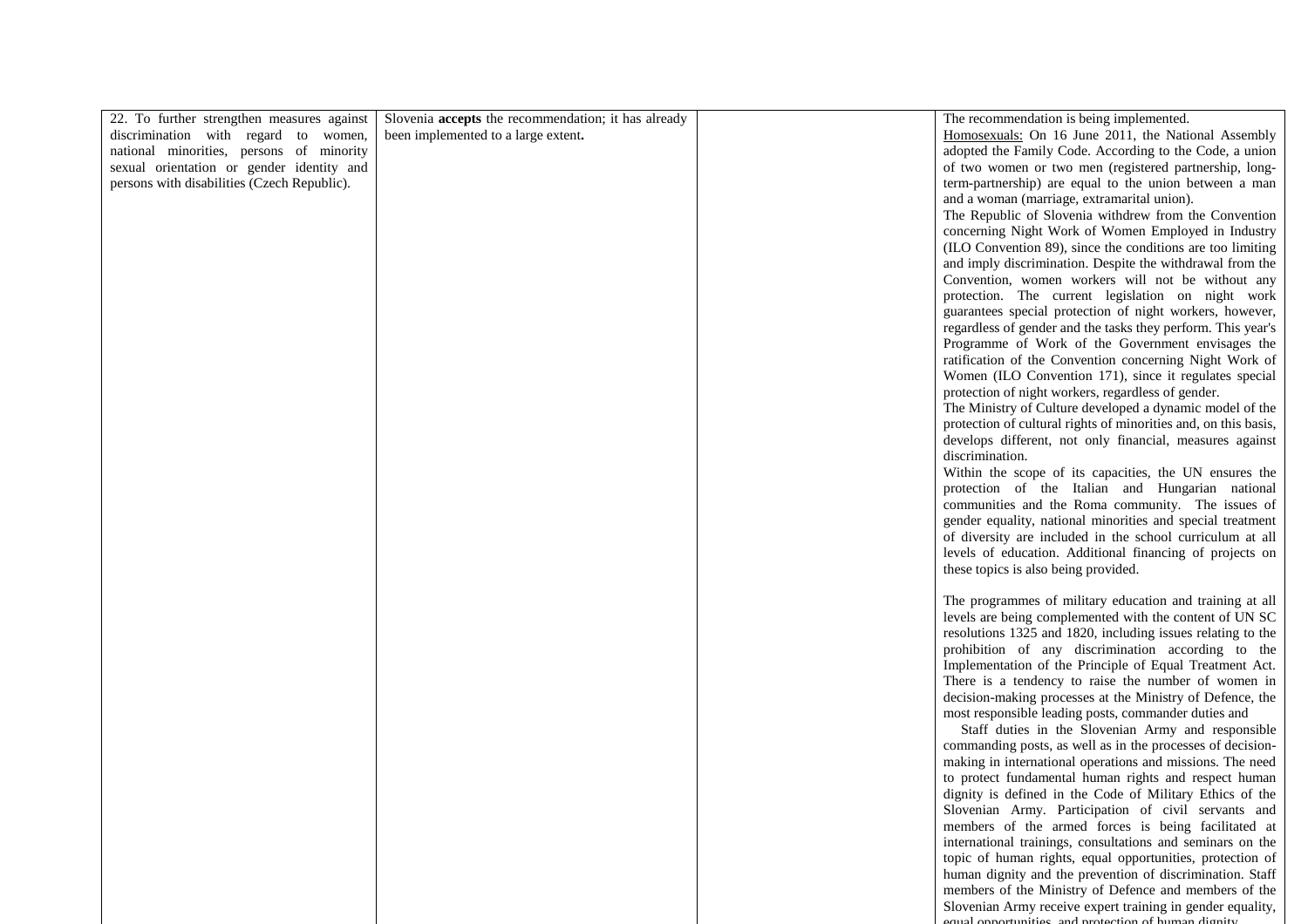| 22. To further strengthen measures against  | Slovenia accepts the recommendation; it has already | The recommendation is being implemented.                        |
|---------------------------------------------|-----------------------------------------------------|-----------------------------------------------------------------|
| discrimination with regard to women,        | been implemented to a large extent.                 | Homosexuals: On 16 June 2011, the National Assembly             |
| national minorities, persons of minority    |                                                     | adopted the Family Code. According to the Code, a union         |
| sexual orientation or gender identity and   |                                                     | of two women or two men (registered partnership, long-          |
| persons with disabilities (Czech Republic). |                                                     | term-partnership) are equal to the union between a man          |
|                                             |                                                     | and a woman (marriage, extramarital union).                     |
|                                             |                                                     |                                                                 |
|                                             |                                                     | The Republic of Slovenia withdrew from the Convention           |
|                                             |                                                     | concerning Night Work of Women Employed in Industry             |
|                                             |                                                     | (ILO Convention 89), since the conditions are too limiting      |
|                                             |                                                     | and imply discrimination. Despite the withdrawal from the       |
|                                             |                                                     | Convention, women workers will not be without any               |
|                                             |                                                     | protection. The current legislation on night work               |
|                                             |                                                     |                                                                 |
|                                             |                                                     | guarantees special protection of night workers, however,        |
|                                             |                                                     | regardless of gender and the tasks they perform. This year's    |
|                                             |                                                     | Programme of Work of the Government envisages the               |
|                                             |                                                     | ratification of the Convention concerning Night Work of         |
|                                             |                                                     | Women (ILO Convention 171), since it regulates special          |
|                                             |                                                     | protection of night workers, regardless of gender.              |
|                                             |                                                     | The Ministry of Culture developed a dynamic model of the        |
|                                             |                                                     | protection of cultural rights of minorities and, on this basis, |
|                                             |                                                     |                                                                 |
|                                             |                                                     | develops different, not only financial, measures against        |
|                                             |                                                     | discrimination.                                                 |
|                                             |                                                     | Within the scope of its capacities, the UN ensures the          |
|                                             |                                                     | protection of the Italian and Hungarian national                |
|                                             |                                                     | communities and the Roma community. The issues of               |
|                                             |                                                     | gender equality, national minorities and special treatment      |
|                                             |                                                     | of diversity are included in the school curriculum at all       |
|                                             |                                                     |                                                                 |
|                                             |                                                     | levels of education. Additional financing of projects on        |
|                                             |                                                     | these topics is also being provided.                            |
|                                             |                                                     |                                                                 |
|                                             |                                                     | The programmes of military education and training at all        |
|                                             |                                                     | levels are being complemented with the content of UN SC         |
|                                             |                                                     | resolutions 1325 and 1820, including issues relating to the     |
|                                             |                                                     | prohibition of any discrimination according to the              |
|                                             |                                                     | Implementation of the Principle of Equal Treatment Act.         |
|                                             |                                                     |                                                                 |
|                                             |                                                     | There is a tendency to raise the number of women in             |
|                                             |                                                     | decision-making processes at the Ministry of Defence, the       |
|                                             |                                                     | most responsible leading posts, commander duties and            |
|                                             |                                                     | Staff duties in the Slovenian Army and responsible              |
|                                             |                                                     | commanding posts, as well as in the processes of decision-      |
|                                             |                                                     | making in international operations and missions. The need       |
|                                             |                                                     | to protect fundamental human rights and respect human           |
|                                             |                                                     | dignity is defined in the Code of Military Ethics of the        |
|                                             |                                                     |                                                                 |
|                                             |                                                     | Slovenian Army. Participation of civil servants and             |
|                                             |                                                     | members of the armed forces is being facilitated at             |
|                                             |                                                     | international trainings, consultations and seminars on the      |
|                                             |                                                     | topic of human rights, equal opportunities, protection of       |
|                                             |                                                     | human dignity and the prevention of discrimination. Staff       |
|                                             |                                                     | members of the Ministry of Defence and members of the           |
|                                             |                                                     | Slovenian Army receive expert training in gender equality,      |
|                                             |                                                     | equal opportunities, and protection of human dignity            |
|                                             |                                                     |                                                                 |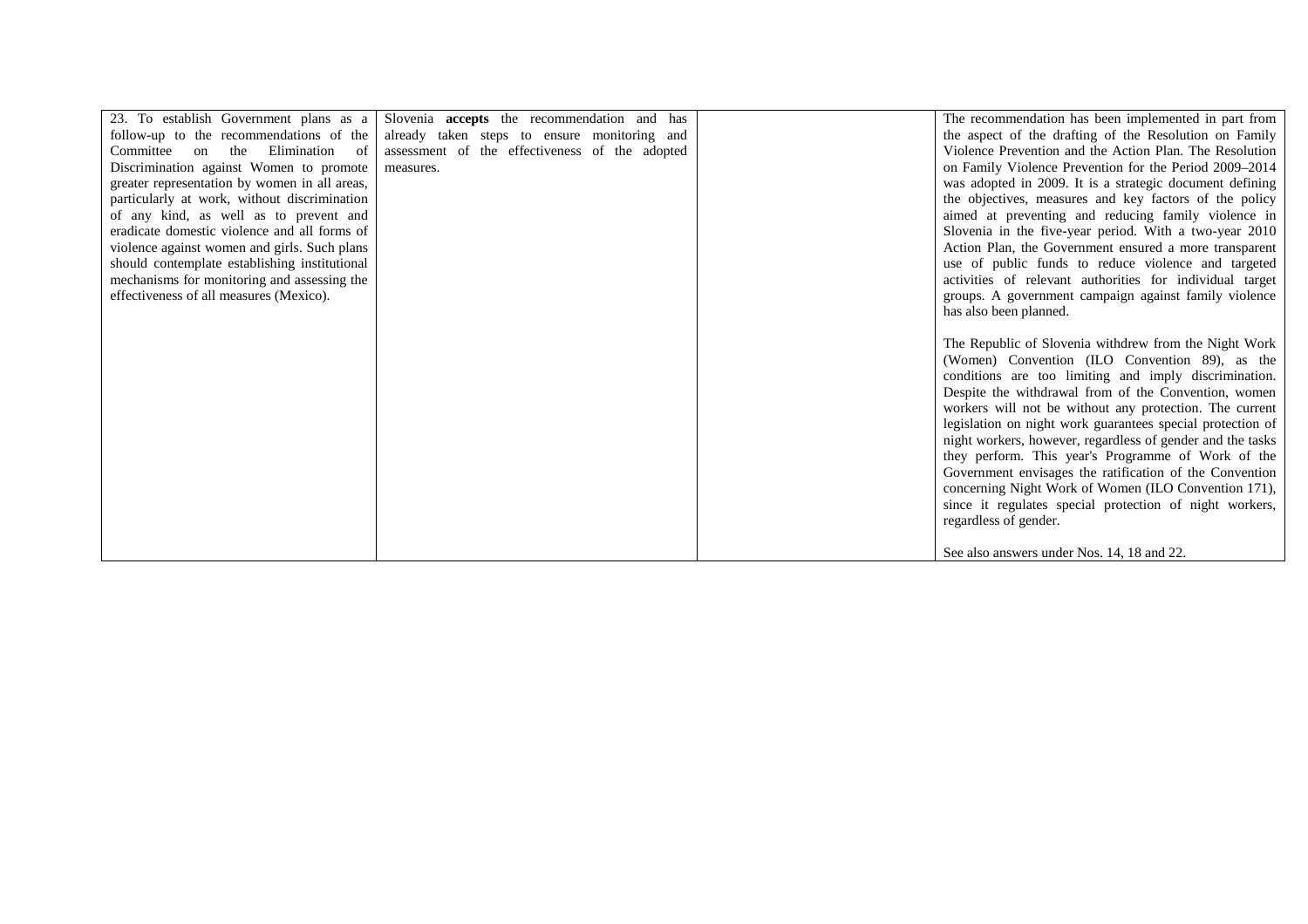|                                               | 23. To establish Government plans as a Slovenia <b>accepts</b> the recommendation and has | The recommendation has been implemented in part from       |
|-----------------------------------------------|-------------------------------------------------------------------------------------------|------------------------------------------------------------|
| follow-up to the recommendations of the       | already taken steps to ensure monitoring and                                              | the aspect of the drafting of the Resolution on Family     |
| Committee on the Elimination of               | assessment of the effectiveness of the adopted                                            | Violence Prevention and the Action Plan. The Resolution    |
| Discrimination against Women to promote       | measures.                                                                                 | on Family Violence Prevention for the Period 2009–2014     |
| greater representation by women in all areas, |                                                                                           | was adopted in 2009. It is a strategic document defining   |
| particularly at work, without discrimination  |                                                                                           | the objectives, measures and key factors of the policy     |
| of any kind, as well as to prevent and        |                                                                                           | aimed at preventing and reducing family violence in        |
| eradicate domestic violence and all forms of  |                                                                                           | Slovenia in the five-year period. With a two-year 2010     |
| violence against women and girls. Such plans  |                                                                                           | Action Plan, the Government ensured a more transparent     |
| should contemplate establishing institutional |                                                                                           | use of public funds to reduce violence and targeted        |
| mechanisms for monitoring and assessing the   |                                                                                           | activities of relevant authorities for individual target   |
| effectiveness of all measures (Mexico).       |                                                                                           | groups. A government campaign against family violence      |
|                                               |                                                                                           | has also been planned.                                     |
|                                               |                                                                                           |                                                            |
|                                               |                                                                                           | The Republic of Slovenia withdrew from the Night Work      |
|                                               |                                                                                           | (Women) Convention (ILO Convention 89), as the             |
|                                               |                                                                                           | conditions are too limiting and imply discrimination.      |
|                                               |                                                                                           | Despite the withdrawal from of the Convention, women       |
|                                               |                                                                                           | workers will not be without any protection. The current    |
|                                               |                                                                                           | legislation on night work guarantees special protection of |
|                                               |                                                                                           | night workers, however, regardless of gender and the tasks |
|                                               |                                                                                           | they perform. This year's Programme of Work of the         |
|                                               |                                                                                           | Government envisages the ratification of the Convention    |
|                                               |                                                                                           | concerning Night Work of Women (ILO Convention 171),       |
|                                               |                                                                                           | since it regulates special protection of night workers,    |
|                                               |                                                                                           | regardless of gender.                                      |
|                                               |                                                                                           | See also answers under Nos. 14, 18 and 22.                 |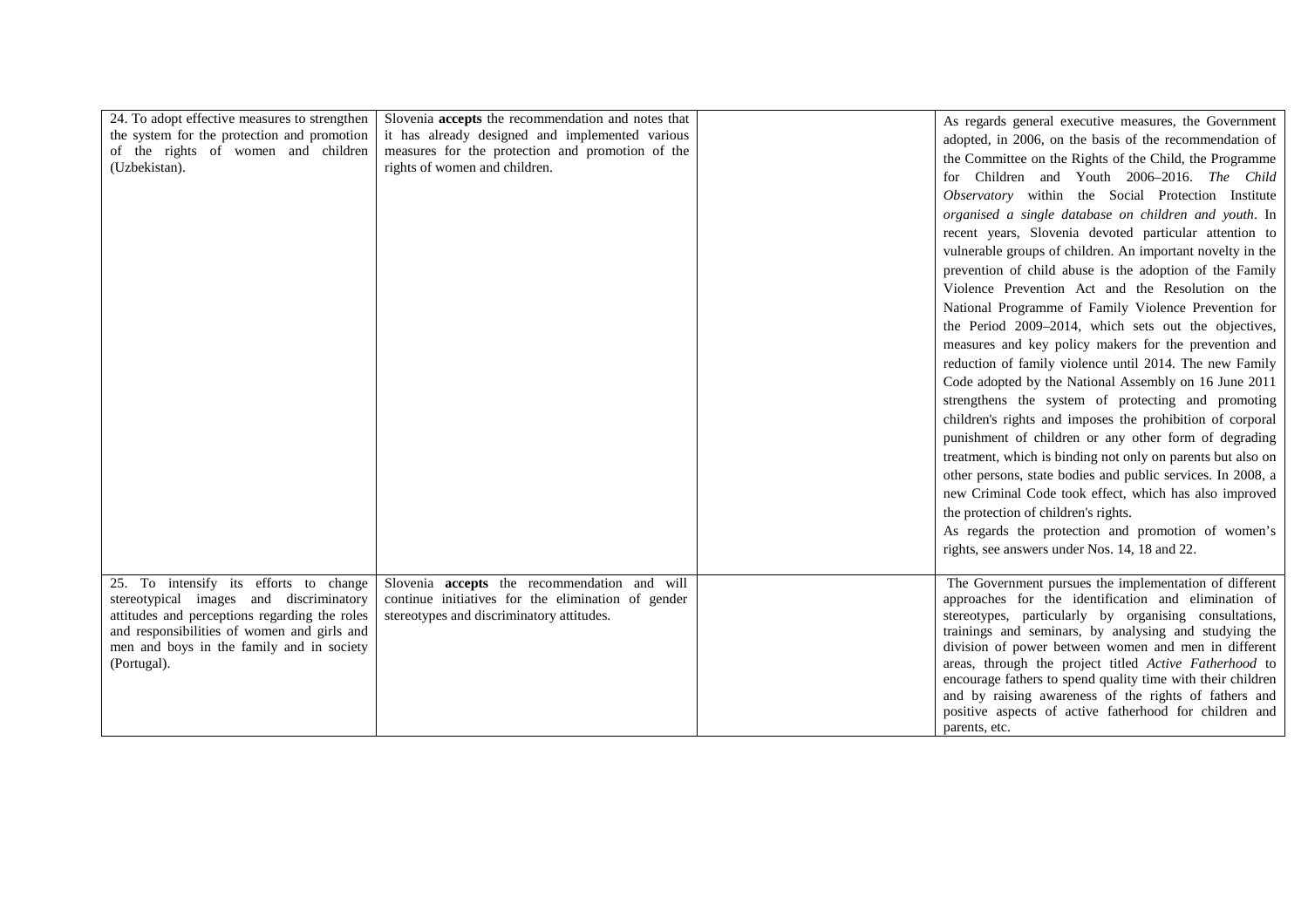| 24. To adopt effective measures to strengthen<br>the system for the protection and promotion<br>of the rights of women and children<br>(Uzbekistan).                                                                                          | Slovenia <b>accepts</b> the recommendation and notes that<br>it has already designed and implemented various<br>measures for the protection and promotion of the<br>rights of women and children. | As regards general executive measures, the Government<br>adopted, in 2006, on the basis of the recommendation of<br>the Committee on the Rights of the Child, the Programme<br>for Children and Youth 2006-2016. The Child<br>Observatory within the Social Protection Institute<br>organised a single database on children and youth. In<br>recent years, Slovenia devoted particular attention to<br>vulnerable groups of children. An important novelty in the<br>prevention of child abuse is the adoption of the Family<br>Violence Prevention Act and the Resolution on the<br>National Programme of Family Violence Prevention for<br>the Period 2009–2014, which sets out the objectives,<br>measures and key policy makers for the prevention and<br>reduction of family violence until 2014. The new Family<br>Code adopted by the National Assembly on 16 June 2011<br>strengthens the system of protecting and promoting<br>children's rights and imposes the prohibition of corporal<br>punishment of children or any other form of degrading<br>treatment, which is binding not only on parents but also on<br>other persons, state bodies and public services. In 2008, a<br>new Criminal Code took effect, which has also improved<br>the protection of children's rights.<br>As regards the protection and promotion of women's<br>rights, see answers under Nos. 14, 18 and 22. |
|-----------------------------------------------------------------------------------------------------------------------------------------------------------------------------------------------------------------------------------------------|---------------------------------------------------------------------------------------------------------------------------------------------------------------------------------------------------|---------------------------------------------------------------------------------------------------------------------------------------------------------------------------------------------------------------------------------------------------------------------------------------------------------------------------------------------------------------------------------------------------------------------------------------------------------------------------------------------------------------------------------------------------------------------------------------------------------------------------------------------------------------------------------------------------------------------------------------------------------------------------------------------------------------------------------------------------------------------------------------------------------------------------------------------------------------------------------------------------------------------------------------------------------------------------------------------------------------------------------------------------------------------------------------------------------------------------------------------------------------------------------------------------------------------------------------------------------------------------------------------------|
| 25. To intensify its efforts to change<br>stereotypical images and discriminatory<br>attitudes and perceptions regarding the roles<br>and responsibilities of women and girls and<br>men and boys in the family and in society<br>(Portugal). | Slovenia accepts the recommendation and will<br>continue initiatives for the elimination of gender<br>stereotypes and discriminatory attitudes.                                                   | The Government pursues the implementation of different<br>approaches for the identification and elimination of<br>stereotypes, particularly by organising consultations,<br>trainings and seminars, by analysing and studying the<br>division of power between women and men in different<br>areas, through the project titled Active Fatherhood to<br>encourage fathers to spend quality time with their children<br>and by raising awareness of the rights of fathers and<br>positive aspects of active fatherhood for children and<br>parents, etc.                                                                                                                                                                                                                                                                                                                                                                                                                                                                                                                                                                                                                                                                                                                                                                                                                                            |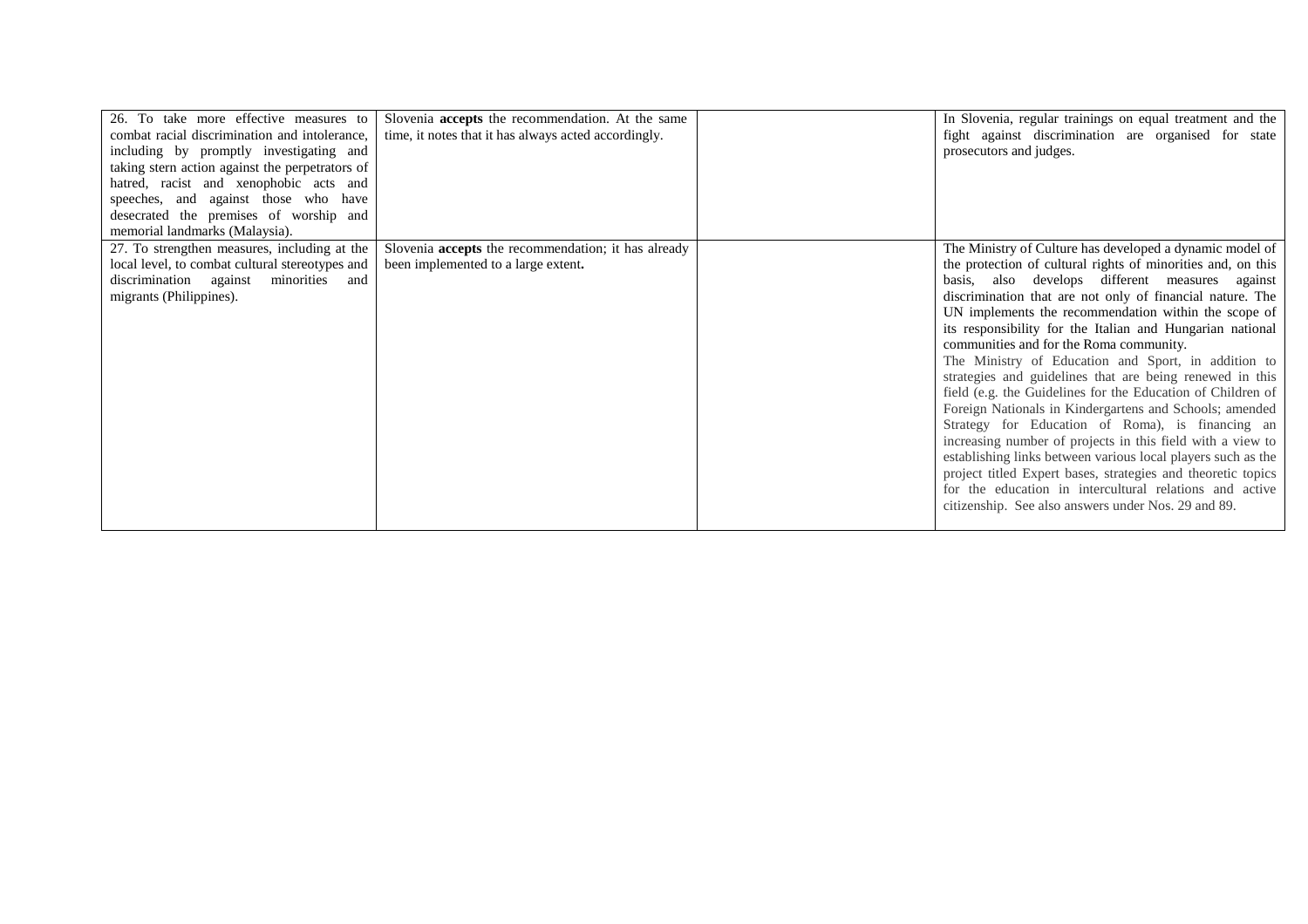| 26. To take more effective measures to<br>combat racial discrimination and intolerance,<br>including by promptly investigating and<br>taking stern action against the perpetrators of<br>hatred, racist and xenophobic acts and<br>speeches, and against those who have<br>desecrated the premises of worship and<br>memorial landmarks (Malaysia). | Slovenia accepts the recommendation. At the same<br>time, it notes that it has always acted accordingly. | In Slovenia, regular trainings on equal treatment and the<br>fight against discrimination are organised for state<br>prosecutors and judges.                                                                                                                                                                                                                                                                                                                                                                                                                                                                                                                                                                                                                                                                                                                                                                                                                                                                              |
|-----------------------------------------------------------------------------------------------------------------------------------------------------------------------------------------------------------------------------------------------------------------------------------------------------------------------------------------------------|----------------------------------------------------------------------------------------------------------|---------------------------------------------------------------------------------------------------------------------------------------------------------------------------------------------------------------------------------------------------------------------------------------------------------------------------------------------------------------------------------------------------------------------------------------------------------------------------------------------------------------------------------------------------------------------------------------------------------------------------------------------------------------------------------------------------------------------------------------------------------------------------------------------------------------------------------------------------------------------------------------------------------------------------------------------------------------------------------------------------------------------------|
| 27. To strengthen measures, including at the<br>local level, to combat cultural stereotypes and<br>discrimination against<br>minorities<br>and<br>migrants (Philippines).                                                                                                                                                                           | Slovenia <b>accepts</b> the recommendation; it has already<br>been implemented to a large extent.        | The Ministry of Culture has developed a dynamic model of<br>the protection of cultural rights of minorities and, on this<br>basis, also develops different measures against<br>discrimination that are not only of financial nature. The<br>UN implements the recommendation within the scope of<br>its responsibility for the Italian and Hungarian national<br>communities and for the Roma community.<br>The Ministry of Education and Sport, in addition to<br>strategies and guidelines that are being renewed in this<br>field (e.g. the Guidelines for the Education of Children of<br>Foreign Nationals in Kindergartens and Schools; amended<br>Strategy for Education of Roma), is financing an<br>increasing number of projects in this field with a view to<br>establishing links between various local players such as the<br>project titled Expert bases, strategies and theoretic topics<br>for the education in intercultural relations and active<br>citizenship. See also answers under Nos. 29 and 89. |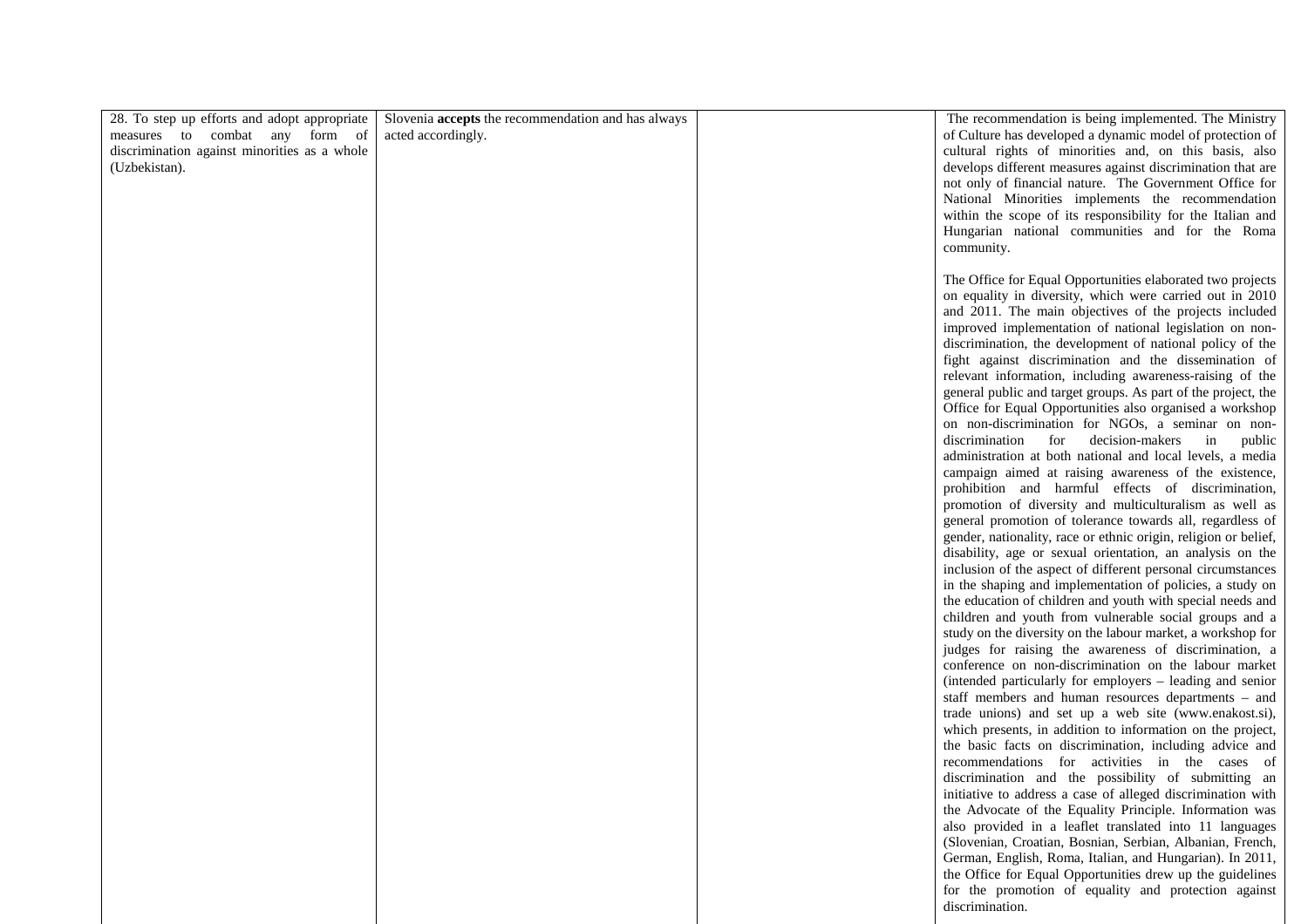| 28. To step up efforts and adopt appropriate<br>measures to combat any form of<br>discrimination against minorities as a whole<br>(Uzbekistan). | Slovenia accepts the recommendation and has always<br>acted accordingly. | The recommendation is being implemented. The Ministry<br>of Culture has developed a dynamic model of protection of<br>cultural rights of minorities and, on this basis, also<br>develops different measures against discrimination that are<br>not only of financial nature. The Government Office for<br>National Minorities implements the recommendation<br>within the scope of its responsibility for the Italian and<br>Hungarian national communities and for the Roma<br>community.                                                                                                                                                                                                                                                                                                                                                                                                                                                                                                                                                                                                                                                                                                                                                                                                                                                                                                                                                                                                                                                                                                                                                                                                                                                                                                                                                                                                                                                                                                                                            |
|-------------------------------------------------------------------------------------------------------------------------------------------------|--------------------------------------------------------------------------|---------------------------------------------------------------------------------------------------------------------------------------------------------------------------------------------------------------------------------------------------------------------------------------------------------------------------------------------------------------------------------------------------------------------------------------------------------------------------------------------------------------------------------------------------------------------------------------------------------------------------------------------------------------------------------------------------------------------------------------------------------------------------------------------------------------------------------------------------------------------------------------------------------------------------------------------------------------------------------------------------------------------------------------------------------------------------------------------------------------------------------------------------------------------------------------------------------------------------------------------------------------------------------------------------------------------------------------------------------------------------------------------------------------------------------------------------------------------------------------------------------------------------------------------------------------------------------------------------------------------------------------------------------------------------------------------------------------------------------------------------------------------------------------------------------------------------------------------------------------------------------------------------------------------------------------------------------------------------------------------------------------------------------------|
|                                                                                                                                                 |                                                                          | The Office for Equal Opportunities elaborated two projects<br>on equality in diversity, which were carried out in 2010<br>and 2011. The main objectives of the projects included<br>improved implementation of national legislation on non-<br>discrimination, the development of national policy of the<br>fight against discrimination and the dissemination of<br>relevant information, including awareness-raising of the<br>general public and target groups. As part of the project, the<br>Office for Equal Opportunities also organised a workshop<br>on non-discrimination for NGOs, a seminar on non-<br>decision-makers<br>discrimination<br>for<br>$\sin$<br>public<br>administration at both national and local levels, a media<br>campaign aimed at raising awareness of the existence,<br>prohibition and harmful effects of discrimination,<br>promotion of diversity and multiculturalism as well as<br>general promotion of tolerance towards all, regardless of<br>gender, nationality, race or ethnic origin, religion or belief,<br>disability, age or sexual orientation, an analysis on the<br>inclusion of the aspect of different personal circumstances<br>in the shaping and implementation of policies, a study on<br>the education of children and youth with special needs and<br>children and youth from vulnerable social groups and a<br>study on the diversity on the labour market, a workshop for<br>judges for raising the awareness of discrimination, a<br>conference on non-discrimination on the labour market<br>(intended particularly for employers - leading and senior<br>staff members and human resources departments - and<br>trade unions) and set up a web site (www.enakost.si),<br>which presents, in addition to information on the project,<br>the basic facts on discrimination, including advice and<br>recommendations for activities in the cases of<br>discrimination and the possibility of submitting an<br>initiative to address a case of alleged discrimination with |
|                                                                                                                                                 |                                                                          | the Advocate of the Equality Principle. Information was<br>also provided in a leaflet translated into 11 languages<br>(Slovenian, Croatian, Bosnian, Serbian, Albanian, French,<br>German, English, Roma, Italian, and Hungarian). In 2011,<br>the Office for Equal Opportunities drew up the guidelines<br>for the promotion of equality and protection against<br>discrimination.                                                                                                                                                                                                                                                                                                                                                                                                                                                                                                                                                                                                                                                                                                                                                                                                                                                                                                                                                                                                                                                                                                                                                                                                                                                                                                                                                                                                                                                                                                                                                                                                                                                   |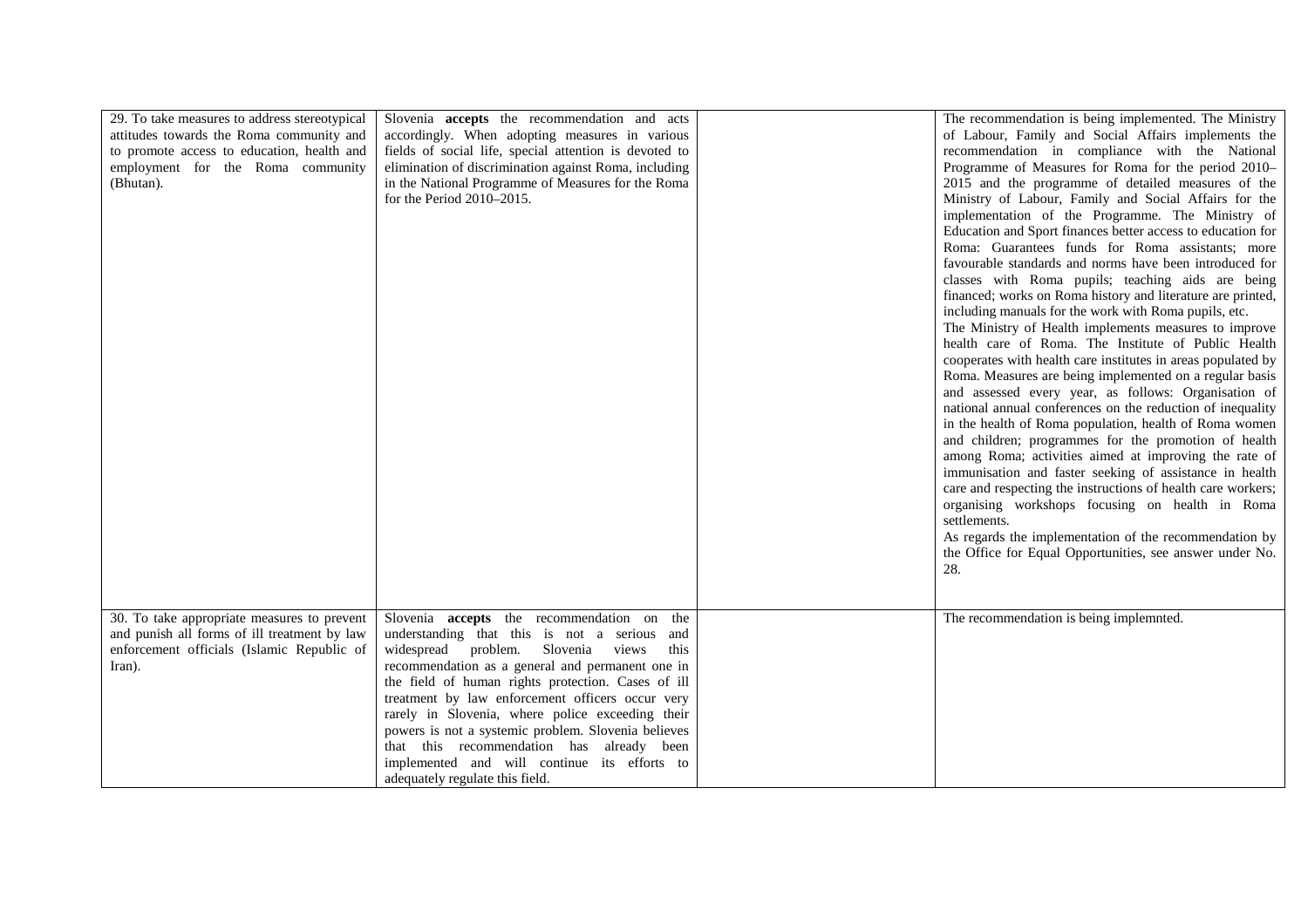| 29. To take measures to address stereotypical<br>attitudes towards the Roma community and<br>to promote access to education, health and<br>employment for the Roma community<br>(Bhutan). | Slovenia accepts the recommendation and acts<br>accordingly. When adopting measures in various<br>fields of social life, special attention is devoted to<br>elimination of discrimination against Roma, including<br>in the National Programme of Measures for the Roma<br>for the Period 2010-2015.                                                                                                  | The recommendation is being implemented. The Ministry<br>of Labour, Family and Social Affairs implements the<br>recommendation in compliance with the National<br>Programme of Measures for Roma for the period 2010-<br>2015 and the programme of detailed measures of the<br>Ministry of Labour, Family and Social Affairs for the<br>implementation of the Programme. The Ministry of<br>Education and Sport finances better access to education for<br>Roma: Guarantees funds for Roma assistants; more<br>favourable standards and norms have been introduced for<br>classes with Roma pupils; teaching aids are being<br>financed; works on Roma history and literature are printed,<br>including manuals for the work with Roma pupils, etc.<br>The Ministry of Health implements measures to improve<br>health care of Roma. The Institute of Public Health<br>cooperates with health care institutes in areas populated by<br>Roma. Measures are being implemented on a regular basis<br>and assessed every year, as follows: Organisation of<br>national annual conferences on the reduction of inequality<br>in the health of Roma population, health of Roma women<br>and children; programmes for the promotion of health<br>among Roma; activities aimed at improving the rate of<br>immunisation and faster seeking of assistance in health<br>care and respecting the instructions of health care workers;<br>organising workshops focusing on health in Roma<br>settlements.<br>As regards the implementation of the recommendation by<br>the Office for Equal Opportunities, see answer under No.<br>28. |
|-------------------------------------------------------------------------------------------------------------------------------------------------------------------------------------------|-------------------------------------------------------------------------------------------------------------------------------------------------------------------------------------------------------------------------------------------------------------------------------------------------------------------------------------------------------------------------------------------------------|----------------------------------------------------------------------------------------------------------------------------------------------------------------------------------------------------------------------------------------------------------------------------------------------------------------------------------------------------------------------------------------------------------------------------------------------------------------------------------------------------------------------------------------------------------------------------------------------------------------------------------------------------------------------------------------------------------------------------------------------------------------------------------------------------------------------------------------------------------------------------------------------------------------------------------------------------------------------------------------------------------------------------------------------------------------------------------------------------------------------------------------------------------------------------------------------------------------------------------------------------------------------------------------------------------------------------------------------------------------------------------------------------------------------------------------------------------------------------------------------------------------------------------------------------------------------------------------------------------------------------|
| 30. To take appropriate measures to prevent<br>and punish all forms of ill treatment by law<br>enforcement officials (Islamic Republic of                                                 | Slovenia <b>accepts</b> the recommendation on the<br>understanding that this is not a serious and<br>widespread problem. Slovenia views<br>this                                                                                                                                                                                                                                                       | The recommendation is being implemnted.                                                                                                                                                                                                                                                                                                                                                                                                                                                                                                                                                                                                                                                                                                                                                                                                                                                                                                                                                                                                                                                                                                                                                                                                                                                                                                                                                                                                                                                                                                                                                                                    |
| Iran).                                                                                                                                                                                    | recommendation as a general and permanent one in<br>the field of human rights protection. Cases of ill<br>treatment by law enforcement officers occur very<br>rarely in Slovenia, where police exceeding their<br>powers is not a systemic problem. Slovenia believes<br>that this recommendation has already been<br>implemented and will continue its efforts to<br>adequately regulate this field. |                                                                                                                                                                                                                                                                                                                                                                                                                                                                                                                                                                                                                                                                                                                                                                                                                                                                                                                                                                                                                                                                                                                                                                                                                                                                                                                                                                                                                                                                                                                                                                                                                            |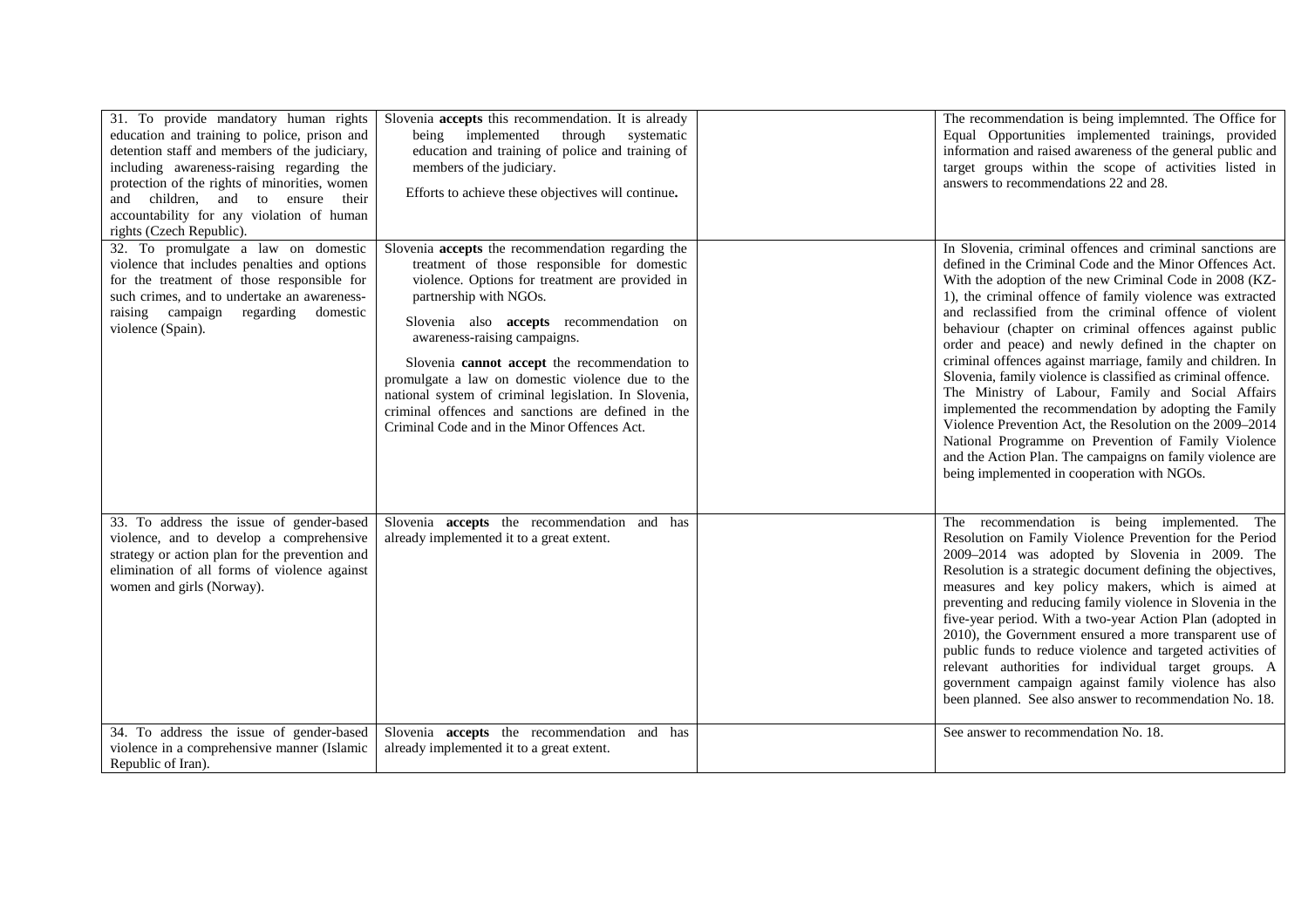| 31. To provide mandatory human rights<br>education and training to police, prison and<br>detention staff and members of the judiciary,<br>including awareness-raising regarding the<br>protection of the rights of minorities, women<br>and children, and to ensure their<br>accountability for any violation of human<br>rights (Czech Republic). | Slovenia <b>accepts</b> this recommendation. It is already<br>being implemented<br>through<br>systematic<br>education and training of police and training of<br>members of the judiciary.<br>Efforts to achieve these objectives will continue.                                                                                                                                                                                                                                                                             | The recommendation is being implemnted. The Office for<br>Equal Opportunities implemented trainings, provided<br>information and raised awareness of the general public and<br>target groups within the scope of activities listed in<br>answers to recommendations 22 and 28.                                                                                                                                                                                                                                                                                                                                                                                                                                                                                                                                                                                                                       |
|----------------------------------------------------------------------------------------------------------------------------------------------------------------------------------------------------------------------------------------------------------------------------------------------------------------------------------------------------|-----------------------------------------------------------------------------------------------------------------------------------------------------------------------------------------------------------------------------------------------------------------------------------------------------------------------------------------------------------------------------------------------------------------------------------------------------------------------------------------------------------------------------|------------------------------------------------------------------------------------------------------------------------------------------------------------------------------------------------------------------------------------------------------------------------------------------------------------------------------------------------------------------------------------------------------------------------------------------------------------------------------------------------------------------------------------------------------------------------------------------------------------------------------------------------------------------------------------------------------------------------------------------------------------------------------------------------------------------------------------------------------------------------------------------------------|
| 32. To promulgate a law on domestic<br>violence that includes penalties and options<br>for the treatment of those responsible for<br>such crimes, and to undertake an awareness-<br>raising campaign<br>regarding<br>domestic<br>violence (Spain).                                                                                                 | Slovenia accepts the recommendation regarding the<br>treatment of those responsible for domestic<br>violence. Options for treatment are provided in<br>partnership with NGOs.<br>Slovenia also accepts recommendation on<br>awareness-raising campaigns.<br>Slovenia cannot accept the recommendation to<br>promulgate a law on domestic violence due to the<br>national system of criminal legislation. In Slovenia,<br>criminal offences and sanctions are defined in the<br>Criminal Code and in the Minor Offences Act. | In Slovenia, criminal offences and criminal sanctions are<br>defined in the Criminal Code and the Minor Offences Act.<br>With the adoption of the new Criminal Code in 2008 (KZ-<br>1), the criminal offence of family violence was extracted<br>and reclassified from the criminal offence of violent<br>behaviour (chapter on criminal offences against public<br>order and peace) and newly defined in the chapter on<br>criminal offences against marriage, family and children. In<br>Slovenia, family violence is classified as criminal offence.<br>The Ministry of Labour, Family and Social Affairs<br>implemented the recommendation by adopting the Family<br>Violence Prevention Act, the Resolution on the 2009–2014<br>National Programme on Prevention of Family Violence<br>and the Action Plan. The campaigns on family violence are<br>being implemented in cooperation with NGOs. |
| 33. To address the issue of gender-based<br>violence, and to develop a comprehensive<br>strategy or action plan for the prevention and<br>elimination of all forms of violence against<br>women and girls (Norway).                                                                                                                                | Slovenia <b>accepts</b> the recommendation and has<br>already implemented it to a great extent.                                                                                                                                                                                                                                                                                                                                                                                                                             | The recommendation is being implemented. The<br>Resolution on Family Violence Prevention for the Period<br>2009-2014 was adopted by Slovenia in 2009. The<br>Resolution is a strategic document defining the objectives,<br>measures and key policy makers, which is aimed at<br>preventing and reducing family violence in Slovenia in the<br>five-year period. With a two-year Action Plan (adopted in<br>2010), the Government ensured a more transparent use of<br>public funds to reduce violence and targeted activities of<br>relevant authorities for individual target groups. A<br>government campaign against family violence has also<br>been planned. See also answer to recommendation No. 18.                                                                                                                                                                                         |
| 34. To address the issue of gender-based<br>violence in a comprehensive manner (Islamic<br>Republic of Iran).                                                                                                                                                                                                                                      | Slovenia <b>accepts</b> the recommendation and has<br>already implemented it to a great extent.                                                                                                                                                                                                                                                                                                                                                                                                                             | See answer to recommendation No. 18.                                                                                                                                                                                                                                                                                                                                                                                                                                                                                                                                                                                                                                                                                                                                                                                                                                                                 |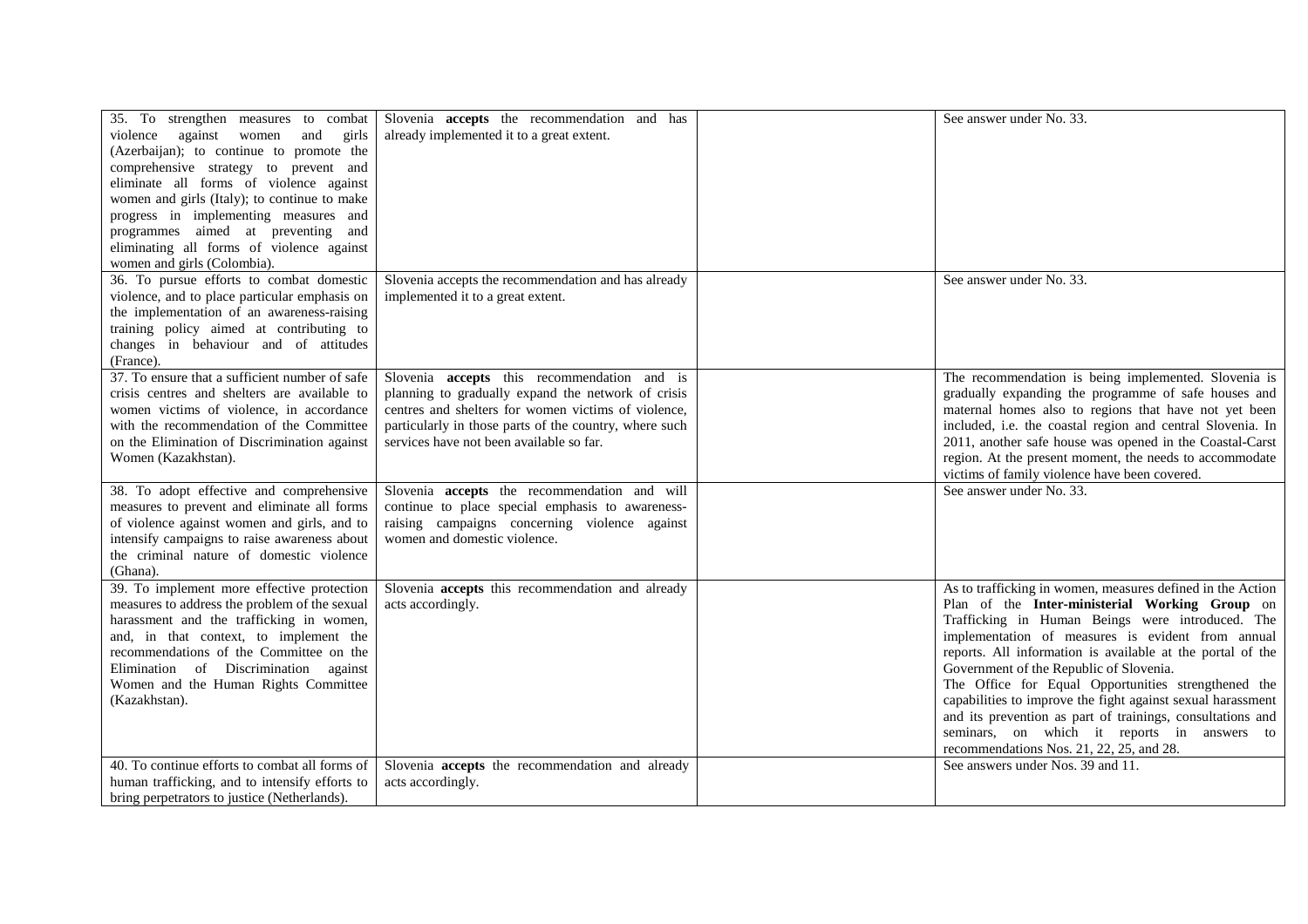| 35. To strengthen measures to combat<br>violence against women<br>and<br>girls<br>(Azerbaijan); to continue to promote the<br>comprehensive strategy to prevent and<br>eliminate all forms of violence against<br>women and girls (Italy); to continue to make<br>progress in implementing measures and<br>programmes aimed at preventing and<br>eliminating all forms of violence against<br>women and girls (Colombia). | Slovenia <b>accepts</b> the recommendation and has<br>already implemented it to a great extent.                                                                                                                                                                       | See answer under No. 33.                                                                                                                                                                                                                                                                                                                                                                                                                                                                                                                                                                                      |
|---------------------------------------------------------------------------------------------------------------------------------------------------------------------------------------------------------------------------------------------------------------------------------------------------------------------------------------------------------------------------------------------------------------------------|-----------------------------------------------------------------------------------------------------------------------------------------------------------------------------------------------------------------------------------------------------------------------|---------------------------------------------------------------------------------------------------------------------------------------------------------------------------------------------------------------------------------------------------------------------------------------------------------------------------------------------------------------------------------------------------------------------------------------------------------------------------------------------------------------------------------------------------------------------------------------------------------------|
| 36. To pursue efforts to combat domestic<br>violence, and to place particular emphasis on<br>the implementation of an awareness-raising<br>training policy aimed at contributing to<br>changes in behaviour and of attitudes<br>(France).                                                                                                                                                                                 | Slovenia accepts the recommendation and has already<br>implemented it to a great extent.                                                                                                                                                                              | See answer under No. 33.                                                                                                                                                                                                                                                                                                                                                                                                                                                                                                                                                                                      |
| 37. To ensure that a sufficient number of safe<br>crisis centres and shelters are available to<br>women victims of violence, in accordance<br>with the recommendation of the Committee<br>on the Elimination of Discrimination against<br>Women (Kazakhstan).                                                                                                                                                             | Slovenia <b>accepts</b> this recommendation and is<br>planning to gradually expand the network of crisis<br>centres and shelters for women victims of violence,<br>particularly in those parts of the country, where such<br>services have not been available so far. | The recommendation is being implemented. Slovenia is<br>gradually expanding the programme of safe houses and<br>maternal homes also to regions that have not yet been<br>included, i.e. the coastal region and central Slovenia. In<br>2011, another safe house was opened in the Coastal-Carst<br>region. At the present moment, the needs to accommodate<br>victims of family violence have been covered.                                                                                                                                                                                                   |
| 38. To adopt effective and comprehensive<br>measures to prevent and eliminate all forms<br>of violence against women and girls, and to<br>intensify campaigns to raise awareness about<br>the criminal nature of domestic violence<br>(Ghana).                                                                                                                                                                            | Slovenia accepts the recommendation and will<br>continue to place special emphasis to awareness-<br>raising campaigns concerning violence against<br>women and domestic violence.                                                                                     | See answer under No. 33.                                                                                                                                                                                                                                                                                                                                                                                                                                                                                                                                                                                      |
| 39. To implement more effective protection<br>measures to address the problem of the sexual<br>harassment and the trafficking in women,<br>and, in that context, to implement the<br>recommendations of the Committee on the<br>Elimination of Discrimination against<br>Women and the Human Rights Committee<br>(Kazakhstan).                                                                                            | Slovenia accepts this recommendation and already<br>acts accordingly.                                                                                                                                                                                                 | As to trafficking in women, measures defined in the Action<br>Plan of the Inter-ministerial Working Group on<br>Trafficking in Human Beings were introduced. The<br>implementation of measures is evident from annual<br>reports. All information is available at the portal of the<br>Government of the Republic of Slovenia.<br>The Office for Equal Opportunities strengthened the<br>capabilities to improve the fight against sexual harassment<br>and its prevention as part of trainings, consultations and<br>seminars, on which it reports in answers to<br>recommendations Nos. 21, 22, 25, and 28. |
| 40. To continue efforts to combat all forms of<br>human trafficking, and to intensify efforts to<br>bring perpetrators to justice (Netherlands).                                                                                                                                                                                                                                                                          | Slovenia accepts the recommendation and already<br>acts accordingly.                                                                                                                                                                                                  | See answers under Nos. 39 and 11.                                                                                                                                                                                                                                                                                                                                                                                                                                                                                                                                                                             |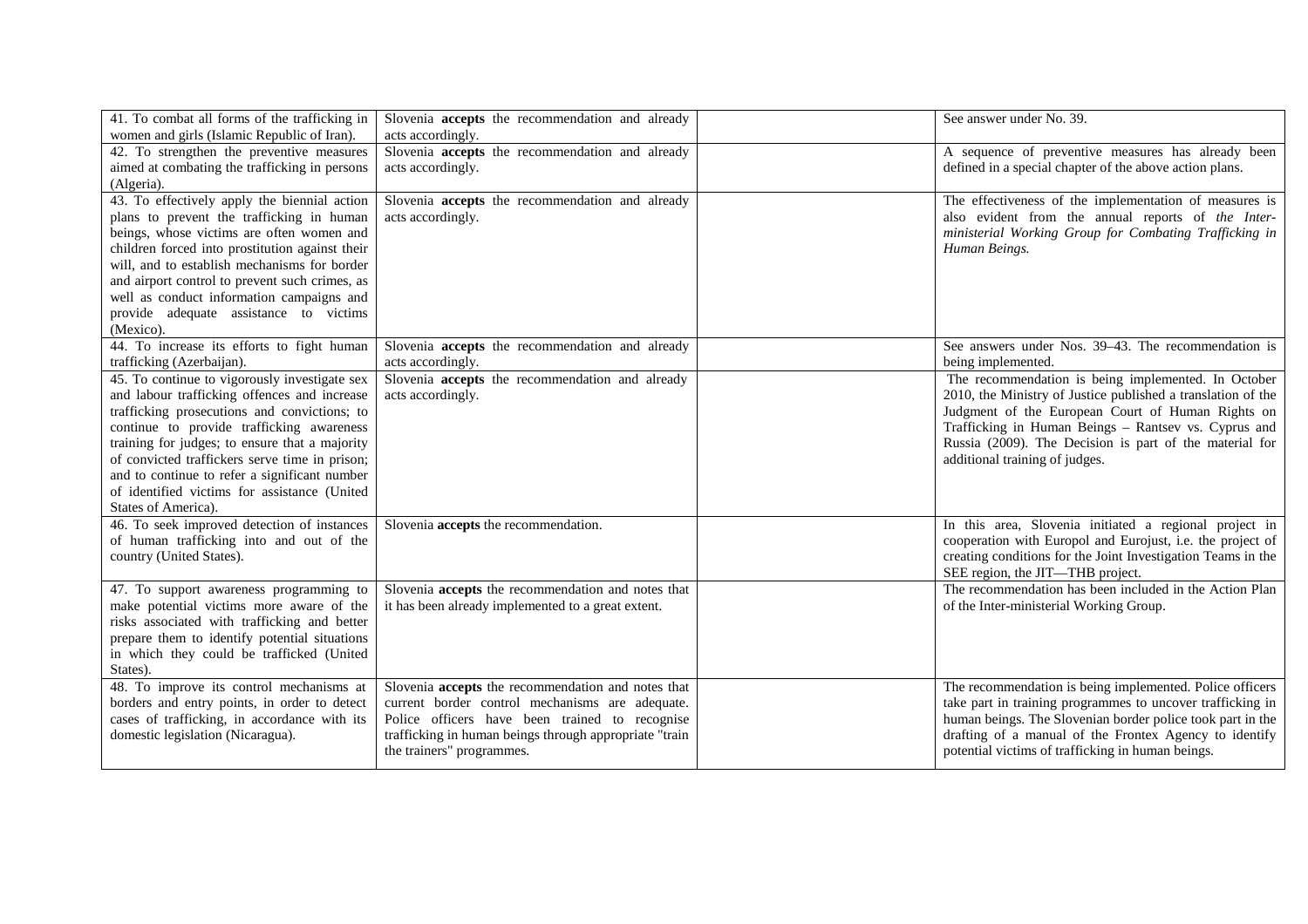| 41. To combat all forms of the trafficking in<br>women and girls (Islamic Republic of Iran).                                                                                                                                                                                                                                                                                                                           | Slovenia <b>accepts</b> the recommendation and already<br>acts accordingly.                                                                                                                                                                    | See answer under No. 39.                                                                                                                                                                                                                                                                                                      |
|------------------------------------------------------------------------------------------------------------------------------------------------------------------------------------------------------------------------------------------------------------------------------------------------------------------------------------------------------------------------------------------------------------------------|------------------------------------------------------------------------------------------------------------------------------------------------------------------------------------------------------------------------------------------------|-------------------------------------------------------------------------------------------------------------------------------------------------------------------------------------------------------------------------------------------------------------------------------------------------------------------------------|
| 42. To strengthen the preventive measures<br>aimed at combating the trafficking in persons<br>(Algeria).                                                                                                                                                                                                                                                                                                               | Slovenia accepts the recommendation and already<br>acts accordingly.                                                                                                                                                                           | A sequence of preventive measures has already been<br>defined in a special chapter of the above action plans.                                                                                                                                                                                                                 |
| 43. To effectively apply the biennial action<br>plans to prevent the trafficking in human<br>beings, whose victims are often women and<br>children forced into prostitution against their<br>will, and to establish mechanisms for border<br>and airport control to prevent such crimes, as<br>well as conduct information campaigns and<br>provide adequate assistance to victims<br>(Mexico).                        | Slovenia accepts the recommendation and already<br>acts accordingly.                                                                                                                                                                           | The effectiveness of the implementation of measures is<br>also evident from the annual reports of the Inter-<br>ministerial Working Group for Combating Trafficking in<br>Human Beings.                                                                                                                                       |
| 44. To increase its efforts to fight human<br>trafficking (Azerbaijan).                                                                                                                                                                                                                                                                                                                                                | Slovenia <b>accepts</b> the recommendation and already<br>acts accordingly.                                                                                                                                                                    | See answers under Nos. 39–43. The recommendation is<br>being implemented.                                                                                                                                                                                                                                                     |
| 45. To continue to vigorously investigate sex<br>and labour trafficking offences and increase<br>trafficking prosecutions and convictions; to<br>continue to provide trafficking awareness<br>training for judges; to ensure that a majority<br>of convicted traffickers serve time in prison;<br>and to continue to refer a significant number<br>of identified victims for assistance (United<br>States of America). | Slovenia accepts the recommendation and already<br>acts accordingly.                                                                                                                                                                           | The recommendation is being implemented. In October<br>2010, the Ministry of Justice published a translation of the<br>Judgment of the European Court of Human Rights on<br>Trafficking in Human Beings - Rantsev vs. Cyprus and<br>Russia (2009). The Decision is part of the material for<br>additional training of judges. |
| 46. To seek improved detection of instances<br>of human trafficking into and out of the<br>country (United States).                                                                                                                                                                                                                                                                                                    | Slovenia accepts the recommendation.                                                                                                                                                                                                           | In this area, Slovenia initiated a regional project in<br>cooperation with Europol and Eurojust, i.e. the project of<br>creating conditions for the Joint Investigation Teams in the<br>SEE region, the JIT—THB project.                                                                                                      |
| 47. To support awareness programming to<br>make potential victims more aware of the<br>risks associated with trafficking and better<br>prepare them to identify potential situations<br>in which they could be trafficked (United<br>States).                                                                                                                                                                          | Slovenia accepts the recommendation and notes that<br>it has been already implemented to a great extent.                                                                                                                                       | The recommendation has been included in the Action Plan<br>of the Inter-ministerial Working Group.                                                                                                                                                                                                                            |
| 48. To improve its control mechanisms at<br>borders and entry points, in order to detect<br>cases of trafficking, in accordance with its<br>domestic legislation (Nicaragua).                                                                                                                                                                                                                                          | Slovenia accepts the recommendation and notes that<br>current border control mechanisms are adequate.<br>Police officers have been trained to recognise<br>trafficking in human beings through appropriate "train<br>the trainers" programmes. | The recommendation is being implemented. Police officers<br>take part in training programmes to uncover trafficking in<br>human beings. The Slovenian border police took part in the<br>drafting of a manual of the Frontex Agency to identify<br>potential victims of trafficking in human beings.                           |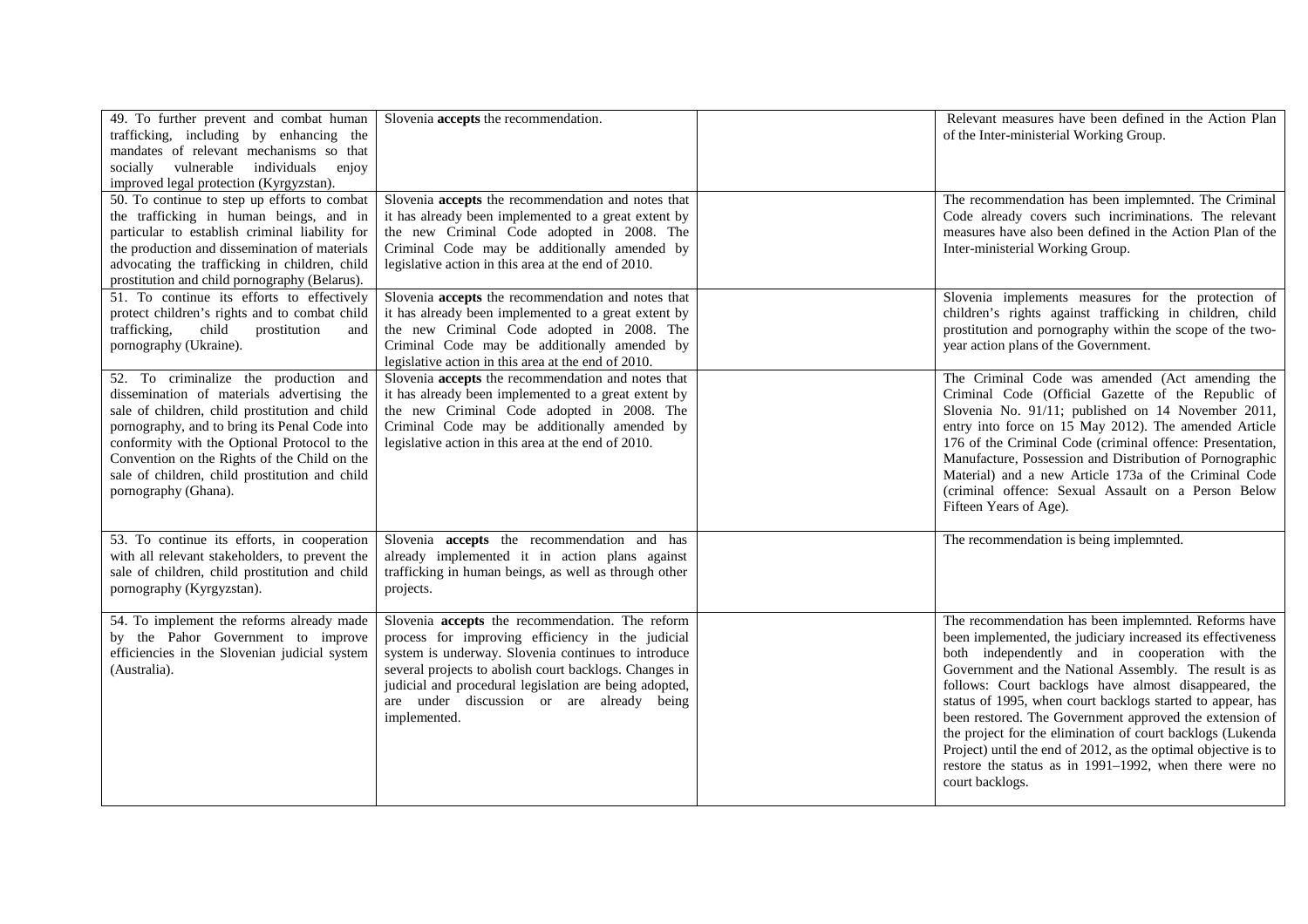| 49. To further prevent and combat human<br>trafficking, including by enhancing the<br>mandates of relevant mechanisms so that<br>socially vulnerable individuals<br>enjoy<br>improved legal protection (Kyrgyzstan).                                                                                                                                             | Slovenia accepts the recommendation.                                                                                                                                                                                                                                                                                                        | Relevant measures have been defined in the Action Plan<br>of the Inter-ministerial Working Group.                                                                                                                                                                                                                                                                                                                                                                                                                                                                                                                             |
|------------------------------------------------------------------------------------------------------------------------------------------------------------------------------------------------------------------------------------------------------------------------------------------------------------------------------------------------------------------|---------------------------------------------------------------------------------------------------------------------------------------------------------------------------------------------------------------------------------------------------------------------------------------------------------------------------------------------|-------------------------------------------------------------------------------------------------------------------------------------------------------------------------------------------------------------------------------------------------------------------------------------------------------------------------------------------------------------------------------------------------------------------------------------------------------------------------------------------------------------------------------------------------------------------------------------------------------------------------------|
| 50. To continue to step up efforts to combat<br>the trafficking in human beings, and in<br>particular to establish criminal liability for<br>the production and dissemination of materials<br>advocating the trafficking in children, child<br>prostitution and child pornography (Belarus).                                                                     | Slovenia accepts the recommendation and notes that<br>it has already been implemented to a great extent by<br>the new Criminal Code adopted in 2008. The<br>Criminal Code may be additionally amended by<br>legislative action in this area at the end of 2010.                                                                             | The recommendation has been implemnted. The Criminal<br>Code already covers such incriminations. The relevant<br>measures have also been defined in the Action Plan of the<br>Inter-ministerial Working Group.                                                                                                                                                                                                                                                                                                                                                                                                                |
| 51. To continue its efforts to effectively<br>protect children's rights and to combat child<br>trafficking,<br>child<br>prostitution<br>and<br>pornography (Ukraine).                                                                                                                                                                                            | Slovenia accepts the recommendation and notes that<br>it has already been implemented to a great extent by<br>the new Criminal Code adopted in 2008. The<br>Criminal Code may be additionally amended by<br>legislative action in this area at the end of 2010.                                                                             | Slovenia implements measures for the protection of<br>children's rights against trafficking in children, child<br>prostitution and pornography within the scope of the two-<br>year action plans of the Government.                                                                                                                                                                                                                                                                                                                                                                                                           |
| 52. To criminalize the production and<br>dissemination of materials advertising the<br>sale of children, child prostitution and child<br>pornography, and to bring its Penal Code into<br>conformity with the Optional Protocol to the<br>Convention on the Rights of the Child on the<br>sale of children, child prostitution and child<br>pornography (Ghana). | Slovenia accepts the recommendation and notes that<br>it has already been implemented to a great extent by<br>the new Criminal Code adopted in 2008. The<br>Criminal Code may be additionally amended by<br>legislative action in this area at the end of 2010.                                                                             | The Criminal Code was amended (Act amending the<br>Criminal Code (Official Gazette of the Republic of<br>Slovenia No. 91/11; published on 14 November 2011,<br>entry into force on 15 May 2012). The amended Article<br>176 of the Criminal Code (criminal offence: Presentation,<br>Manufacture, Possession and Distribution of Pornographic<br>Material) and a new Article 173a of the Criminal Code<br>(criminal offence: Sexual Assault on a Person Below<br>Fifteen Years of Age).                                                                                                                                       |
| 53. To continue its efforts, in cooperation<br>with all relevant stakeholders, to prevent the<br>sale of children, child prostitution and child<br>pornography (Kyrgyzstan).                                                                                                                                                                                     | Slovenia <b>accepts</b> the recommendation and has<br>already implemented it in action plans against<br>trafficking in human beings, as well as through other<br>projects.                                                                                                                                                                  | The recommendation is being implemnted.                                                                                                                                                                                                                                                                                                                                                                                                                                                                                                                                                                                       |
| 54. To implement the reforms already made<br>by the Pahor Government to improve<br>efficiencies in the Slovenian judicial system<br>(Australia).                                                                                                                                                                                                                 | Slovenia accepts the recommendation. The reform<br>process for improving efficiency in the judicial<br>system is underway. Slovenia continues to introduce<br>several projects to abolish court backlogs. Changes in<br>judicial and procedural legislation are being adopted,<br>are under discussion or are already being<br>implemented. | The recommendation has been implemnted. Reforms have<br>been implemented, the judiciary increased its effectiveness<br>both independently and in cooperation with the<br>Government and the National Assembly. The result is as<br>follows: Court backlogs have almost disappeared, the<br>status of 1995, when court backlogs started to appear, has<br>been restored. The Government approved the extension of<br>the project for the elimination of court backlogs (Lukenda<br>Project) until the end of 2012, as the optimal objective is to<br>restore the status as in 1991-1992, when there were no<br>court backlogs. |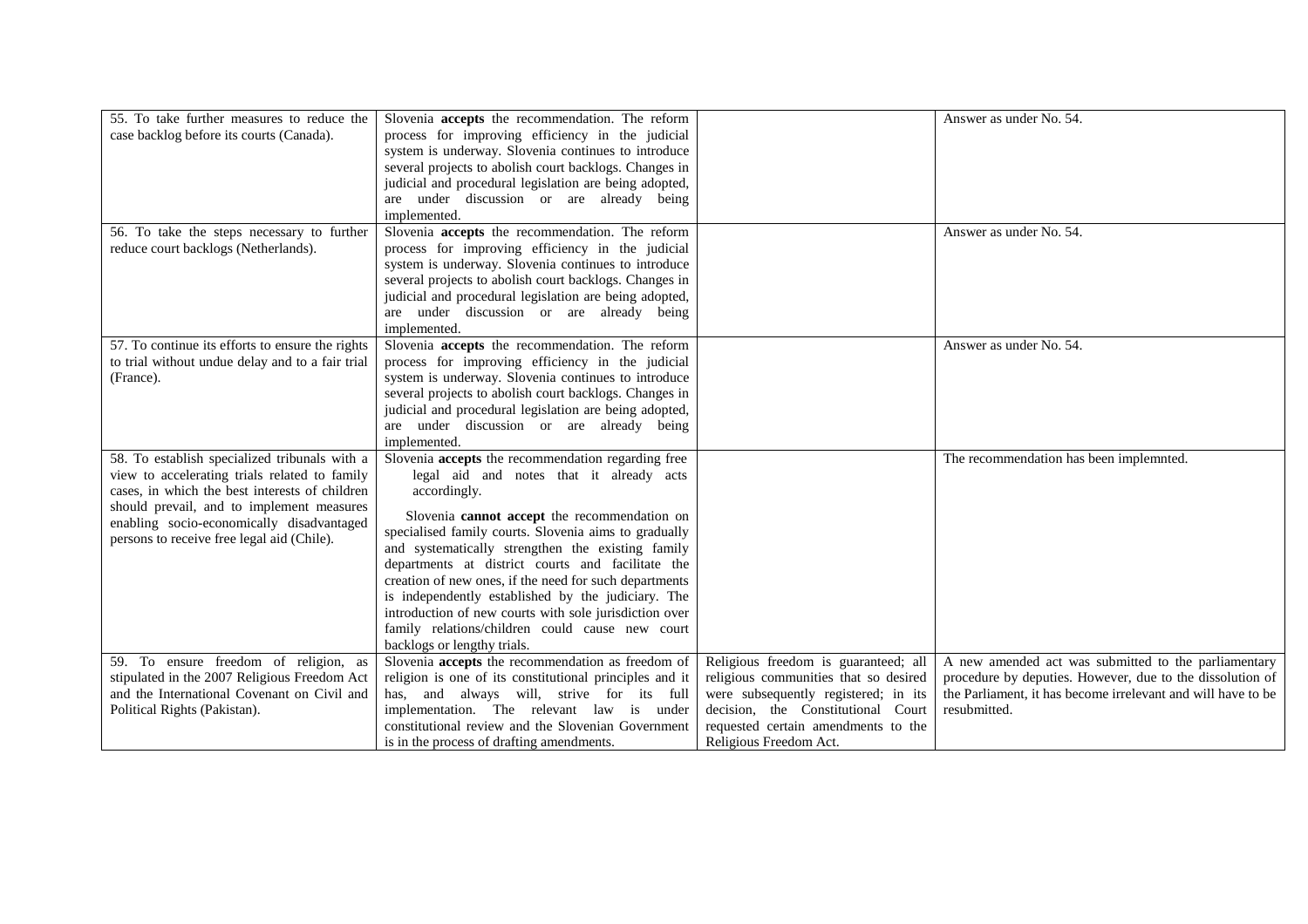| 55. To take further measures to reduce the<br>case backlog before its courts (Canada).                                                                                                                                                                                                   | Slovenia accepts the recommendation. The reform<br>process for improving efficiency in the judicial<br>system is underway. Slovenia continues to introduce<br>several projects to abolish court backlogs. Changes in<br>judicial and procedural legislation are being adopted,<br>are under discussion or are already being<br>implemented.                                                                                                                                                                                                                                                   |                                                                                                                                                                                                                              | Answer as under No. 54.                                                                                                                                                                           |
|------------------------------------------------------------------------------------------------------------------------------------------------------------------------------------------------------------------------------------------------------------------------------------------|-----------------------------------------------------------------------------------------------------------------------------------------------------------------------------------------------------------------------------------------------------------------------------------------------------------------------------------------------------------------------------------------------------------------------------------------------------------------------------------------------------------------------------------------------------------------------------------------------|------------------------------------------------------------------------------------------------------------------------------------------------------------------------------------------------------------------------------|---------------------------------------------------------------------------------------------------------------------------------------------------------------------------------------------------|
| 56. To take the steps necessary to further<br>reduce court backlogs (Netherlands).                                                                                                                                                                                                       | Slovenia accepts the recommendation. The reform<br>process for improving efficiency in the judicial<br>system is underway. Slovenia continues to introduce<br>several projects to abolish court backlogs. Changes in<br>judicial and procedural legislation are being adopted,<br>are under discussion or are already being<br>implemented.                                                                                                                                                                                                                                                   |                                                                                                                                                                                                                              | Answer as under No. 54.                                                                                                                                                                           |
| 57. To continue its efforts to ensure the rights<br>to trial without undue delay and to a fair trial<br>(France).                                                                                                                                                                        | Slovenia accepts the recommendation. The reform<br>process for improving efficiency in the judicial<br>system is underway. Slovenia continues to introduce<br>several projects to abolish court backlogs. Changes in<br>judicial and procedural legislation are being adopted,<br>are under discussion or are already being<br>implemented.                                                                                                                                                                                                                                                   |                                                                                                                                                                                                                              | Answer as under No. 54.                                                                                                                                                                           |
| 58. To establish specialized tribunals with a<br>view to accelerating trials related to family<br>cases, in which the best interests of children<br>should prevail, and to implement measures<br>enabling socio-economically disadvantaged<br>persons to receive free legal aid (Chile). | Slovenia accepts the recommendation regarding free<br>legal aid and notes that it already acts<br>accordingly.<br>Slovenia cannot accept the recommendation on<br>specialised family courts. Slovenia aims to gradually<br>and systematically strengthen the existing family<br>departments at district courts and facilitate the<br>creation of new ones, if the need for such departments<br>is independently established by the judiciary. The<br>introduction of new courts with sole jurisdiction over<br>family relations/children could cause new court<br>backlogs or lengthy trials. |                                                                                                                                                                                                                              | The recommendation has been implemnted.                                                                                                                                                           |
| 59. To ensure freedom of religion, as<br>stipulated in the 2007 Religious Freedom Act<br>and the International Covenant on Civil and<br>Political Rights (Pakistan).                                                                                                                     | Slovenia accepts the recommendation as freedom of<br>religion is one of its constitutional principles and it<br>has, and always will, strive for its full<br>implementation. The relevant law is under<br>constitutional review and the Slovenian Government<br>is in the process of drafting amendments.                                                                                                                                                                                                                                                                                     | Religious freedom is guaranteed; all<br>religious communities that so desired<br>were subsequently registered; in its<br>decision, the Constitutional Court<br>requested certain amendments to the<br>Religious Freedom Act. | A new amended act was submitted to the parliamentary<br>procedure by deputies. However, due to the dissolution of<br>the Parliament, it has become irrelevant and will have to be<br>resubmitted. |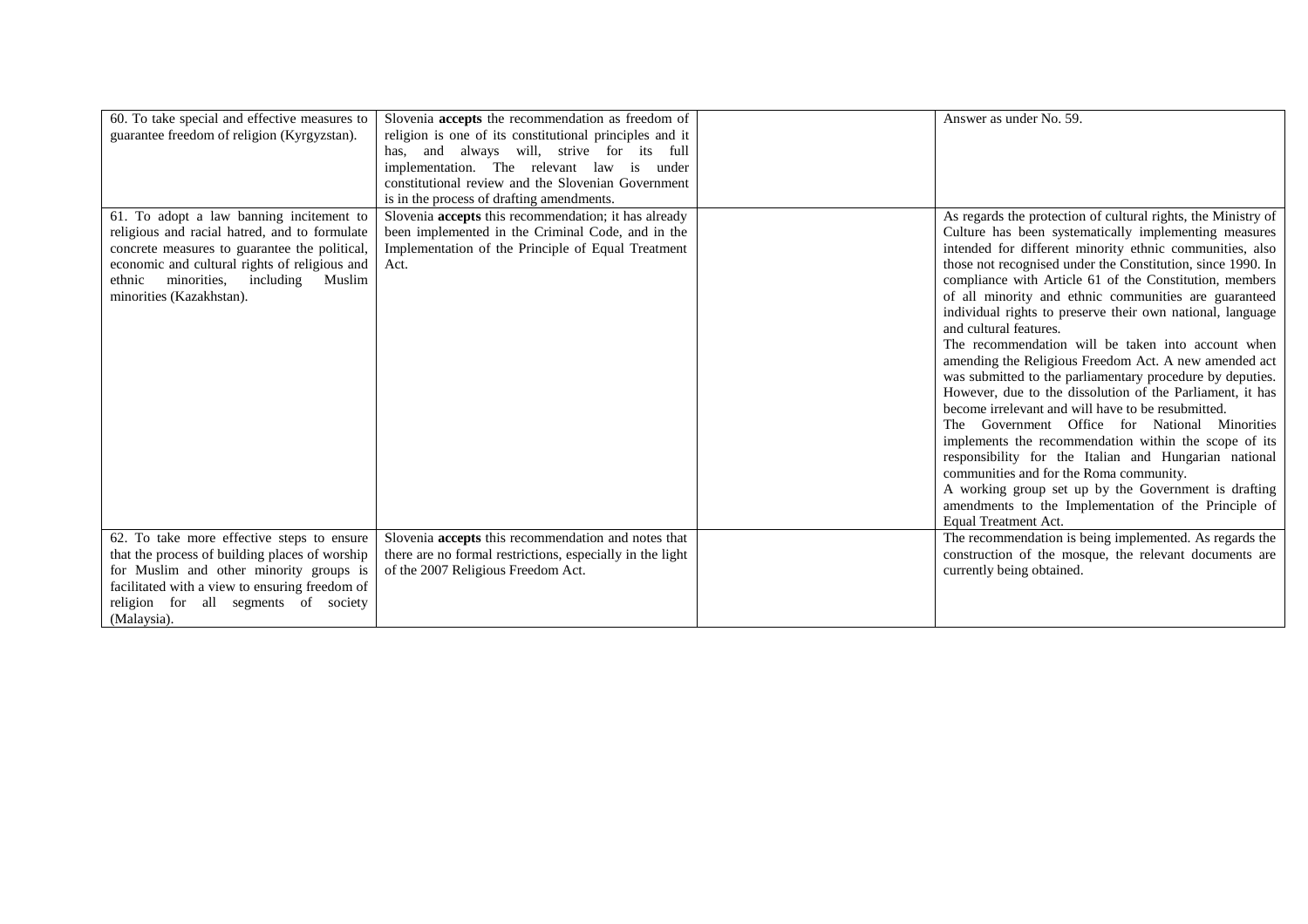| 60. To take special and effective measures to<br>guarantee freedom of religion (Kyrgyzstan).                                                                                                                                                                      | Slovenia accepts the recommendation as freedom of<br>religion is one of its constitutional principles and it<br>has, and always will, strive for its full<br>implementation. The relevant law is under<br>constitutional review and the Slovenian Government<br>is in the process of drafting amendments. | Answer as under No. 59.                                                                                                                                                                                                                                                                                                                                                                                                                                                                                                                                                                                                                                                                                                                                                                                                                                                                                                                                                                                                                                                                                            |
|-------------------------------------------------------------------------------------------------------------------------------------------------------------------------------------------------------------------------------------------------------------------|-----------------------------------------------------------------------------------------------------------------------------------------------------------------------------------------------------------------------------------------------------------------------------------------------------------|--------------------------------------------------------------------------------------------------------------------------------------------------------------------------------------------------------------------------------------------------------------------------------------------------------------------------------------------------------------------------------------------------------------------------------------------------------------------------------------------------------------------------------------------------------------------------------------------------------------------------------------------------------------------------------------------------------------------------------------------------------------------------------------------------------------------------------------------------------------------------------------------------------------------------------------------------------------------------------------------------------------------------------------------------------------------------------------------------------------------|
| 61. To adopt a law banning incitement to<br>religious and racial hatred, and to formulate<br>concrete measures to guarantee the political,<br>economic and cultural rights of religious and<br>minorities, including Muslim<br>ethnic<br>minorities (Kazakhstan). | Slovenia accepts this recommendation; it has already<br>been implemented in the Criminal Code, and in the<br>Implementation of the Principle of Equal Treatment<br>Act.                                                                                                                                   | As regards the protection of cultural rights, the Ministry of<br>Culture has been systematically implementing measures<br>intended for different minority ethnic communities, also<br>those not recognised under the Constitution, since 1990. In<br>compliance with Article 61 of the Constitution, members<br>of all minority and ethnic communities are guaranteed<br>individual rights to preserve their own national, language<br>and cultural features.<br>The recommendation will be taken into account when<br>amending the Religious Freedom Act. A new amended act<br>was submitted to the parliamentary procedure by deputies.<br>However, due to the dissolution of the Parliament, it has<br>become irrelevant and will have to be resubmitted.<br>The Government Office for National Minorities<br>implements the recommendation within the scope of its<br>responsibility for the Italian and Hungarian national<br>communities and for the Roma community.<br>A working group set up by the Government is drafting<br>amendments to the Implementation of the Principle of<br>Equal Treatment Act. |
| 62. To take more effective steps to ensure<br>that the process of building places of worship<br>for Muslim and other minority groups is<br>facilitated with a view to ensuring freedom of<br>religion for all segments of society<br>(Malaysia).                  | Slovenia accepts this recommendation and notes that<br>there are no formal restrictions, especially in the light<br>of the 2007 Religious Freedom Act.                                                                                                                                                    | The recommendation is being implemented. As regards the<br>construction of the mosque, the relevant documents are<br>currently being obtained.                                                                                                                                                                                                                                                                                                                                                                                                                                                                                                                                                                                                                                                                                                                                                                                                                                                                                                                                                                     |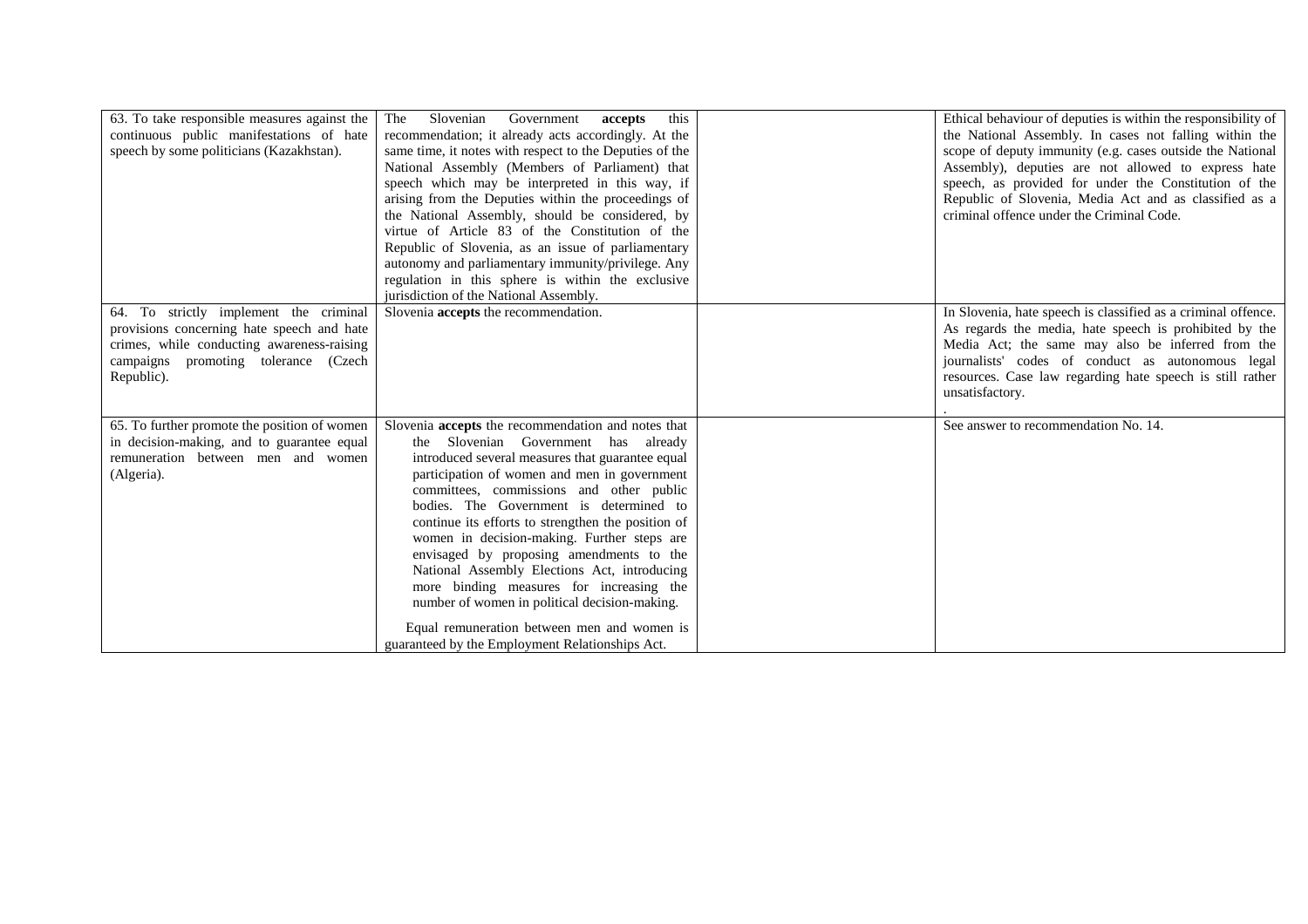| 63. To take responsible measures against the<br>continuous public manifestations of hate<br>speech by some politicians (Kazakhstan).                                                     | The<br>Slovenian<br>this<br>Government<br>accepts<br>recommendation; it already acts accordingly. At the<br>same time, it notes with respect to the Deputies of the<br>National Assembly (Members of Parliament) that<br>speech which may be interpreted in this way, if<br>arising from the Deputies within the proceedings of<br>the National Assembly, should be considered, by<br>virtue of Article 83 of the Constitution of the<br>Republic of Slovenia, as an issue of parliamentary<br>autonomy and parliamentary immunity/privilege. Any<br>regulation in this sphere is within the exclusive<br>jurisdiction of the National Assembly.                                      | Ethical behaviour of deputies is within the responsibility of<br>the National Assembly. In cases not falling within the<br>scope of deputy immunity (e.g. cases outside the National<br>Assembly), deputies are not allowed to express hate<br>speech, as provided for under the Constitution of the<br>Republic of Slovenia, Media Act and as classified as a<br>criminal offence under the Criminal Code. |
|------------------------------------------------------------------------------------------------------------------------------------------------------------------------------------------|---------------------------------------------------------------------------------------------------------------------------------------------------------------------------------------------------------------------------------------------------------------------------------------------------------------------------------------------------------------------------------------------------------------------------------------------------------------------------------------------------------------------------------------------------------------------------------------------------------------------------------------------------------------------------------------|-------------------------------------------------------------------------------------------------------------------------------------------------------------------------------------------------------------------------------------------------------------------------------------------------------------------------------------------------------------------------------------------------------------|
| 64. To strictly implement the criminal<br>provisions concerning hate speech and hate<br>crimes, while conducting awareness-raising<br>campaigns promoting tolerance (Czech<br>Republic). | Slovenia accepts the recommendation.                                                                                                                                                                                                                                                                                                                                                                                                                                                                                                                                                                                                                                                  | In Slovenia, hate speech is classified as a criminal offence.<br>As regards the media, hate speech is prohibited by the<br>Media Act; the same may also be inferred from the<br>journalists' codes of conduct as autonomous legal<br>resources. Case law regarding hate speech is still rather<br>unsatisfactory.                                                                                           |
| 65. To further promote the position of women<br>in decision-making, and to guarantee equal<br>remuneration between men and women<br>(Algeria).                                           | Slovenia accepts the recommendation and notes that<br>the Slovenian Government has already<br>introduced several measures that guarantee equal<br>participation of women and men in government<br>committees, commissions and other public<br>bodies. The Government is determined to<br>continue its efforts to strengthen the position of<br>women in decision-making. Further steps are<br>envisaged by proposing amendments to the<br>National Assembly Elections Act, introducing<br>more binding measures for increasing the<br>number of women in political decision-making.<br>Equal remuneration between men and women is<br>guaranteed by the Employment Relationships Act. | See answer to recommendation No. 14.                                                                                                                                                                                                                                                                                                                                                                        |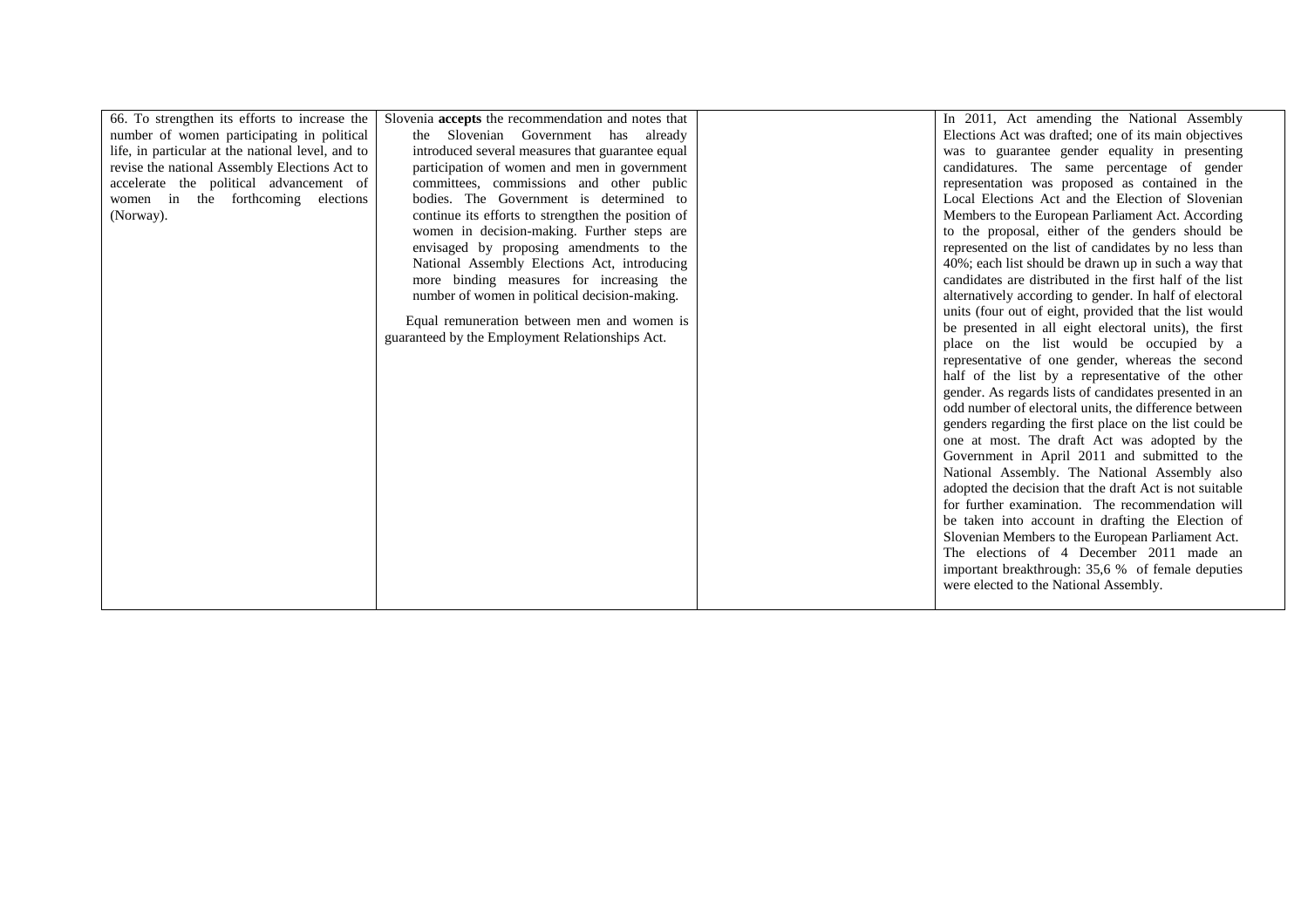| 66. To strengthen its efforts to increase the     | Slovenia accepts the recommendation and notes that | In 2011, Act amending the National Assembly              |
|---------------------------------------------------|----------------------------------------------------|----------------------------------------------------------|
| number of women participating in political        | the Slovenian Government has already               | Elections Act was drafted; one of its main objectives    |
| life, in particular at the national level, and to | introduced several measures that guarantee equal   | was to guarantee gender equality in presenting           |
| revise the national Assembly Elections Act to     | participation of women and men in government       | candidatures. The same percentage of gender              |
| accelerate the political advancement of           | committees, commissions and other public           | representation was proposed as contained in the          |
| women in the forthcoming elections                | bodies. The Government is determined to            | Local Elections Act and the Election of Slovenian        |
| (Norway).                                         | continue its efforts to strengthen the position of | Members to the European Parliament Act. According        |
|                                                   | women in decision-making. Further steps are        | to the proposal, either of the genders should be         |
|                                                   | envisaged by proposing amendments to the           | represented on the list of candidates by no less than    |
|                                                   | National Assembly Elections Act, introducing       | 40%; each list should be drawn up in such a way that     |
|                                                   | more binding measures for increasing the           | candidates are distributed in the first half of the list |
|                                                   | number of women in political decision-making.      | alternatively according to gender. In half of electoral  |
|                                                   | Equal remuneration between men and women is        | units (four out of eight, provided that the list would   |
|                                                   | guaranteed by the Employment Relationships Act.    | be presented in all eight electoral units), the first    |
|                                                   |                                                    | place on the list would be occupied by a                 |
|                                                   |                                                    | representative of one gender, whereas the second         |
|                                                   |                                                    | half of the list by a representative of the other        |
|                                                   |                                                    | gender. As regards lists of candidates presented in an   |
|                                                   |                                                    | odd number of electoral units, the difference between    |
|                                                   |                                                    | genders regarding the first place on the list could be   |
|                                                   |                                                    | one at most. The draft Act was adopted by the            |
|                                                   |                                                    | Government in April 2011 and submitted to the            |
|                                                   |                                                    | National Assembly. The National Assembly also            |
|                                                   |                                                    | adopted the decision that the draft Act is not suitable  |
|                                                   |                                                    | for further examination. The recommendation will         |
|                                                   |                                                    | be taken into account in drafting the Election of        |
|                                                   |                                                    | Slovenian Members to the European Parliament Act.        |
|                                                   |                                                    | The elections of 4 December 2011 made an                 |
|                                                   |                                                    | important breakthrough: 35,6 % of female deputies        |
|                                                   |                                                    | were elected to the National Assembly.                   |
|                                                   |                                                    |                                                          |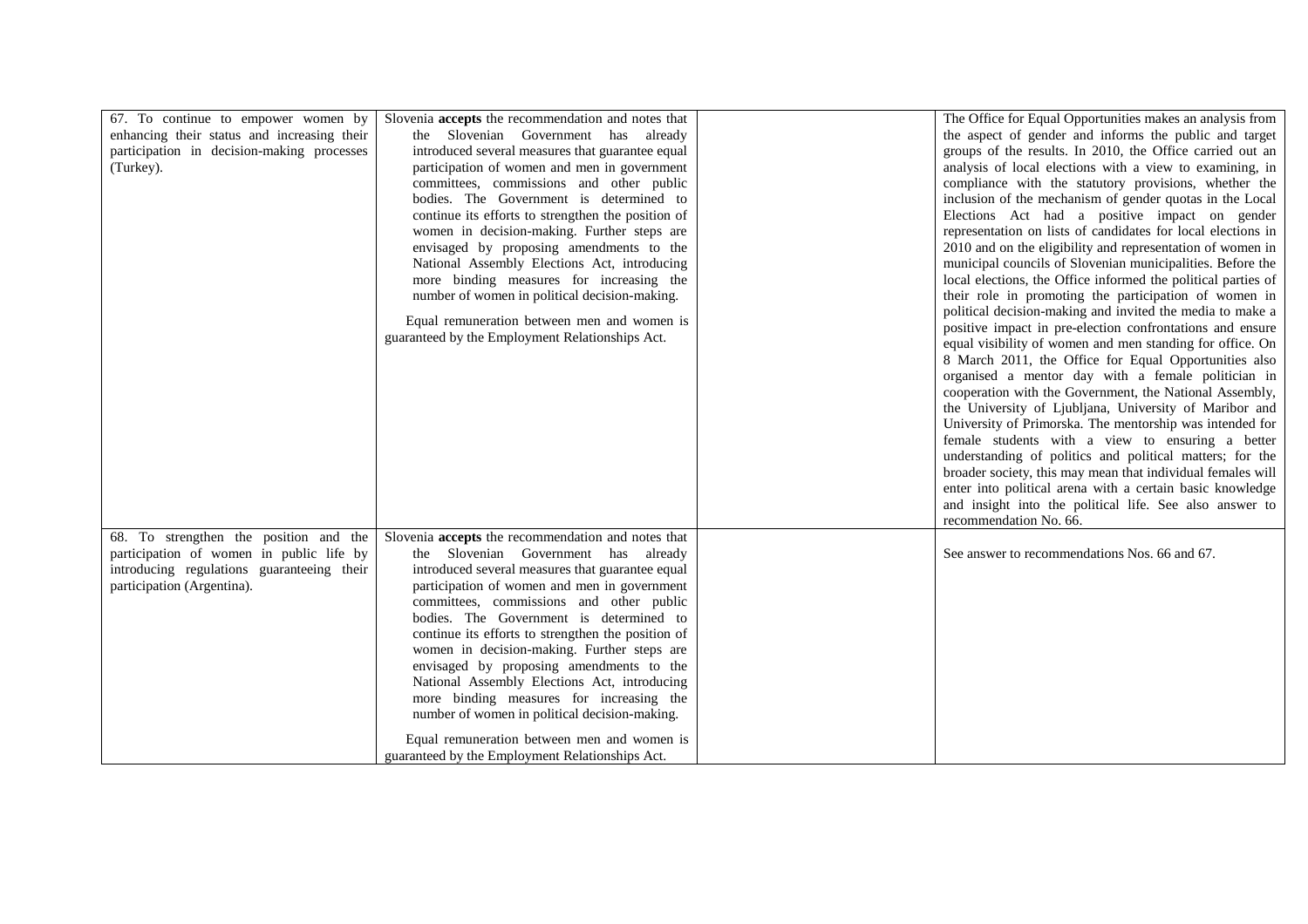| enhancing their status and increasing their<br>the aspect of gender and informs the public and target<br>the Slovenian Government has already<br>participation in decision-making processes<br>introduced several measures that guarantee equal<br>groups of the results. In 2010, the Office carried out an<br>participation of women and men in government<br>analysis of local elections with a view to examining, in<br>(Turkey).<br>committees, commissions and other public<br>compliance with the statutory provisions, whether the<br>bodies. The Government is determined to<br>inclusion of the mechanism of gender quotas in the Local<br>continue its efforts to strengthen the position of<br>Elections Act had a positive impact on gender<br>representation on lists of candidates for local elections in<br>women in decision-making. Further steps are<br>2010 and on the eligibility and representation of women in<br>envisaged by proposing amendments to the<br>National Assembly Elections Act, introducing<br>municipal councils of Slovenian municipalities. Before the<br>more binding measures for increasing the<br>local elections, the Office informed the political parties of<br>number of women in political decision-making.<br>their role in promoting the participation of women in<br>political decision-making and invited the media to make a |
|-------------------------------------------------------------------------------------------------------------------------------------------------------------------------------------------------------------------------------------------------------------------------------------------------------------------------------------------------------------------------------------------------------------------------------------------------------------------------------------------------------------------------------------------------------------------------------------------------------------------------------------------------------------------------------------------------------------------------------------------------------------------------------------------------------------------------------------------------------------------------------------------------------------------------------------------------------------------------------------------------------------------------------------------------------------------------------------------------------------------------------------------------------------------------------------------------------------------------------------------------------------------------------------------------------------------------------------------------------------------------------------|
|                                                                                                                                                                                                                                                                                                                                                                                                                                                                                                                                                                                                                                                                                                                                                                                                                                                                                                                                                                                                                                                                                                                                                                                                                                                                                                                                                                                     |
|                                                                                                                                                                                                                                                                                                                                                                                                                                                                                                                                                                                                                                                                                                                                                                                                                                                                                                                                                                                                                                                                                                                                                                                                                                                                                                                                                                                     |
|                                                                                                                                                                                                                                                                                                                                                                                                                                                                                                                                                                                                                                                                                                                                                                                                                                                                                                                                                                                                                                                                                                                                                                                                                                                                                                                                                                                     |
|                                                                                                                                                                                                                                                                                                                                                                                                                                                                                                                                                                                                                                                                                                                                                                                                                                                                                                                                                                                                                                                                                                                                                                                                                                                                                                                                                                                     |
|                                                                                                                                                                                                                                                                                                                                                                                                                                                                                                                                                                                                                                                                                                                                                                                                                                                                                                                                                                                                                                                                                                                                                                                                                                                                                                                                                                                     |
|                                                                                                                                                                                                                                                                                                                                                                                                                                                                                                                                                                                                                                                                                                                                                                                                                                                                                                                                                                                                                                                                                                                                                                                                                                                                                                                                                                                     |
|                                                                                                                                                                                                                                                                                                                                                                                                                                                                                                                                                                                                                                                                                                                                                                                                                                                                                                                                                                                                                                                                                                                                                                                                                                                                                                                                                                                     |
|                                                                                                                                                                                                                                                                                                                                                                                                                                                                                                                                                                                                                                                                                                                                                                                                                                                                                                                                                                                                                                                                                                                                                                                                                                                                                                                                                                                     |
|                                                                                                                                                                                                                                                                                                                                                                                                                                                                                                                                                                                                                                                                                                                                                                                                                                                                                                                                                                                                                                                                                                                                                                                                                                                                                                                                                                                     |
|                                                                                                                                                                                                                                                                                                                                                                                                                                                                                                                                                                                                                                                                                                                                                                                                                                                                                                                                                                                                                                                                                                                                                                                                                                                                                                                                                                                     |
|                                                                                                                                                                                                                                                                                                                                                                                                                                                                                                                                                                                                                                                                                                                                                                                                                                                                                                                                                                                                                                                                                                                                                                                                                                                                                                                                                                                     |
|                                                                                                                                                                                                                                                                                                                                                                                                                                                                                                                                                                                                                                                                                                                                                                                                                                                                                                                                                                                                                                                                                                                                                                                                                                                                                                                                                                                     |
| Equal remuneration between men and women is<br>positive impact in pre-election confrontations and ensure                                                                                                                                                                                                                                                                                                                                                                                                                                                                                                                                                                                                                                                                                                                                                                                                                                                                                                                                                                                                                                                                                                                                                                                                                                                                            |
| guaranteed by the Employment Relationships Act.<br>equal visibility of women and men standing for office. On                                                                                                                                                                                                                                                                                                                                                                                                                                                                                                                                                                                                                                                                                                                                                                                                                                                                                                                                                                                                                                                                                                                                                                                                                                                                        |
| 8 March 2011, the Office for Equal Opportunities also                                                                                                                                                                                                                                                                                                                                                                                                                                                                                                                                                                                                                                                                                                                                                                                                                                                                                                                                                                                                                                                                                                                                                                                                                                                                                                                               |
| organised a mentor day with a female politician in                                                                                                                                                                                                                                                                                                                                                                                                                                                                                                                                                                                                                                                                                                                                                                                                                                                                                                                                                                                                                                                                                                                                                                                                                                                                                                                                  |
| cooperation with the Government, the National Assembly,                                                                                                                                                                                                                                                                                                                                                                                                                                                                                                                                                                                                                                                                                                                                                                                                                                                                                                                                                                                                                                                                                                                                                                                                                                                                                                                             |
| the University of Ljubljana, University of Maribor and                                                                                                                                                                                                                                                                                                                                                                                                                                                                                                                                                                                                                                                                                                                                                                                                                                                                                                                                                                                                                                                                                                                                                                                                                                                                                                                              |
| University of Primorska. The mentorship was intended for                                                                                                                                                                                                                                                                                                                                                                                                                                                                                                                                                                                                                                                                                                                                                                                                                                                                                                                                                                                                                                                                                                                                                                                                                                                                                                                            |
| female students with a view to ensuring a better                                                                                                                                                                                                                                                                                                                                                                                                                                                                                                                                                                                                                                                                                                                                                                                                                                                                                                                                                                                                                                                                                                                                                                                                                                                                                                                                    |
|                                                                                                                                                                                                                                                                                                                                                                                                                                                                                                                                                                                                                                                                                                                                                                                                                                                                                                                                                                                                                                                                                                                                                                                                                                                                                                                                                                                     |
| understanding of politics and political matters; for the                                                                                                                                                                                                                                                                                                                                                                                                                                                                                                                                                                                                                                                                                                                                                                                                                                                                                                                                                                                                                                                                                                                                                                                                                                                                                                                            |
| broader society, this may mean that individual females will                                                                                                                                                                                                                                                                                                                                                                                                                                                                                                                                                                                                                                                                                                                                                                                                                                                                                                                                                                                                                                                                                                                                                                                                                                                                                                                         |
| enter into political arena with a certain basic knowledge                                                                                                                                                                                                                                                                                                                                                                                                                                                                                                                                                                                                                                                                                                                                                                                                                                                                                                                                                                                                                                                                                                                                                                                                                                                                                                                           |
| and insight into the political life. See also answer to                                                                                                                                                                                                                                                                                                                                                                                                                                                                                                                                                                                                                                                                                                                                                                                                                                                                                                                                                                                                                                                                                                                                                                                                                                                                                                                             |
| recommendation No. 66.                                                                                                                                                                                                                                                                                                                                                                                                                                                                                                                                                                                                                                                                                                                                                                                                                                                                                                                                                                                                                                                                                                                                                                                                                                                                                                                                                              |
| 68. To strengthen the position and the<br>Slovenia accepts the recommendation and notes that                                                                                                                                                                                                                                                                                                                                                                                                                                                                                                                                                                                                                                                                                                                                                                                                                                                                                                                                                                                                                                                                                                                                                                                                                                                                                        |
| the Slovenian Government has already<br>participation of women in public life by<br>See answer to recommendations Nos. 66 and 67.                                                                                                                                                                                                                                                                                                                                                                                                                                                                                                                                                                                                                                                                                                                                                                                                                                                                                                                                                                                                                                                                                                                                                                                                                                                   |
| introducing regulations guaranteeing their<br>introduced several measures that guarantee equal                                                                                                                                                                                                                                                                                                                                                                                                                                                                                                                                                                                                                                                                                                                                                                                                                                                                                                                                                                                                                                                                                                                                                                                                                                                                                      |
| participation of women and men in government<br>participation (Argentina).                                                                                                                                                                                                                                                                                                                                                                                                                                                                                                                                                                                                                                                                                                                                                                                                                                                                                                                                                                                                                                                                                                                                                                                                                                                                                                          |
| committees, commissions and other public                                                                                                                                                                                                                                                                                                                                                                                                                                                                                                                                                                                                                                                                                                                                                                                                                                                                                                                                                                                                                                                                                                                                                                                                                                                                                                                                            |
| bodies. The Government is determined to                                                                                                                                                                                                                                                                                                                                                                                                                                                                                                                                                                                                                                                                                                                                                                                                                                                                                                                                                                                                                                                                                                                                                                                                                                                                                                                                             |
| continue its efforts to strengthen the position of                                                                                                                                                                                                                                                                                                                                                                                                                                                                                                                                                                                                                                                                                                                                                                                                                                                                                                                                                                                                                                                                                                                                                                                                                                                                                                                                  |
| women in decision-making. Further steps are                                                                                                                                                                                                                                                                                                                                                                                                                                                                                                                                                                                                                                                                                                                                                                                                                                                                                                                                                                                                                                                                                                                                                                                                                                                                                                                                         |
| envisaged by proposing amendments to the                                                                                                                                                                                                                                                                                                                                                                                                                                                                                                                                                                                                                                                                                                                                                                                                                                                                                                                                                                                                                                                                                                                                                                                                                                                                                                                                            |
| National Assembly Elections Act, introducing                                                                                                                                                                                                                                                                                                                                                                                                                                                                                                                                                                                                                                                                                                                                                                                                                                                                                                                                                                                                                                                                                                                                                                                                                                                                                                                                        |
| more binding measures for increasing the                                                                                                                                                                                                                                                                                                                                                                                                                                                                                                                                                                                                                                                                                                                                                                                                                                                                                                                                                                                                                                                                                                                                                                                                                                                                                                                                            |
| number of women in political decision-making.                                                                                                                                                                                                                                                                                                                                                                                                                                                                                                                                                                                                                                                                                                                                                                                                                                                                                                                                                                                                                                                                                                                                                                                                                                                                                                                                       |
|                                                                                                                                                                                                                                                                                                                                                                                                                                                                                                                                                                                                                                                                                                                                                                                                                                                                                                                                                                                                                                                                                                                                                                                                                                                                                                                                                                                     |
| Equal remuneration between men and women is<br>guaranteed by the Employment Relationships Act.                                                                                                                                                                                                                                                                                                                                                                                                                                                                                                                                                                                                                                                                                                                                                                                                                                                                                                                                                                                                                                                                                                                                                                                                                                                                                      |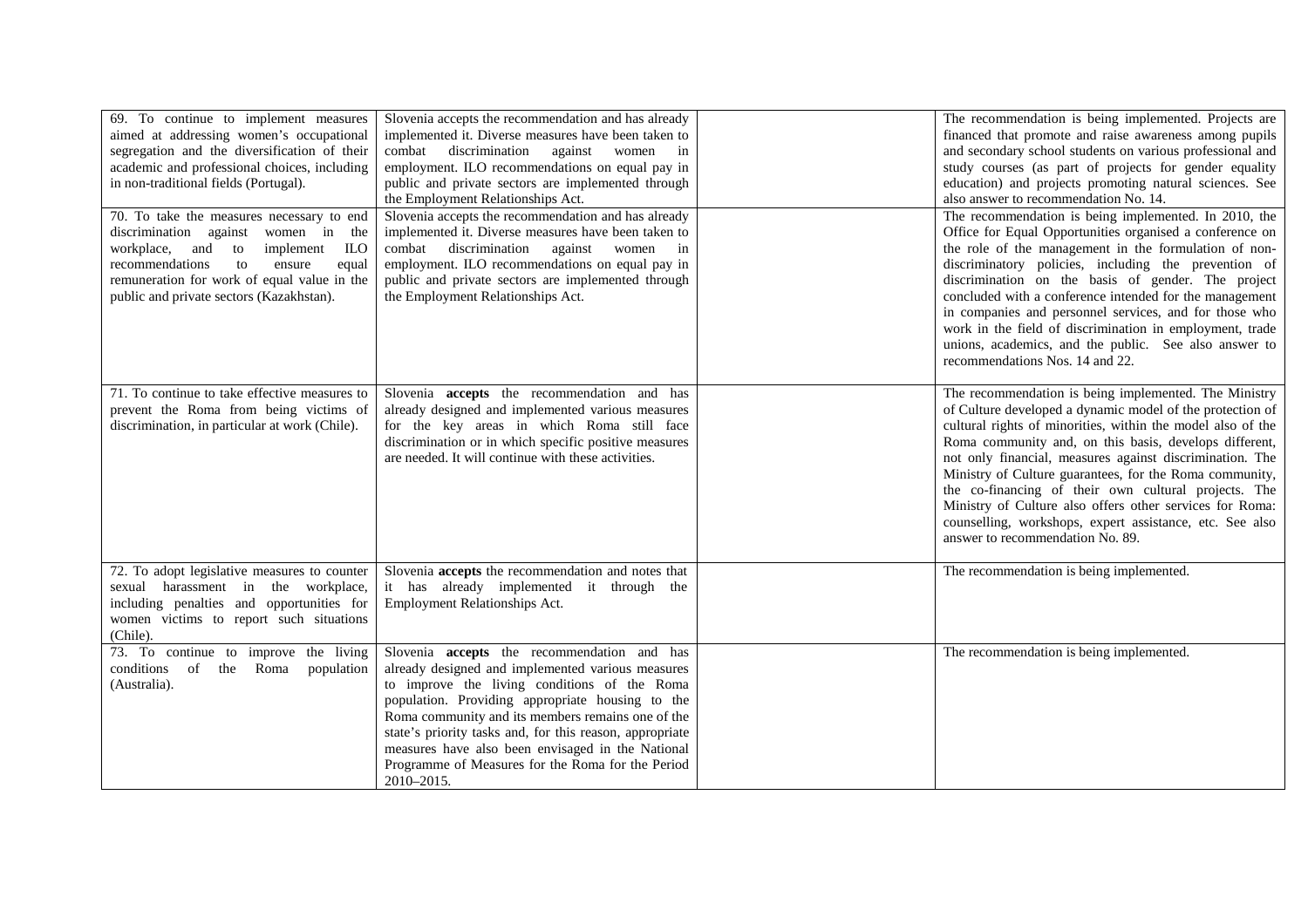| 69. To continue to implement measures<br>aimed at addressing women's occupational<br>segregation and the diversification of their<br>academic and professional choices, including<br>in non-traditional fields (Portugal).                                       | Slovenia accepts the recommendation and has already<br>implemented it. Diverse measures have been taken to<br>combat discrimination<br>against women in<br>employment. ILO recommendations on equal pay in<br>public and private sectors are implemented through<br>the Employment Relationships Act.                                                                                                                                                | The recommendation is being implemented. Projects are<br>financed that promote and raise awareness among pupils<br>and secondary school students on various professional and<br>study courses (as part of projects for gender equality<br>education) and projects promoting natural sciences. See<br>also answer to recommendation No. 14.                                                                                                                                                                                                                                             |
|------------------------------------------------------------------------------------------------------------------------------------------------------------------------------------------------------------------------------------------------------------------|------------------------------------------------------------------------------------------------------------------------------------------------------------------------------------------------------------------------------------------------------------------------------------------------------------------------------------------------------------------------------------------------------------------------------------------------------|----------------------------------------------------------------------------------------------------------------------------------------------------------------------------------------------------------------------------------------------------------------------------------------------------------------------------------------------------------------------------------------------------------------------------------------------------------------------------------------------------------------------------------------------------------------------------------------|
| 70. To take the measures necessary to end<br>discrimination against women in the<br>workplace, and to<br>implement<br>ILO<br>recommendations<br>to<br>ensure<br>equal<br>remuneration for work of equal value in the<br>public and private sectors (Kazakhstan). | Slovenia accepts the recommendation and has already<br>implemented it. Diverse measures have been taken to<br>combat discrimination<br>against women in<br>employment. ILO recommendations on equal pay in<br>public and private sectors are implemented through<br>the Employment Relationships Act.                                                                                                                                                | The recommendation is being implemented. In 2010, the<br>Office for Equal Opportunities organised a conference on<br>the role of the management in the formulation of non-<br>discriminatory policies, including the prevention of<br>discrimination on the basis of gender. The project<br>concluded with a conference intended for the management<br>in companies and personnel services, and for those who<br>work in the field of discrimination in employment, trade<br>unions, academics, and the public. See also answer to<br>recommendations Nos. 14 and 22.                  |
| 71. To continue to take effective measures to<br>prevent the Roma from being victims of<br>discrimination, in particular at work (Chile).                                                                                                                        | Slovenia accepts the recommendation and has<br>already designed and implemented various measures<br>for the key areas in which Roma still face<br>discrimination or in which specific positive measures<br>are needed. It will continue with these activities.                                                                                                                                                                                       | The recommendation is being implemented. The Ministry<br>of Culture developed a dynamic model of the protection of<br>cultural rights of minorities, within the model also of the<br>Roma community and, on this basis, develops different,<br>not only financial, measures against discrimination. The<br>Ministry of Culture guarantees, for the Roma community,<br>the co-financing of their own cultural projects. The<br>Ministry of Culture also offers other services for Roma:<br>counselling, workshops, expert assistance, etc. See also<br>answer to recommendation No. 89. |
| 72. To adopt legislative measures to counter<br>sexual harassment in the workplace,<br>including penalties and opportunities for<br>women victims to report such situations<br>(Chile).                                                                          | Slovenia accepts the recommendation and notes that<br>it has already implemented it through the<br>Employment Relationships Act.                                                                                                                                                                                                                                                                                                                     | The recommendation is being implemented.                                                                                                                                                                                                                                                                                                                                                                                                                                                                                                                                               |
| 73. To continue to improve the living<br>conditions of the Roma<br>population<br>(Australia).                                                                                                                                                                    | Slovenia <b>accepts</b> the recommendation and has<br>already designed and implemented various measures<br>to improve the living conditions of the Roma<br>population. Providing appropriate housing to the<br>Roma community and its members remains one of the<br>state's priority tasks and, for this reason, appropriate<br>measures have also been envisaged in the National<br>Programme of Measures for the Roma for the Period<br>2010-2015. | The recommendation is being implemented.                                                                                                                                                                                                                                                                                                                                                                                                                                                                                                                                               |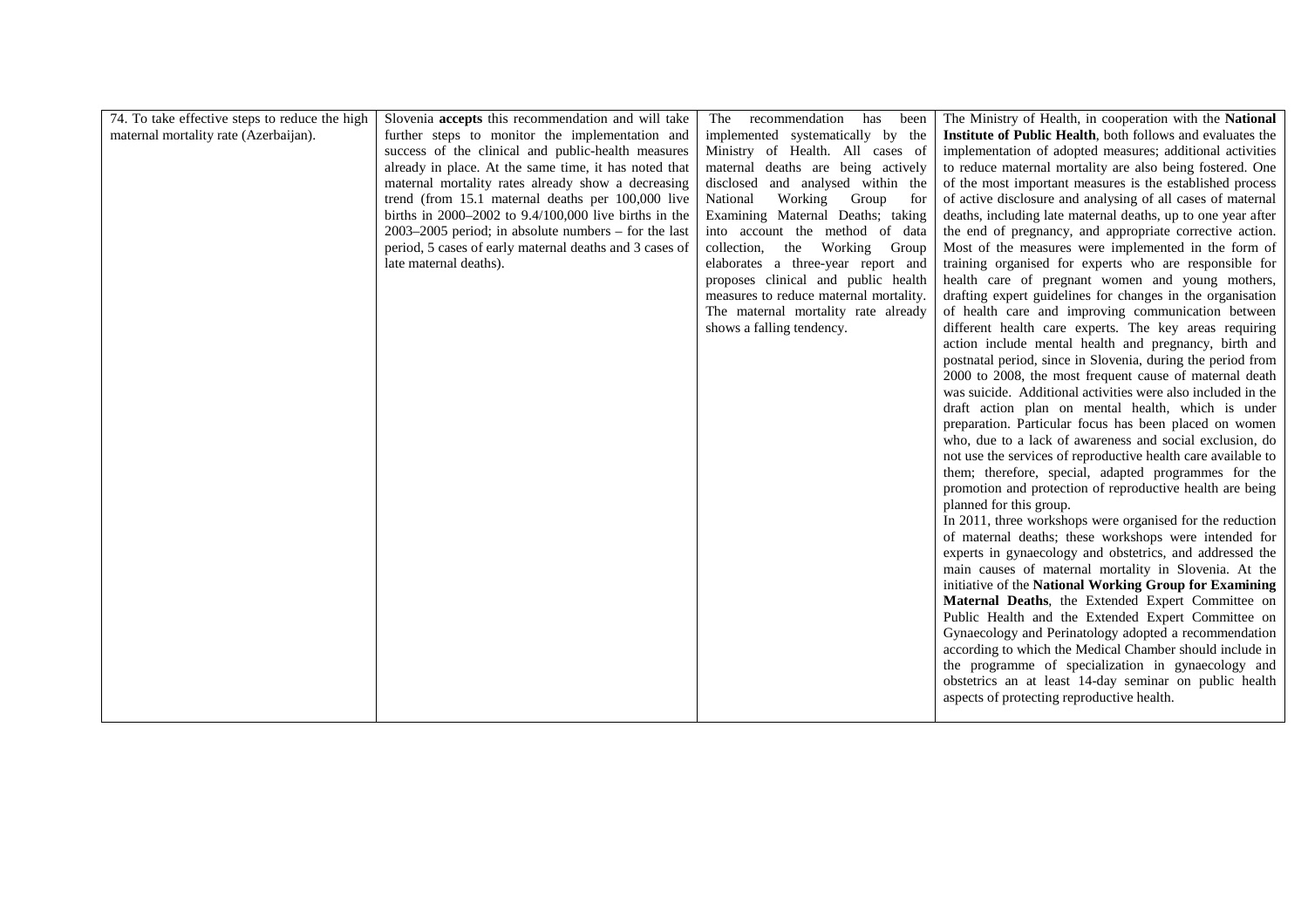| 74. To take effective steps to reduce the high | Slovenia accepts this recommendation and will take        | The<br>recommendation<br>has<br>been   | The Ministry of Health, in cooperation with the National          |
|------------------------------------------------|-----------------------------------------------------------|----------------------------------------|-------------------------------------------------------------------|
| maternal mortality rate (Azerbaijan).          | further steps to monitor the implementation and           | implemented systematically by the      | <b>Institute of Public Health, both follows and evaluates the</b> |
|                                                | success of the clinical and public-health measures        | Ministry of Health. All cases of       | implementation of adopted measures; additional activities         |
|                                                | already in place. At the same time, it has noted that     | maternal deaths are being actively     | to reduce maternal mortality are also being fostered. One         |
|                                                | maternal mortality rates already show a decreasing        | disclosed and analysed within the      | of the most important measures is the established process         |
|                                                | trend (from 15.1 maternal deaths per 100,000 live         | National<br>Working<br>Group<br>for    | of active disclosure and analysing of all cases of maternal       |
|                                                | births in $2000-2002$ to $9.4/100,000$ live births in the | Examining Maternal Deaths; taking      | deaths, including late maternal deaths, up to one year after      |
|                                                | $2003-2005$ period; in absolute numbers – for the last    | into account the method of data        | the end of pregnancy, and appropriate corrective action.          |
|                                                | period, 5 cases of early maternal deaths and 3 cases of   | collection,<br>the Working Group       | Most of the measures were implemented in the form of              |
|                                                | late maternal deaths).                                    | elaborates a three-year report and     | training organised for experts who are responsible for            |
|                                                |                                                           | proposes clinical and public health    | health care of pregnant women and young mothers,                  |
|                                                |                                                           | measures to reduce maternal mortality. | drafting expert guidelines for changes in the organisation        |
|                                                |                                                           | The maternal mortality rate already    | of health care and improving communication between                |
|                                                |                                                           | shows a falling tendency.              | different health care experts. The key areas requiring            |
|                                                |                                                           |                                        | action include mental health and pregnancy, birth and             |
|                                                |                                                           |                                        | postnatal period, since in Slovenia, during the period from       |
|                                                |                                                           |                                        | 2000 to 2008, the most frequent cause of maternal death           |
|                                                |                                                           |                                        | was suicide. Additional activities were also included in the      |
|                                                |                                                           |                                        | draft action plan on mental health, which is under                |
|                                                |                                                           |                                        | preparation. Particular focus has been placed on women            |
|                                                |                                                           |                                        | who, due to a lack of awareness and social exclusion, do          |
|                                                |                                                           |                                        | not use the services of reproductive health care available to     |
|                                                |                                                           |                                        | them; therefore, special, adapted programmes for the              |
|                                                |                                                           |                                        | promotion and protection of reproductive health are being         |
|                                                |                                                           |                                        | planned for this group.                                           |
|                                                |                                                           |                                        | In 2011, three workshops were organised for the reduction         |
|                                                |                                                           |                                        | of maternal deaths; these workshops were intended for             |
|                                                |                                                           |                                        | experts in gynaecology and obstetrics, and addressed the          |
|                                                |                                                           |                                        | main causes of maternal mortality in Slovenia. At the             |
|                                                |                                                           |                                        | initiative of the National Working Group for Examining            |
|                                                |                                                           |                                        | Maternal Deaths, the Extended Expert Committee on                 |
|                                                |                                                           |                                        | Public Health and the Extended Expert Committee on                |
|                                                |                                                           |                                        | Gynaecology and Perinatology adopted a recommendation             |
|                                                |                                                           |                                        | according to which the Medical Chamber should include in          |
|                                                |                                                           |                                        | the programme of specialization in gynaecology and                |
|                                                |                                                           |                                        | obstetrics an at least 14-day seminar on public health            |
|                                                |                                                           |                                        | aspects of protecting reproductive health.                        |
|                                                |                                                           |                                        |                                                                   |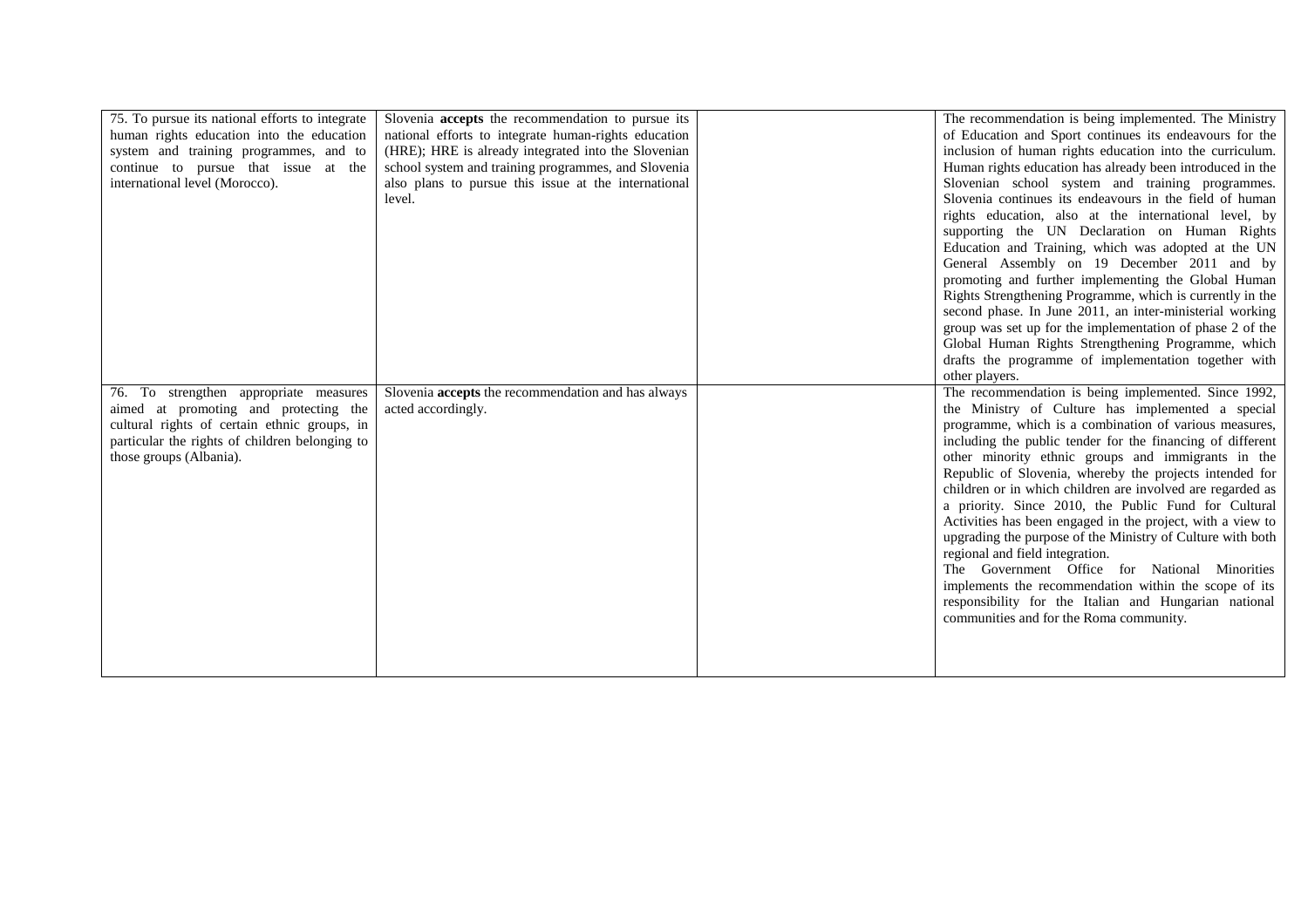| 75. To pursue its national efforts to integrate<br>human rights education into the education<br>system and training programmes, and to<br>continue to pursue that issue at the<br>international level (Morocco). | Slovenia <b>accepts</b> the recommendation to pursue its<br>national efforts to integrate human-rights education<br>(HRE); HRE is already integrated into the Slovenian<br>school system and training programmes, and Slovenia<br>also plans to pursue this issue at the international<br>level. | The recommendation is being implemented. The Ministry<br>of Education and Sport continues its endeavours for the<br>inclusion of human rights education into the curriculum.<br>Human rights education has already been introduced in the<br>Slovenian school system and training programmes.<br>Slovenia continues its endeavours in the field of human<br>rights education, also at the international level, by<br>supporting the UN Declaration on Human Rights<br>Education and Training, which was adopted at the UN<br>General Assembly on 19 December 2011 and by<br>promoting and further implementing the Global Human<br>Rights Strengthening Programme, which is currently in the<br>second phase. In June 2011, an inter-ministerial working<br>group was set up for the implementation of phase 2 of the<br>Global Human Rights Strengthening Programme, which<br>drafts the programme of implementation together with<br>other players. |
|------------------------------------------------------------------------------------------------------------------------------------------------------------------------------------------------------------------|--------------------------------------------------------------------------------------------------------------------------------------------------------------------------------------------------------------------------------------------------------------------------------------------------|-------------------------------------------------------------------------------------------------------------------------------------------------------------------------------------------------------------------------------------------------------------------------------------------------------------------------------------------------------------------------------------------------------------------------------------------------------------------------------------------------------------------------------------------------------------------------------------------------------------------------------------------------------------------------------------------------------------------------------------------------------------------------------------------------------------------------------------------------------------------------------------------------------------------------------------------------------|
| 76. To strengthen appropriate measures<br>aimed at promoting and protecting the<br>cultural rights of certain ethnic groups, in<br>particular the rights of children belonging to<br>those groups (Albania).     | Slovenia <b>accepts</b> the recommendation and has always<br>acted accordingly.                                                                                                                                                                                                                  | The recommendation is being implemented. Since 1992,<br>the Ministry of Culture has implemented a special<br>programme, which is a combination of various measures,<br>including the public tender for the financing of different<br>other minority ethnic groups and immigrants in the<br>Republic of Slovenia, whereby the projects intended for<br>children or in which children are involved are regarded as<br>a priority. Since 2010, the Public Fund for Cultural<br>Activities has been engaged in the project, with a view to<br>upgrading the purpose of the Ministry of Culture with both<br>regional and field integration.<br>The Government Office for National Minorities<br>implements the recommendation within the scope of its<br>responsibility for the Italian and Hungarian national<br>communities and for the Roma community.                                                                                                 |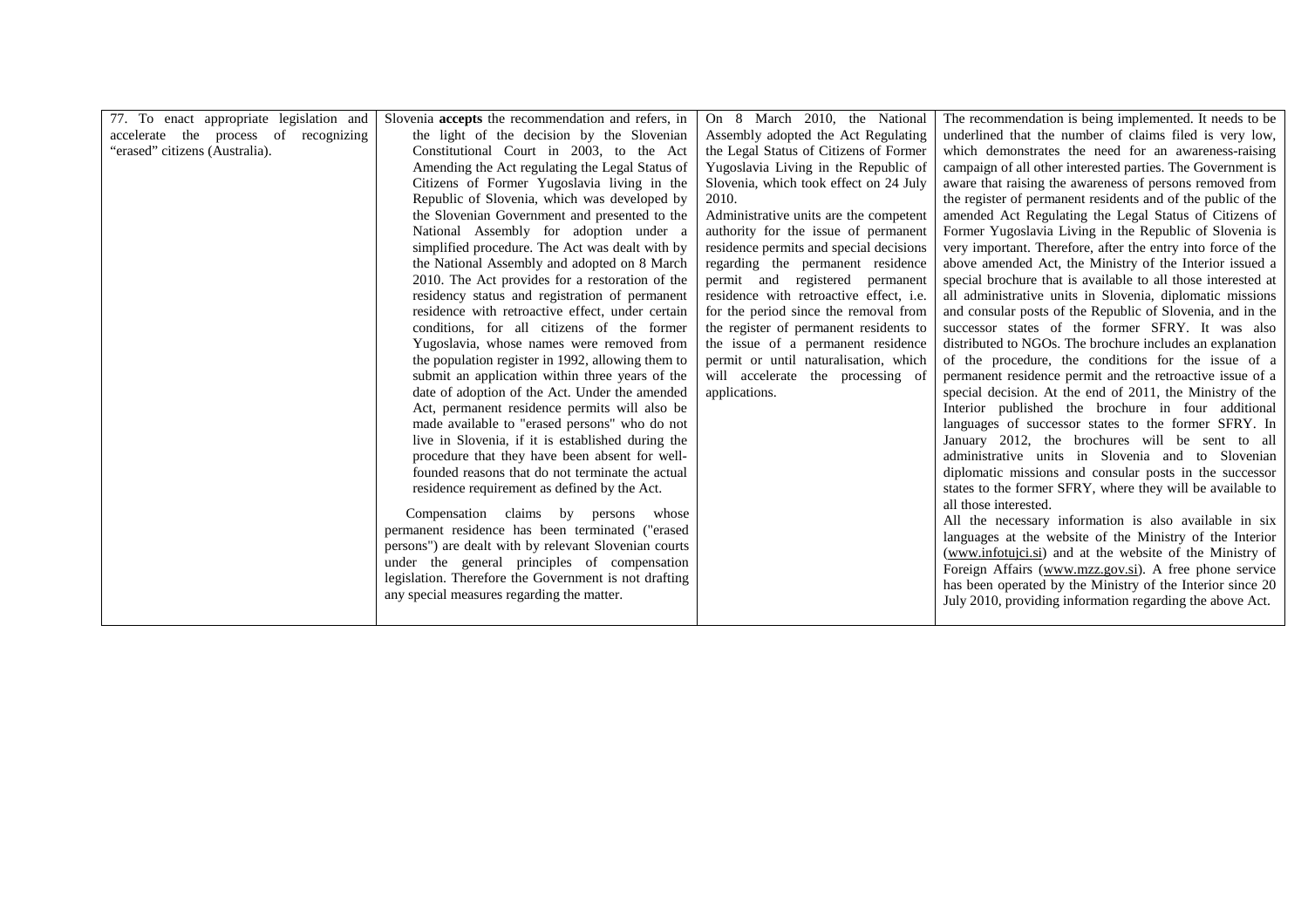| 77. To enact appropriate legislation and | Slovenia <b>accepts</b> the recommendation and refers, in | On 8 March 2010, the National                  | The recommendation is being implemented. It needs to be       |
|------------------------------------------|-----------------------------------------------------------|------------------------------------------------|---------------------------------------------------------------|
| accelerate the process of recognizing    | the light of the decision by the Slovenian                | Assembly adopted the Act Regulating            | underlined that the number of claims filed is very low,       |
| "erased" citizens (Australia).           | Constitutional Court in 2003, to the Act                  | the Legal Status of Citizens of Former         | which demonstrates the need for an awareness-raising          |
|                                          | Amending the Act regulating the Legal Status of           | Yugoslavia Living in the Republic of           | campaign of all other interested parties. The Government is   |
|                                          | Citizens of Former Yugoslavia living in the               | Slovenia, which took effect on 24 July         | aware that raising the awareness of persons removed from      |
|                                          | Republic of Slovenia, which was developed by              | 2010.                                          | the register of permanent residents and of the public of the  |
|                                          | the Slovenian Government and presented to the             | Administrative units are the competent         | amended Act Regulating the Legal Status of Citizens of        |
|                                          | National Assembly for adoption under a                    | authority for the issue of permanent           | Former Yugoslavia Living in the Republic of Slovenia is       |
|                                          | simplified procedure. The Act was dealt with by           | residence permits and special decisions        | very important. Therefore, after the entry into force of the  |
|                                          | the National Assembly and adopted on 8 March              | regarding the permanent residence              | above amended Act, the Ministry of the Interior issued a      |
|                                          | 2010. The Act provides for a restoration of the           | permit and registered permanent                | special brochure that is available to all those interested at |
|                                          | residency status and registration of permanent            | residence with retroactive effect, <i>i.e.</i> | all administrative units in Slovenia, diplomatic missions     |
|                                          | residence with retroactive effect, under certain          | for the period since the removal from          | and consular posts of the Republic of Slovenia, and in the    |
|                                          | conditions, for all citizens of the former                | the register of permanent residents to         | successor states of the former SFRY. It was also              |
|                                          | Yugoslavia, whose names were removed from                 | the issue of a permanent residence             | distributed to NGOs. The brochure includes an explanation     |
|                                          | the population register in 1992, allowing them to         | permit or until naturalisation, which          | of the procedure, the conditions for the issue of a           |
|                                          | submit an application within three years of the           | will accelerate the processing of              | permanent residence permit and the retroactive issue of a     |
|                                          | date of adoption of the Act. Under the amended            | applications.                                  | special decision. At the end of 2011, the Ministry of the     |
|                                          | Act, permanent residence permits will also be             |                                                | Interior published the brochure in four additional            |
|                                          | made available to "erased persons" who do not             |                                                | languages of successor states to the former SFRY. In          |
|                                          | live in Slovenia, if it is established during the         |                                                | January 2012, the brochures will be sent to all               |
|                                          | procedure that they have been absent for well-            |                                                | administrative units in Slovenia and to Slovenian             |
|                                          | founded reasons that do not terminate the actual          |                                                | diplomatic missions and consular posts in the successor       |
|                                          | residence requirement as defined by the Act.              |                                                | states to the former SFRY, where they will be available to    |
|                                          |                                                           |                                                | all those interested.                                         |
|                                          | Compensation claims by persons<br>whose                   |                                                | All the necessary information is also available in six        |
|                                          | permanent residence has been terminated ("erased          |                                                | languages at the website of the Ministry of the Interior      |
|                                          | persons") are dealt with by relevant Slovenian courts     |                                                | (www.infotujci.si) and at the website of the Ministry of      |
|                                          | under the general principles of compensation              |                                                | Foreign Affairs (www.mzz.gov.si). A free phone service        |
|                                          | legislation. Therefore the Government is not drafting     |                                                | has been operated by the Ministry of the Interior since 20    |
|                                          | any special measures regarding the matter.                |                                                | July 2010, providing information regarding the above Act.     |
|                                          |                                                           |                                                |                                                               |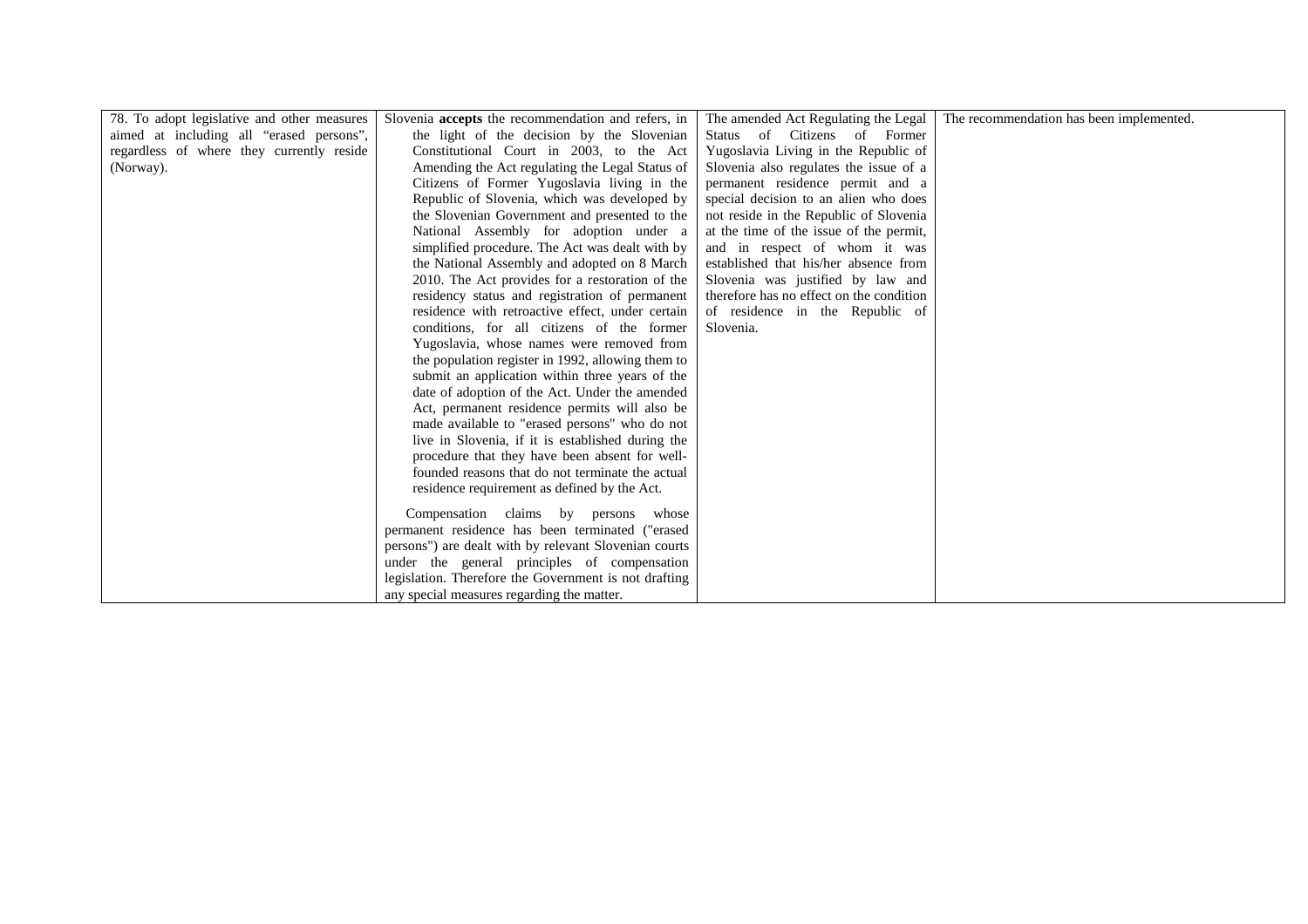| 78. To adopt legislative and other measures | Slovenia accepts the recommendation and refers, in    | The amended Act Regulating the Legal     | The recommendation has been implemented. |
|---------------------------------------------|-------------------------------------------------------|------------------------------------------|------------------------------------------|
| aimed at including all "erased persons",    | the light of the decision by the Slovenian            | Status of Citizens of Former             |                                          |
| regardless of where they currently reside   | Constitutional Court in 2003, to the Act              | Yugoslavia Living in the Republic of     |                                          |
| (Norway).                                   | Amending the Act regulating the Legal Status of       | Slovenia also regulates the issue of a   |                                          |
|                                             | Citizens of Former Yugoslavia living in the           | permanent residence permit and a         |                                          |
|                                             | Republic of Slovenia, which was developed by          | special decision to an alien who does    |                                          |
|                                             | the Slovenian Government and presented to the         | not reside in the Republic of Slovenia   |                                          |
|                                             | National Assembly for adoption under a                | at the time of the issue of the permit,  |                                          |
|                                             | simplified procedure. The Act was dealt with by       | and in respect of whom it was            |                                          |
|                                             | the National Assembly and adopted on 8 March          | established that his/her absence from    |                                          |
|                                             | 2010. The Act provides for a restoration of the       | Slovenia was justified by law and        |                                          |
|                                             | residency status and registration of permanent        | therefore has no effect on the condition |                                          |
|                                             | residence with retroactive effect, under certain      | of residence in the Republic of          |                                          |
|                                             | conditions, for all citizens of the former            | Slovenia.                                |                                          |
|                                             | Yugoslavia, whose names were removed from             |                                          |                                          |
|                                             | the population register in 1992, allowing them to     |                                          |                                          |
|                                             | submit an application within three years of the       |                                          |                                          |
|                                             | date of adoption of the Act. Under the amended        |                                          |                                          |
|                                             | Act, permanent residence permits will also be         |                                          |                                          |
|                                             | made available to "erased persons" who do not         |                                          |                                          |
|                                             | live in Slovenia, if it is established during the     |                                          |                                          |
|                                             | procedure that they have been absent for well-        |                                          |                                          |
|                                             | founded reasons that do not terminate the actual      |                                          |                                          |
|                                             | residence requirement as defined by the Act.          |                                          |                                          |
|                                             | Compensation claims by persons whose                  |                                          |                                          |
|                                             | permanent residence has been terminated ("erased      |                                          |                                          |
|                                             | persons") are dealt with by relevant Slovenian courts |                                          |                                          |
|                                             | under the general principles of compensation          |                                          |                                          |
|                                             | legislation. Therefore the Government is not drafting |                                          |                                          |
|                                             |                                                       |                                          |                                          |
|                                             | any special measures regarding the matter.            |                                          |                                          |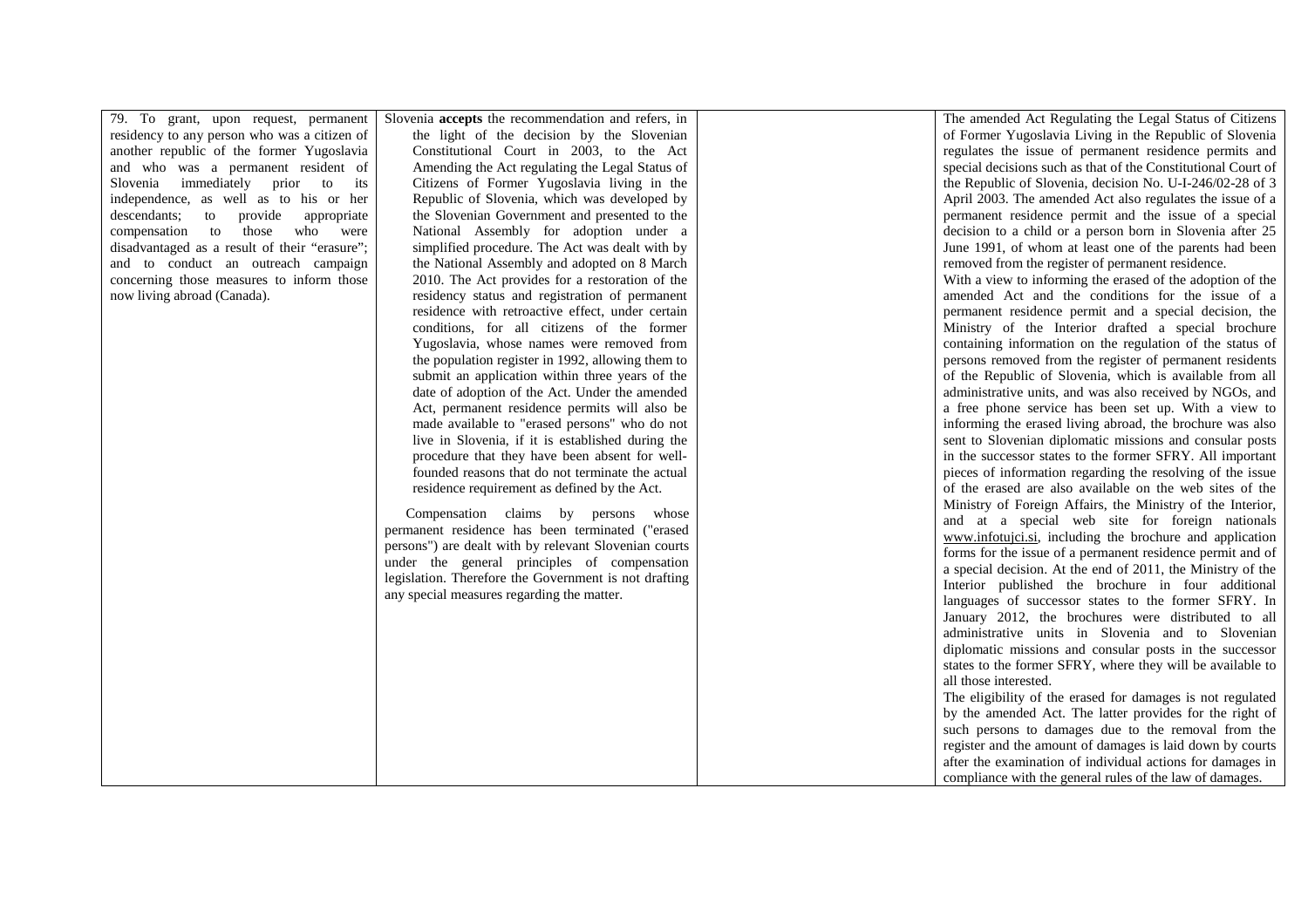79. To grant, upon request, permanent residency to any person who was a citizen of another republic of the former Yugoslavia and who was a permanent resident of to its Slovenia immediately prior independence, as well as to his or her descendants; to provide appropriate were compensation to those who disadvantaged as a result of their "erasure"; and to conduct an outreach campaign concerning those measures to inform those now living abroad (Canada).

Slovenia **accepts** the recommendation and refers, in the light of the decision by the Slovenian Constitutional Court in 2003, to the Act Amending the Act regulating the Legal Status of Citizens of Former Yugoslavia living in the Republic of Slovenia, which was developed by the Slovenian Government and presented to the National Assembly for adoption under a simplified procedure. The Act was dealt with by the National Assembly and adopted on 8 March 2010. The Act provides for a restoration of the residency status and registration of permanent residence with retroactive effect, under certain conditions, for all citizens of the former Yugoslavia, whose names were removed from the population register in 1992, allowing them to submit an application within three years of the date of adoption of the Act. Under the amended Act, permanent residence permits will also be made available to "erased persons" who do not live in Slovenia, if it is established during the procedure that they have been absent for wellfounded reasons that do not terminate the actual residence requirement as defined by the Act.

 Compensation claims by persons whose permanent residence has been terminated ("erased persons") are dealt with by relevant Slovenian courts under the general principles of compensation legislation. Therefore the Government is not drafting any special measures regarding the matter.

The amended Act Regulating the Legal Status of Citizens of Former Yugoslavia Living in the Republic of Slovenia regulates the issue of permanent residence permits and special decisions such as that of the Constitutional Court of the Republic of Slovenia, decision No. U-I-246/02-28 of 3 April 2003. The amended Act also regulates the issue of a permanent residence permit and the issue of a special decision to a child or a person born in Slovenia after 25 June 1991, of whom at least one of the parents had been removed from the register of permanent residence. With a view to informing the erased of the adoption of the amended Act and the conditions for the issue of a permanent residence permit and a special decision, the Ministry of the Interior drafted a special brochure containing information on the regulation of the status of persons removed from the register of permanent residents of the Republic of Slovenia, which is available from all administrative units, and was also received by NGOs, and a free phone service has been set up. With a view to informing the erased living abroad, the brochure was also sent to Slovenian diplomatic missions and consular posts in the successor states to the former SFRY. All important pieces of information regarding the resolving of the issue of the erased are also available on the web sites of the Ministry of Foreign Affairs, the Ministry of the Interior, and at a special web site for foreign nationals www.infotujci.si, including the brochure and application forms for the issue of a permanent residence permit and of a special decision. At the end of 2011, the Ministry of the Interior published the brochure in four additional languages of successor states to the former SFRY. In January 2012, the brochures were distributed to all administrative units in Slovenia and to Slovenian diplomatic missions and consular posts in the successor states to the former SFRY, where they will be available to all those interested. The eligibility of the erased for damages is not regulated

 by the amended Act. The latter provides for the right of such persons to damages due to the removal from the register and the amount of damages is laid down by courts after the examination of individual actions for damages in compliance with the general rules of the law of damages.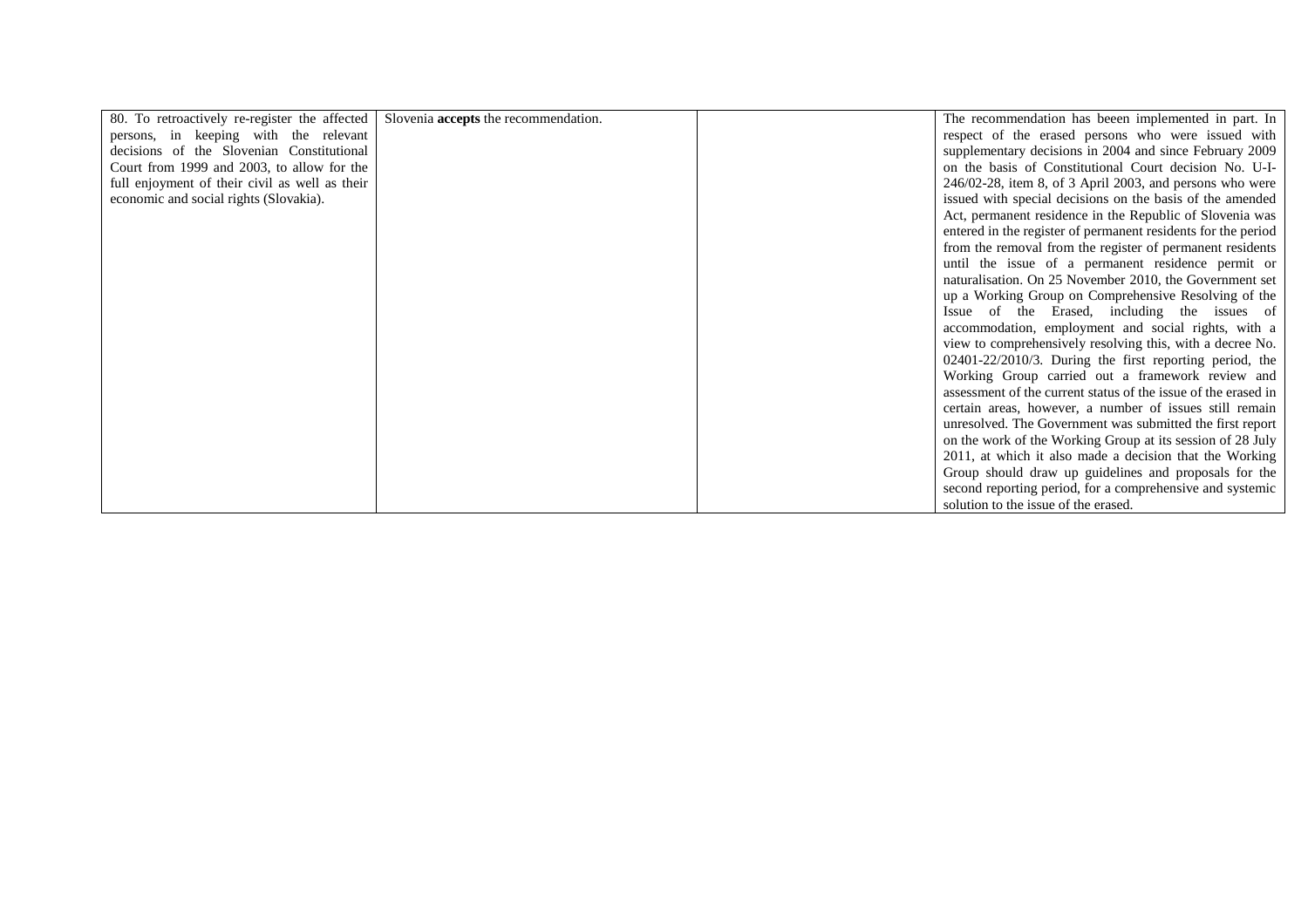| 80. To retroactively re-register the affected  | Slovenia <b>accepts</b> the recommendation. | The recommendation has beeen implemented in part. In           |
|------------------------------------------------|---------------------------------------------|----------------------------------------------------------------|
| persons, in keeping with the relevant          |                                             | respect of the erased persons who were issued with             |
| decisions of the Slovenian Constitutional      |                                             | supplementary decisions in 2004 and since February 2009        |
| Court from 1999 and 2003, to allow for the     |                                             | on the basis of Constitutional Court decision No. U-I-         |
| full enjoyment of their civil as well as their |                                             | $246/02-28$ , item 8, of 3 April 2003, and persons who were    |
| economic and social rights (Slovakia).         |                                             | issued with special decisions on the basis of the amended      |
|                                                |                                             | Act, permanent residence in the Republic of Slovenia was       |
|                                                |                                             | entered in the register of permanent residents for the period  |
|                                                |                                             | from the removal from the register of permanent residents      |
|                                                |                                             | until the issue of a permanent residence permit or             |
|                                                |                                             | naturalisation. On 25 November 2010, the Government set        |
|                                                |                                             | up a Working Group on Comprehensive Resolving of the           |
|                                                |                                             | Issue of the Erased, including the issues of                   |
|                                                |                                             | accommodation, employment and social rights, with a            |
|                                                |                                             | view to comprehensively resolving this, with a decree No.      |
|                                                |                                             | $02401-22/2010/3$ . During the first reporting period, the     |
|                                                |                                             | Working Group carried out a framework review and               |
|                                                |                                             | assessment of the current status of the issue of the erased in |
|                                                |                                             | certain areas, however, a number of issues still remain        |
|                                                |                                             | unresolved. The Government was submitted the first report      |
|                                                |                                             | on the work of the Working Group at its session of 28 July     |
|                                                |                                             | 2011, at which it also made a decision that the Working        |
|                                                |                                             | Group should draw up guidelines and proposals for the          |
|                                                |                                             | second reporting period, for a comprehensive and systemic      |
|                                                |                                             | solution to the issue of the erased.                           |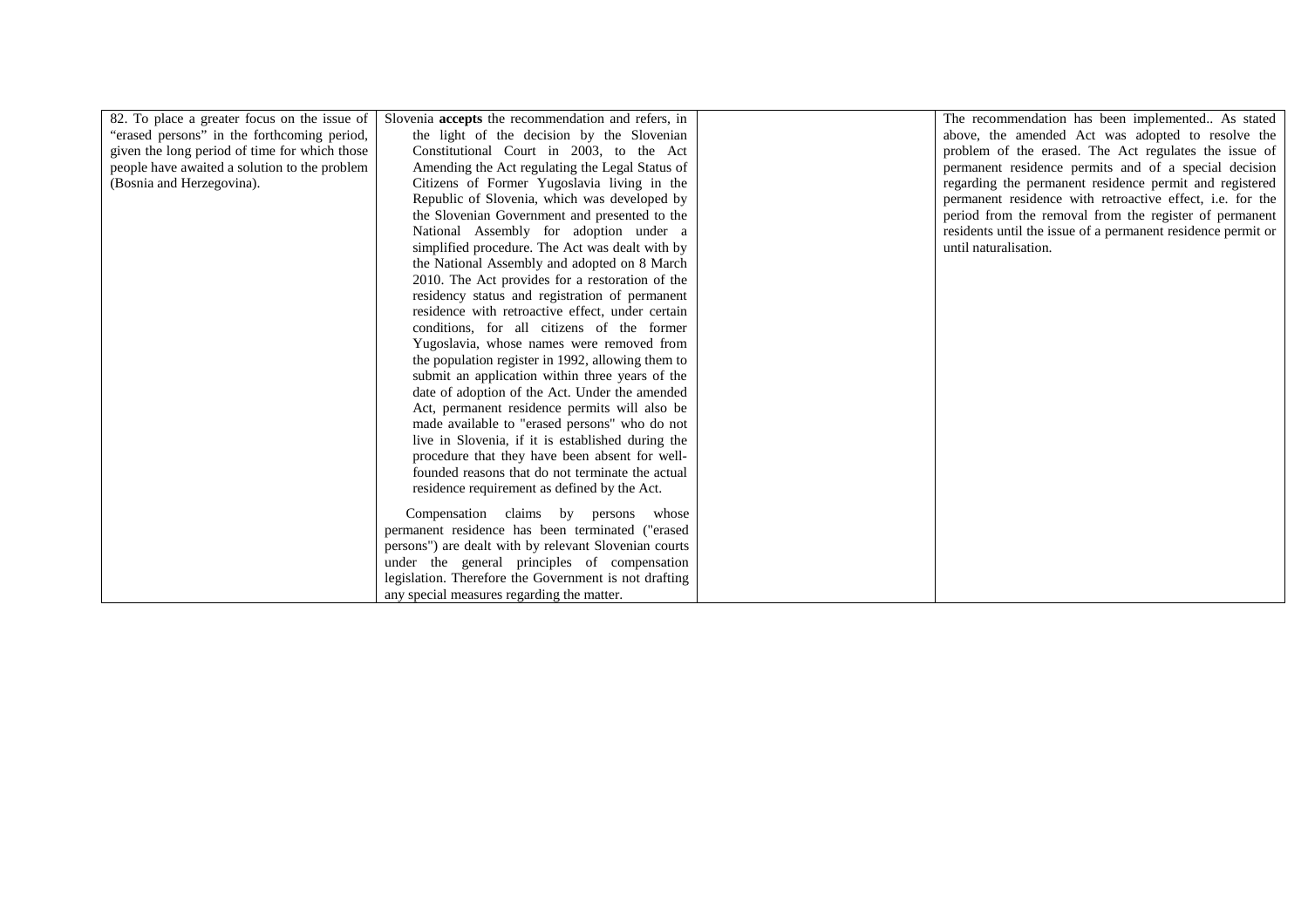| 82. To place a greater focus on the issue of  | Slovenia accepts the recommendation and refers, in    | The recommendation has been implemented As stated            |
|-----------------------------------------------|-------------------------------------------------------|--------------------------------------------------------------|
| "erased persons" in the forthcoming period,   | the light of the decision by the Slovenian            | above, the amended Act was adopted to resolve the            |
| given the long period of time for which those | Constitutional Court in 2003, to the Act              | problem of the erased. The Act regulates the issue of        |
| people have awaited a solution to the problem | Amending the Act regulating the Legal Status of       | permanent residence permits and of a special decision        |
| (Bosnia and Herzegovina).                     | Citizens of Former Yugoslavia living in the           | regarding the permanent residence permit and registered      |
|                                               | Republic of Slovenia, which was developed by          | permanent residence with retroactive effect, i.e. for the    |
|                                               | the Slovenian Government and presented to the         | period from the removal from the register of permanent       |
|                                               | National Assembly for adoption under a                | residents until the issue of a permanent residence permit or |
|                                               | simplified procedure. The Act was dealt with by       | until naturalisation.                                        |
|                                               | the National Assembly and adopted on 8 March          |                                                              |
|                                               | 2010. The Act provides for a restoration of the       |                                                              |
|                                               | residency status and registration of permanent        |                                                              |
|                                               | residence with retroactive effect, under certain      |                                                              |
|                                               | conditions, for all citizens of the former            |                                                              |
|                                               | Yugoslavia, whose names were removed from             |                                                              |
|                                               | the population register in 1992, allowing them to     |                                                              |
|                                               | submit an application within three years of the       |                                                              |
|                                               | date of adoption of the Act. Under the amended        |                                                              |
|                                               | Act, permanent residence permits will also be         |                                                              |
|                                               | made available to "erased persons" who do not         |                                                              |
|                                               | live in Slovenia, if it is established during the     |                                                              |
|                                               | procedure that they have been absent for well-        |                                                              |
|                                               | founded reasons that do not terminate the actual      |                                                              |
|                                               | residence requirement as defined by the Act.          |                                                              |
|                                               | Compensation claims by persons<br>whose               |                                                              |
|                                               | permanent residence has been terminated ("erased      |                                                              |
|                                               | persons") are dealt with by relevant Slovenian courts |                                                              |
|                                               | under the general principles of compensation          |                                                              |
|                                               | legislation. Therefore the Government is not drafting |                                                              |
|                                               | any special measures regarding the matter.            |                                                              |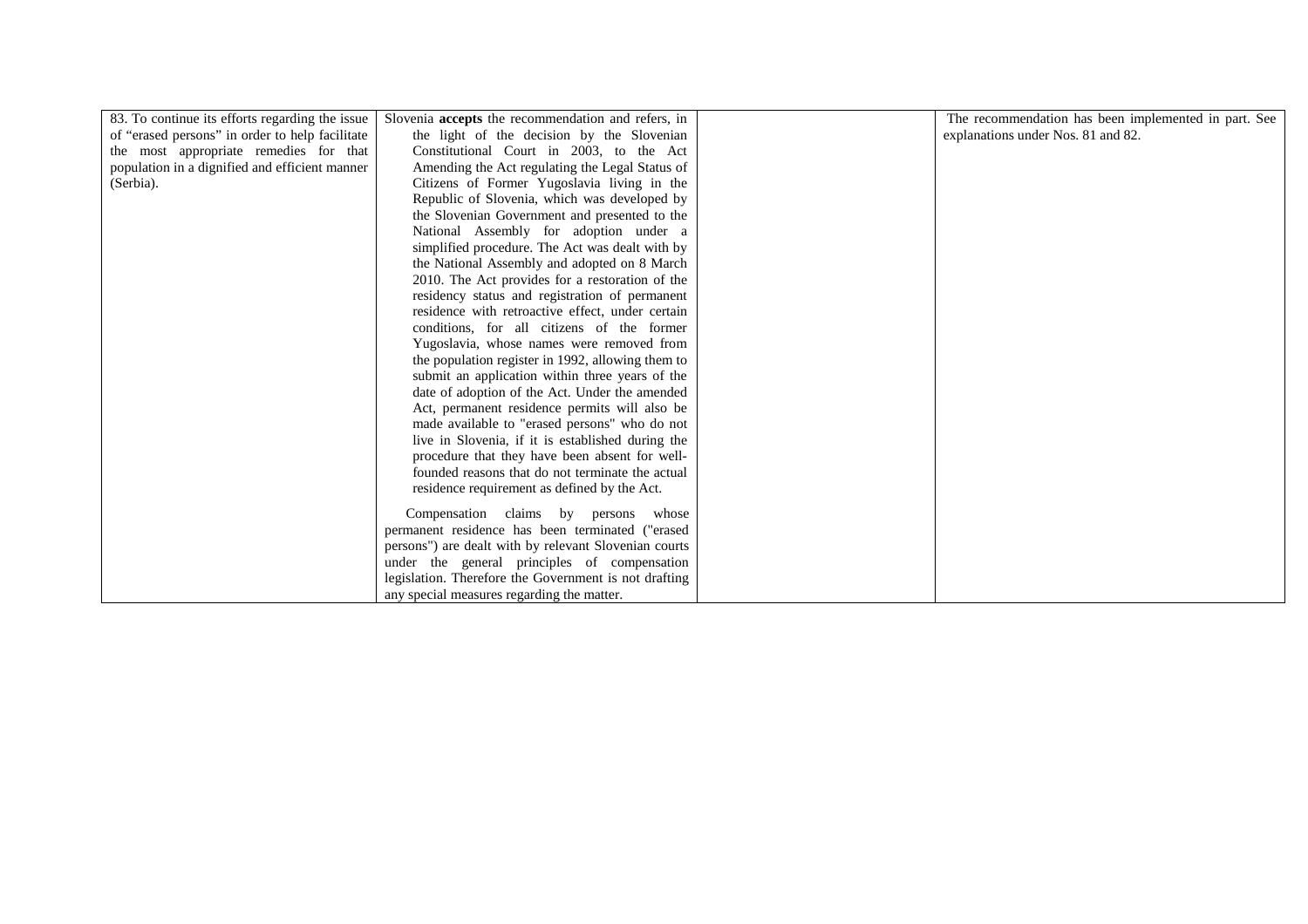| 83. To continue its efforts regarding the issue | Slovenia accepts the recommendation and refers, in    | The recommendation has been implemented in part. See |
|-------------------------------------------------|-------------------------------------------------------|------------------------------------------------------|
| of "erased persons" in order to help facilitate | the light of the decision by the Slovenian            | explanations under Nos. 81 and 82.                   |
| the most appropriate remedies for that          | Constitutional Court in 2003, to the Act              |                                                      |
| population in a dignified and efficient manner  | Amending the Act regulating the Legal Status of       |                                                      |
| (Serbia).                                       | Citizens of Former Yugoslavia living in the           |                                                      |
|                                                 | Republic of Slovenia, which was developed by          |                                                      |
|                                                 | the Slovenian Government and presented to the         |                                                      |
|                                                 | National Assembly for adoption under a                |                                                      |
|                                                 | simplified procedure. The Act was dealt with by       |                                                      |
|                                                 | the National Assembly and adopted on 8 March          |                                                      |
|                                                 | 2010. The Act provides for a restoration of the       |                                                      |
|                                                 | residency status and registration of permanent        |                                                      |
|                                                 | residence with retroactive effect, under certain      |                                                      |
|                                                 | conditions, for all citizens of the former            |                                                      |
|                                                 | Yugoslavia, whose names were removed from             |                                                      |
|                                                 | the population register in 1992, allowing them to     |                                                      |
|                                                 | submit an application within three years of the       |                                                      |
|                                                 | date of adoption of the Act. Under the amended        |                                                      |
|                                                 | Act, permanent residence permits will also be         |                                                      |
|                                                 | made available to "erased persons" who do not         |                                                      |
|                                                 | live in Slovenia, if it is established during the     |                                                      |
|                                                 | procedure that they have been absent for well-        |                                                      |
|                                                 | founded reasons that do not terminate the actual      |                                                      |
|                                                 | residence requirement as defined by the Act.          |                                                      |
|                                                 | Compensation claims by persons whose                  |                                                      |
|                                                 | permanent residence has been terminated ("erased      |                                                      |
|                                                 | persons") are dealt with by relevant Slovenian courts |                                                      |
|                                                 | under the general principles of compensation          |                                                      |
|                                                 | legislation. Therefore the Government is not drafting |                                                      |
|                                                 | any special measures regarding the matter.            |                                                      |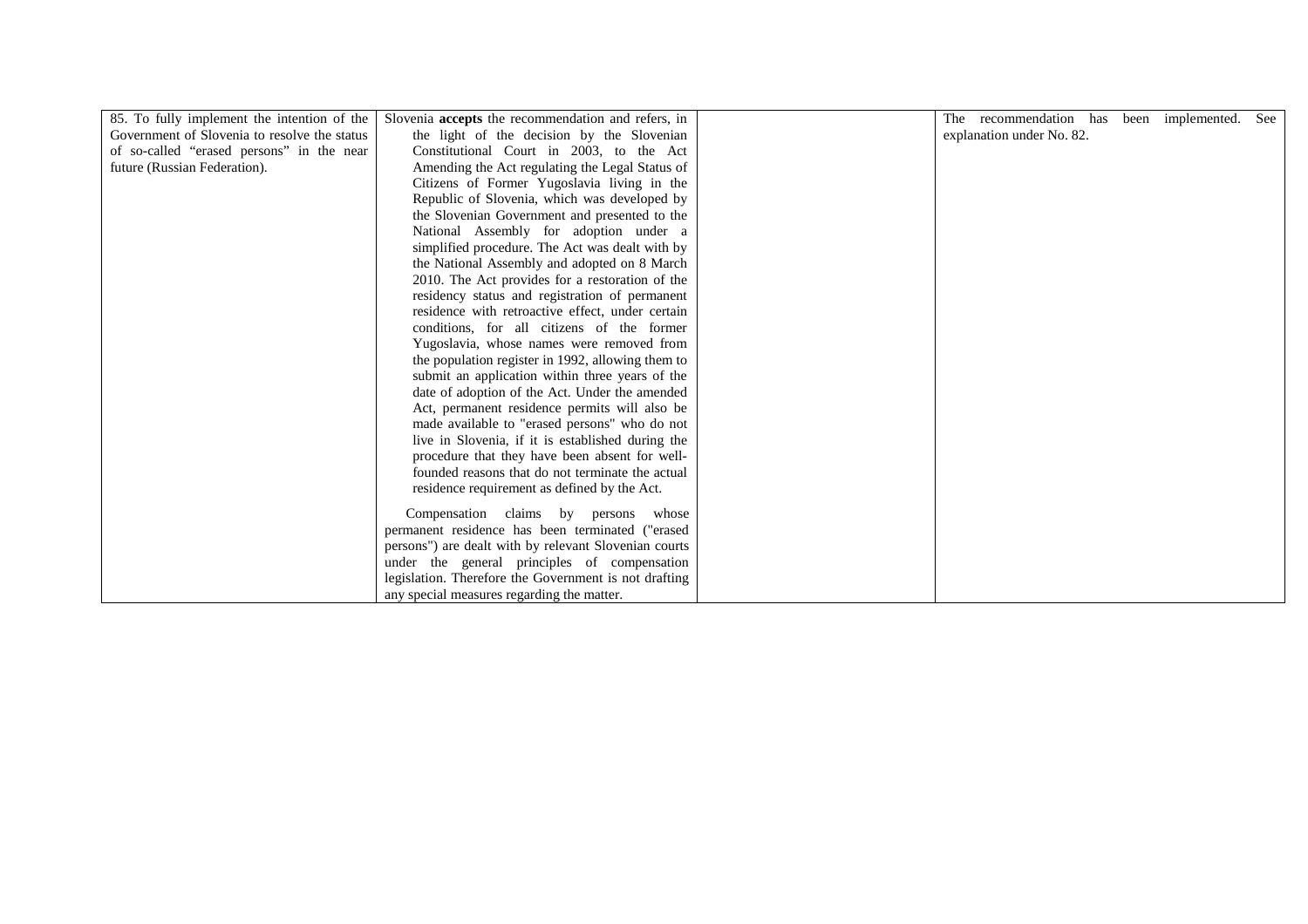| 85. To fully implement the intention of the<br>Government of Slovenia to resolve the status<br>the light of the decision by the Slovenian<br>explanation under No. 82.<br>of so-called "erased persons" in the near<br>Constitutional Court in 2003, to the Act<br>Amending the Act regulating the Legal Status of<br>future (Russian Federation).<br>Citizens of Former Yugoslavia living in the<br>Republic of Slovenia, which was developed by<br>the Slovenian Government and presented to the<br>National Assembly for adoption under a<br>simplified procedure. The Act was dealt with by<br>the National Assembly and adopted on 8 March<br>2010. The Act provides for a restoration of the<br>residency status and registration of permanent<br>residence with retroactive effect, under certain<br>conditions, for all citizens of the former<br>Yugoslavia, whose names were removed from | Slovenia accepts the recommendation and refers, in<br>The recommendation has been implemented. |  | See |
|-----------------------------------------------------------------------------------------------------------------------------------------------------------------------------------------------------------------------------------------------------------------------------------------------------------------------------------------------------------------------------------------------------------------------------------------------------------------------------------------------------------------------------------------------------------------------------------------------------------------------------------------------------------------------------------------------------------------------------------------------------------------------------------------------------------------------------------------------------------------------------------------------------|------------------------------------------------------------------------------------------------|--|-----|
|                                                                                                                                                                                                                                                                                                                                                                                                                                                                                                                                                                                                                                                                                                                                                                                                                                                                                                     |                                                                                                |  |     |
|                                                                                                                                                                                                                                                                                                                                                                                                                                                                                                                                                                                                                                                                                                                                                                                                                                                                                                     |                                                                                                |  |     |
|                                                                                                                                                                                                                                                                                                                                                                                                                                                                                                                                                                                                                                                                                                                                                                                                                                                                                                     |                                                                                                |  |     |
|                                                                                                                                                                                                                                                                                                                                                                                                                                                                                                                                                                                                                                                                                                                                                                                                                                                                                                     |                                                                                                |  |     |
|                                                                                                                                                                                                                                                                                                                                                                                                                                                                                                                                                                                                                                                                                                                                                                                                                                                                                                     |                                                                                                |  |     |
|                                                                                                                                                                                                                                                                                                                                                                                                                                                                                                                                                                                                                                                                                                                                                                                                                                                                                                     |                                                                                                |  |     |
|                                                                                                                                                                                                                                                                                                                                                                                                                                                                                                                                                                                                                                                                                                                                                                                                                                                                                                     |                                                                                                |  |     |
|                                                                                                                                                                                                                                                                                                                                                                                                                                                                                                                                                                                                                                                                                                                                                                                                                                                                                                     |                                                                                                |  |     |
|                                                                                                                                                                                                                                                                                                                                                                                                                                                                                                                                                                                                                                                                                                                                                                                                                                                                                                     |                                                                                                |  |     |
|                                                                                                                                                                                                                                                                                                                                                                                                                                                                                                                                                                                                                                                                                                                                                                                                                                                                                                     |                                                                                                |  |     |
|                                                                                                                                                                                                                                                                                                                                                                                                                                                                                                                                                                                                                                                                                                                                                                                                                                                                                                     |                                                                                                |  |     |
|                                                                                                                                                                                                                                                                                                                                                                                                                                                                                                                                                                                                                                                                                                                                                                                                                                                                                                     |                                                                                                |  |     |
|                                                                                                                                                                                                                                                                                                                                                                                                                                                                                                                                                                                                                                                                                                                                                                                                                                                                                                     |                                                                                                |  |     |
|                                                                                                                                                                                                                                                                                                                                                                                                                                                                                                                                                                                                                                                                                                                                                                                                                                                                                                     |                                                                                                |  |     |
|                                                                                                                                                                                                                                                                                                                                                                                                                                                                                                                                                                                                                                                                                                                                                                                                                                                                                                     | the population register in 1992, allowing them to                                              |  |     |
| submit an application within three years of the                                                                                                                                                                                                                                                                                                                                                                                                                                                                                                                                                                                                                                                                                                                                                                                                                                                     |                                                                                                |  |     |
| date of adoption of the Act. Under the amended                                                                                                                                                                                                                                                                                                                                                                                                                                                                                                                                                                                                                                                                                                                                                                                                                                                      |                                                                                                |  |     |
| Act, permanent residence permits will also be                                                                                                                                                                                                                                                                                                                                                                                                                                                                                                                                                                                                                                                                                                                                                                                                                                                       |                                                                                                |  |     |
| made available to "erased persons" who do not                                                                                                                                                                                                                                                                                                                                                                                                                                                                                                                                                                                                                                                                                                                                                                                                                                                       |                                                                                                |  |     |
| live in Slovenia, if it is established during the                                                                                                                                                                                                                                                                                                                                                                                                                                                                                                                                                                                                                                                                                                                                                                                                                                                   |                                                                                                |  |     |
| procedure that they have been absent for well-                                                                                                                                                                                                                                                                                                                                                                                                                                                                                                                                                                                                                                                                                                                                                                                                                                                      |                                                                                                |  |     |
| founded reasons that do not terminate the actual                                                                                                                                                                                                                                                                                                                                                                                                                                                                                                                                                                                                                                                                                                                                                                                                                                                    |                                                                                                |  |     |
| residence requirement as defined by the Act.                                                                                                                                                                                                                                                                                                                                                                                                                                                                                                                                                                                                                                                                                                                                                                                                                                                        |                                                                                                |  |     |
| Compensation claims by persons whose                                                                                                                                                                                                                                                                                                                                                                                                                                                                                                                                                                                                                                                                                                                                                                                                                                                                |                                                                                                |  |     |
| permanent residence has been terminated ("erased                                                                                                                                                                                                                                                                                                                                                                                                                                                                                                                                                                                                                                                                                                                                                                                                                                                    |                                                                                                |  |     |
| persons") are dealt with by relevant Slovenian courts                                                                                                                                                                                                                                                                                                                                                                                                                                                                                                                                                                                                                                                                                                                                                                                                                                               |                                                                                                |  |     |
| under the general principles of compensation                                                                                                                                                                                                                                                                                                                                                                                                                                                                                                                                                                                                                                                                                                                                                                                                                                                        |                                                                                                |  |     |
| legislation. Therefore the Government is not drafting                                                                                                                                                                                                                                                                                                                                                                                                                                                                                                                                                                                                                                                                                                                                                                                                                                               |                                                                                                |  |     |
| any special measures regarding the matter.                                                                                                                                                                                                                                                                                                                                                                                                                                                                                                                                                                                                                                                                                                                                                                                                                                                          |                                                                                                |  |     |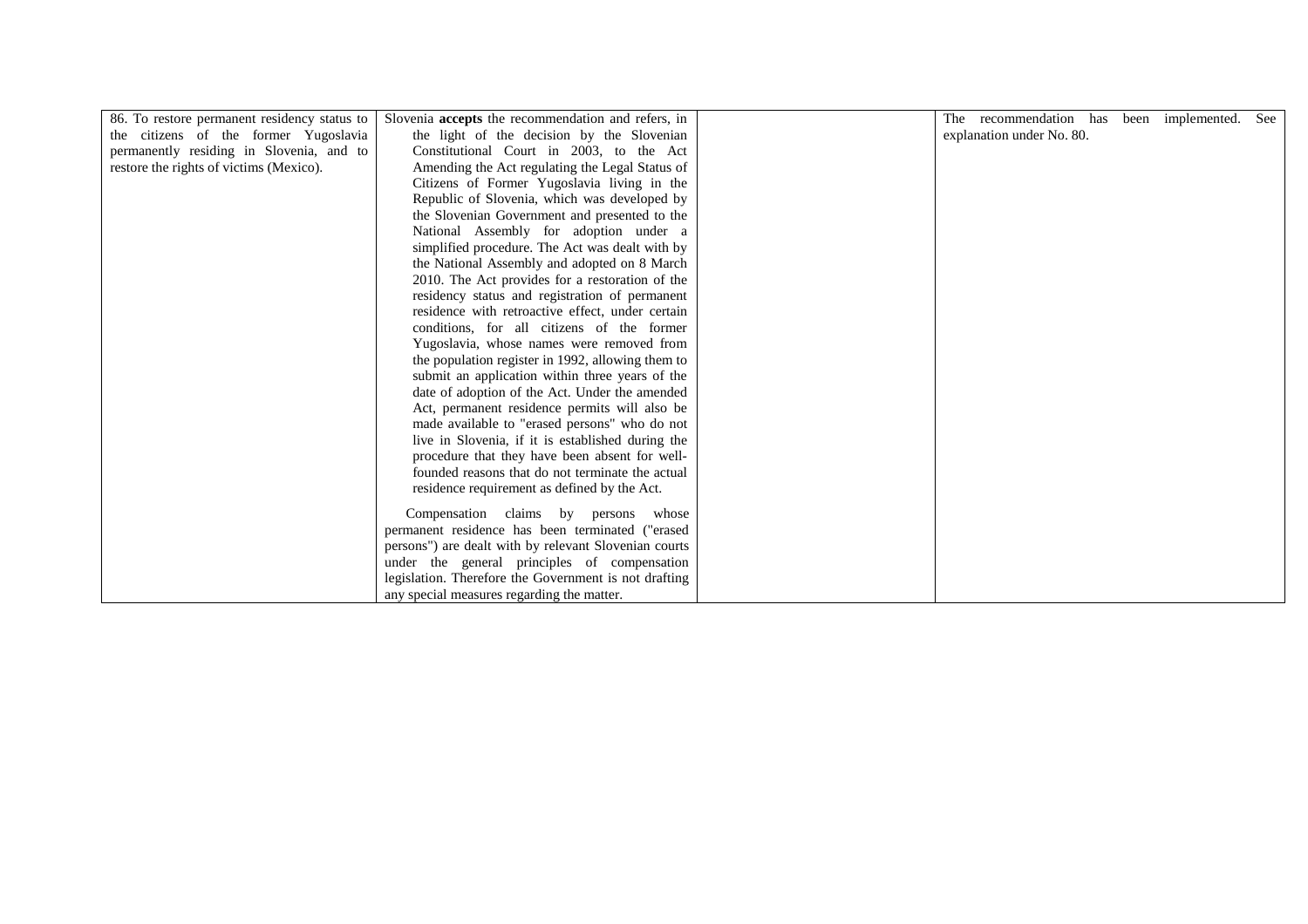| 86. To restore permanent residency status to |                                                                                                  |                                                                       |  |     |
|----------------------------------------------|--------------------------------------------------------------------------------------------------|-----------------------------------------------------------------------|--|-----|
| the citizens of the former Yugoslavia        | Slovenia accepts the recommendation and refers, in<br>the light of the decision by the Slovenian | The recommendation has been implemented.<br>explanation under No. 80. |  | See |
|                                              |                                                                                                  |                                                                       |  |     |
| permanently residing in Slovenia, and to     | Constitutional Court in 2003, to the Act                                                         |                                                                       |  |     |
| restore the rights of victims (Mexico).      | Amending the Act regulating the Legal Status of                                                  |                                                                       |  |     |
|                                              | Citizens of Former Yugoslavia living in the                                                      |                                                                       |  |     |
|                                              | Republic of Slovenia, which was developed by                                                     |                                                                       |  |     |
|                                              | the Slovenian Government and presented to the                                                    |                                                                       |  |     |
|                                              | National Assembly for adoption under a                                                           |                                                                       |  |     |
|                                              | simplified procedure. The Act was dealt with by                                                  |                                                                       |  |     |
|                                              | the National Assembly and adopted on 8 March                                                     |                                                                       |  |     |
|                                              | 2010. The Act provides for a restoration of the                                                  |                                                                       |  |     |
|                                              | residency status and registration of permanent                                                   |                                                                       |  |     |
|                                              | residence with retroactive effect, under certain                                                 |                                                                       |  |     |
|                                              | conditions, for all citizens of the former                                                       |                                                                       |  |     |
|                                              | Yugoslavia, whose names were removed from                                                        |                                                                       |  |     |
|                                              | the population register in 1992, allowing them to                                                |                                                                       |  |     |
|                                              | submit an application within three years of the                                                  |                                                                       |  |     |
|                                              | date of adoption of the Act. Under the amended                                                   |                                                                       |  |     |
|                                              | Act, permanent residence permits will also be                                                    |                                                                       |  |     |
|                                              |                                                                                                  |                                                                       |  |     |
|                                              | made available to "erased persons" who do not                                                    |                                                                       |  |     |
|                                              | live in Slovenia, if it is established during the                                                |                                                                       |  |     |
|                                              | procedure that they have been absent for well-                                                   |                                                                       |  |     |
|                                              | founded reasons that do not terminate the actual                                                 |                                                                       |  |     |
|                                              | residence requirement as defined by the Act.                                                     |                                                                       |  |     |
|                                              | Compensation claims by persons whose                                                             |                                                                       |  |     |
|                                              | permanent residence has been terminated ("erased                                                 |                                                                       |  |     |
|                                              | persons") are dealt with by relevant Slovenian courts                                            |                                                                       |  |     |
|                                              | under the general principles of compensation                                                     |                                                                       |  |     |
|                                              |                                                                                                  |                                                                       |  |     |
|                                              | legislation. Therefore the Government is not drafting                                            |                                                                       |  |     |
|                                              | any special measures regarding the matter.                                                       |                                                                       |  |     |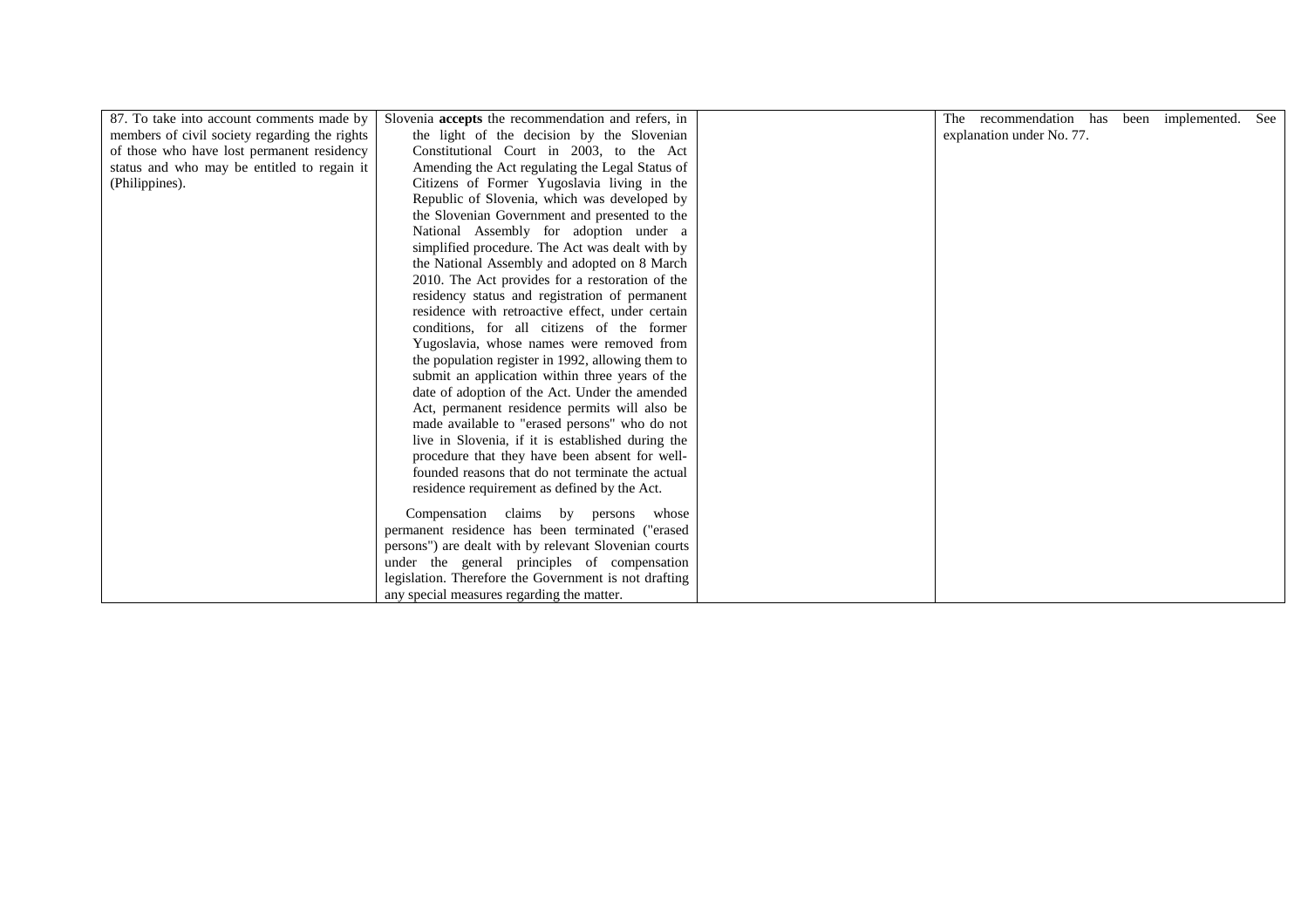| 87. To take into account comments made by     | Slovenia accepts the recommendation and refers, in    | The recommendation has been implemented. | See |
|-----------------------------------------------|-------------------------------------------------------|------------------------------------------|-----|
| members of civil society regarding the rights | the light of the decision by the Slovenian            | explanation under No. 77.                |     |
| of those who have lost permanent residency    | Constitutional Court in 2003, to the Act              |                                          |     |
| status and who may be entitled to regain it   | Amending the Act regulating the Legal Status of       |                                          |     |
| (Philippines).                                | Citizens of Former Yugoslavia living in the           |                                          |     |
|                                               | Republic of Slovenia, which was developed by          |                                          |     |
|                                               | the Slovenian Government and presented to the         |                                          |     |
|                                               |                                                       |                                          |     |
|                                               | National Assembly for adoption under a                |                                          |     |
|                                               | simplified procedure. The Act was dealt with by       |                                          |     |
|                                               | the National Assembly and adopted on 8 March          |                                          |     |
|                                               | 2010. The Act provides for a restoration of the       |                                          |     |
|                                               | residency status and registration of permanent        |                                          |     |
|                                               | residence with retroactive effect, under certain      |                                          |     |
|                                               | conditions, for all citizens of the former            |                                          |     |
|                                               | Yugoslavia, whose names were removed from             |                                          |     |
|                                               | the population register in 1992, allowing them to     |                                          |     |
|                                               | submit an application within three years of the       |                                          |     |
|                                               | date of adoption of the Act. Under the amended        |                                          |     |
|                                               | Act, permanent residence permits will also be         |                                          |     |
|                                               | made available to "erased persons" who do not         |                                          |     |
|                                               | live in Slovenia, if it is established during the     |                                          |     |
|                                               | procedure that they have been absent for well-        |                                          |     |
|                                               | founded reasons that do not terminate the actual      |                                          |     |
|                                               | residence requirement as defined by the Act.          |                                          |     |
|                                               | Compensation claims by persons whose                  |                                          |     |
|                                               | permanent residence has been terminated ("erased      |                                          |     |
|                                               | persons") are dealt with by relevant Slovenian courts |                                          |     |
|                                               | under the general principles of compensation          |                                          |     |
|                                               | legislation. Therefore the Government is not drafting |                                          |     |
|                                               | any special measures regarding the matter.            |                                          |     |
|                                               |                                                       |                                          |     |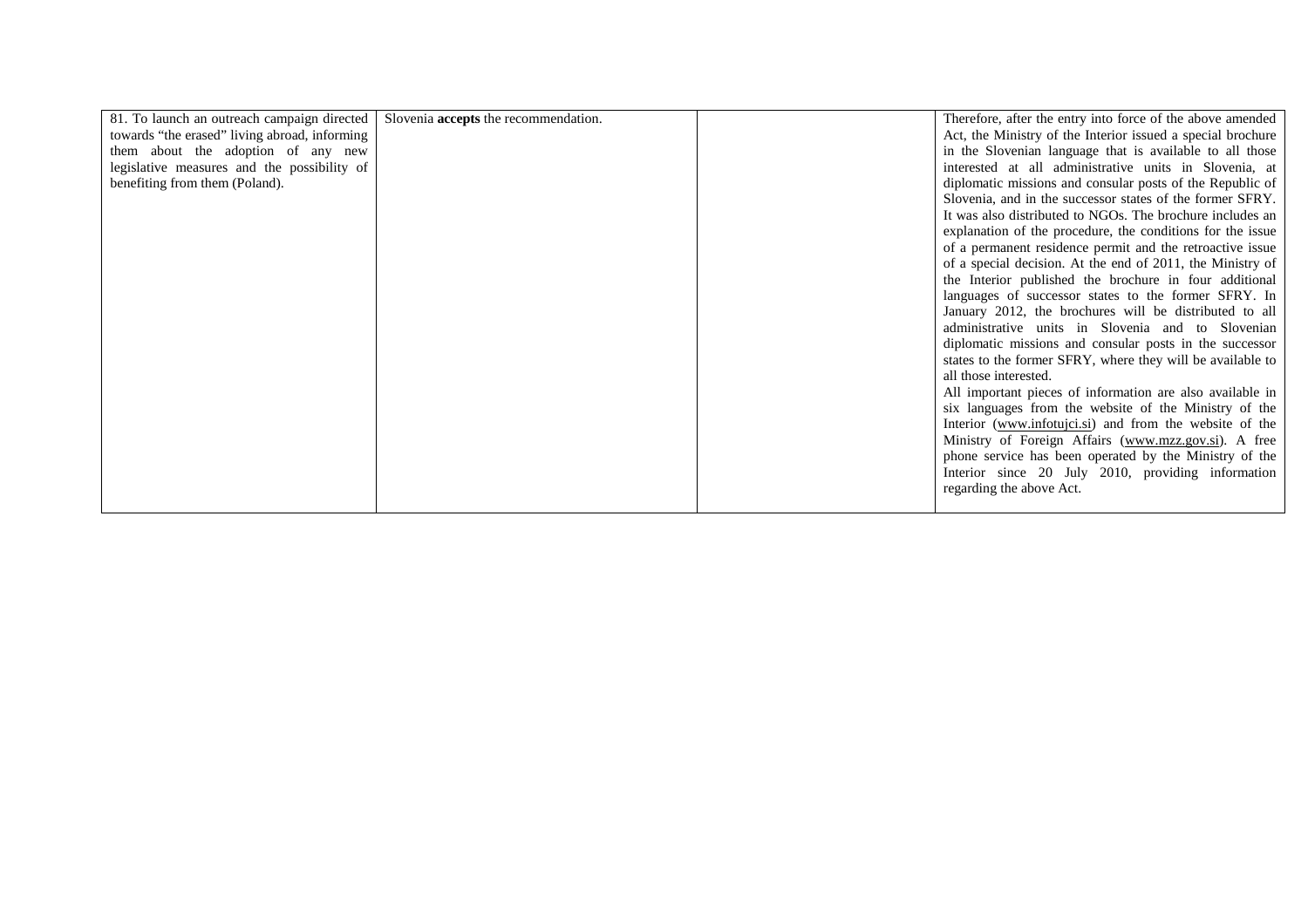| 81. To launch an outreach campaign directed   Slovenia <b>accepts</b> the recommendation. |  | Therefore, after the entry into force of the above amended  |
|-------------------------------------------------------------------------------------------|--|-------------------------------------------------------------|
| towards "the erased" living abroad, informing                                             |  | Act, the Ministry of the Interior issued a special brochure |
| them about the adoption of any new                                                        |  | in the Slovenian language that is available to all those    |
| legislative measures and the possibility of                                               |  | interested at all administrative units in Slovenia, at      |
| benefiting from them (Poland).                                                            |  | diplomatic missions and consular posts of the Republic of   |
|                                                                                           |  | Slovenia, and in the successor states of the former SFRY.   |
|                                                                                           |  | It was also distributed to NGOs. The brochure includes an   |
|                                                                                           |  | explanation of the procedure, the conditions for the issue  |
|                                                                                           |  | of a permanent residence permit and the retroactive issue   |
|                                                                                           |  | of a special decision. At the end of 2011, the Ministry of  |
|                                                                                           |  | the Interior published the brochure in four additional      |
|                                                                                           |  | languages of successor states to the former SFRY. In        |
|                                                                                           |  | January 2012, the brochures will be distributed to all      |
|                                                                                           |  | administrative units in Slovenia and to Slovenian           |
|                                                                                           |  | diplomatic missions and consular posts in the successor     |
|                                                                                           |  | states to the former SFRY, where they will be available to  |
|                                                                                           |  | all those interested.                                       |
|                                                                                           |  | All important pieces of information are also available in   |
|                                                                                           |  | six languages from the website of the Ministry of the       |
|                                                                                           |  | Interior (www.infotujci.si) and from the website of the     |
|                                                                                           |  | Ministry of Foreign Affairs (www.mzz.gov.si). A free        |
|                                                                                           |  | phone service has been operated by the Ministry of the      |
|                                                                                           |  | Interior since 20 July 2010, providing information          |
|                                                                                           |  | regarding the above Act.                                    |
|                                                                                           |  |                                                             |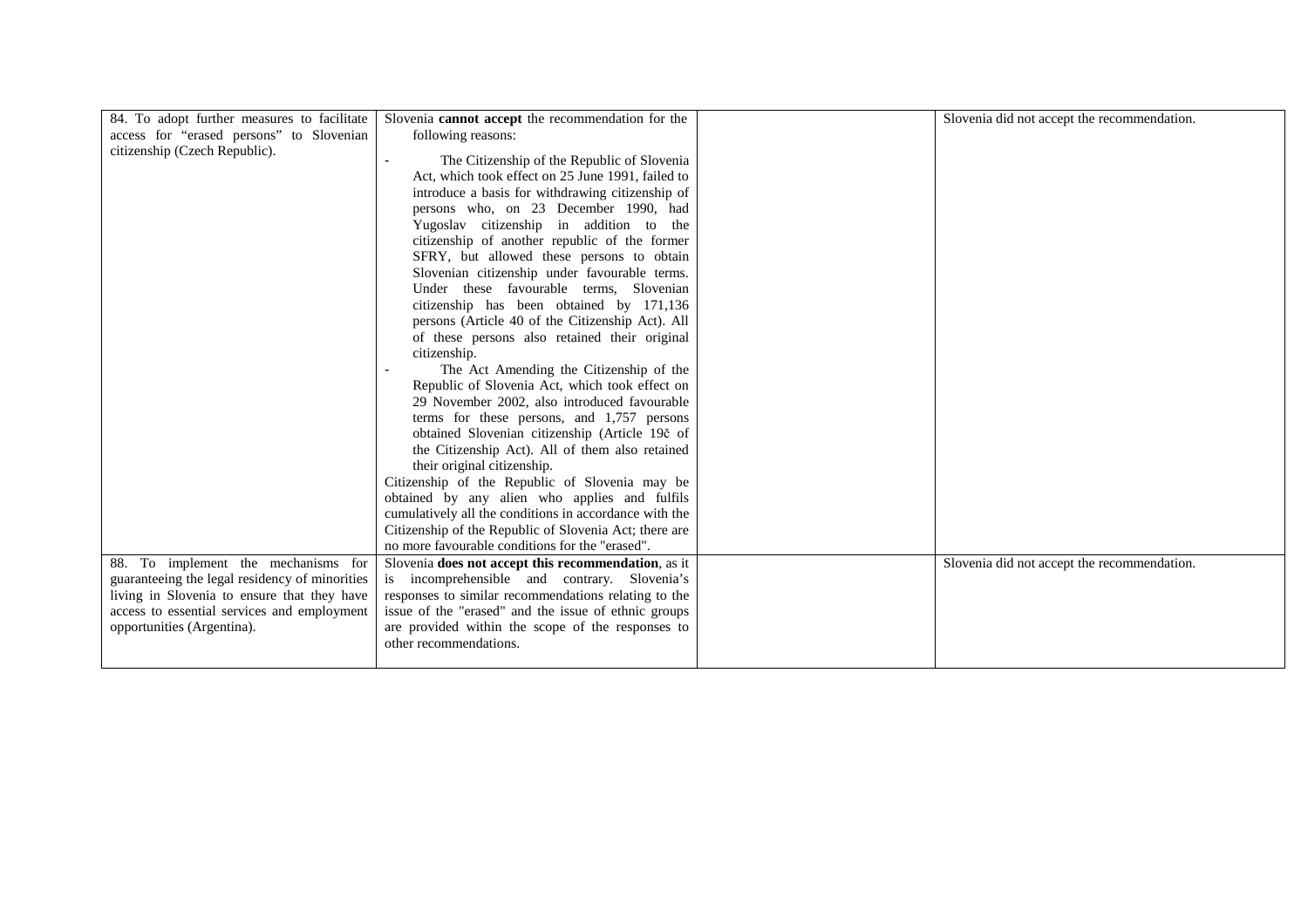|                                                | Slovenia cannot accept the recommendation for the      |                                             |
|------------------------------------------------|--------------------------------------------------------|---------------------------------------------|
| 84. To adopt further measures to facilitate    |                                                        | Slovenia did not accept the recommendation. |
| access for "erased persons" to Slovenian       | following reasons:                                     |                                             |
| citizenship (Czech Republic).                  | The Citizenship of the Republic of Slovenia            |                                             |
|                                                | Act, which took effect on 25 June 1991, failed to      |                                             |
|                                                | introduce a basis for withdrawing citizenship of       |                                             |
|                                                |                                                        |                                             |
|                                                | persons who, on 23 December 1990, had                  |                                             |
|                                                | Yugoslav citizenship in addition to the                |                                             |
|                                                | citizenship of another republic of the former          |                                             |
|                                                | SFRY, but allowed these persons to obtain              |                                             |
|                                                | Slovenian citizenship under favourable terms.          |                                             |
|                                                | Under these favourable terms, Slovenian                |                                             |
|                                                | citizenship has been obtained by 171,136               |                                             |
|                                                | persons (Article 40 of the Citizenship Act). All       |                                             |
|                                                | of these persons also retained their original          |                                             |
|                                                | citizenship.                                           |                                             |
|                                                | The Act Amending the Citizenship of the                |                                             |
|                                                | Republic of Slovenia Act, which took effect on         |                                             |
|                                                | 29 November 2002, also introduced favourable           |                                             |
|                                                | terms for these persons, and 1,757 persons             |                                             |
|                                                | obtained Slovenian citizenship (Article 19č of         |                                             |
|                                                | the Citizenship Act). All of them also retained        |                                             |
|                                                | their original citizenship.                            |                                             |
|                                                | Citizenship of the Republic of Slovenia may be         |                                             |
|                                                | obtained by any alien who applies and fulfils          |                                             |
|                                                | cumulatively all the conditions in accordance with the |                                             |
|                                                | Citizenship of the Republic of Slovenia Act; there are |                                             |
|                                                | no more favourable conditions for the "erased".        |                                             |
| 88. To implement the mechanisms for            | Slovenia does not accept this recommendation, as it    | Slovenia did not accept the recommendation. |
| guaranteeing the legal residency of minorities | is incomprehensible and contrary. Slovenia's           |                                             |
| living in Slovenia to ensure that they have    | responses to similar recommendations relating to the   |                                             |
| access to essential services and employment    | issue of the "erased" and the issue of ethnic groups   |                                             |
|                                                |                                                        |                                             |
| opportunities (Argentina).                     | are provided within the scope of the responses to      |                                             |
|                                                | other recommendations.                                 |                                             |
|                                                |                                                        |                                             |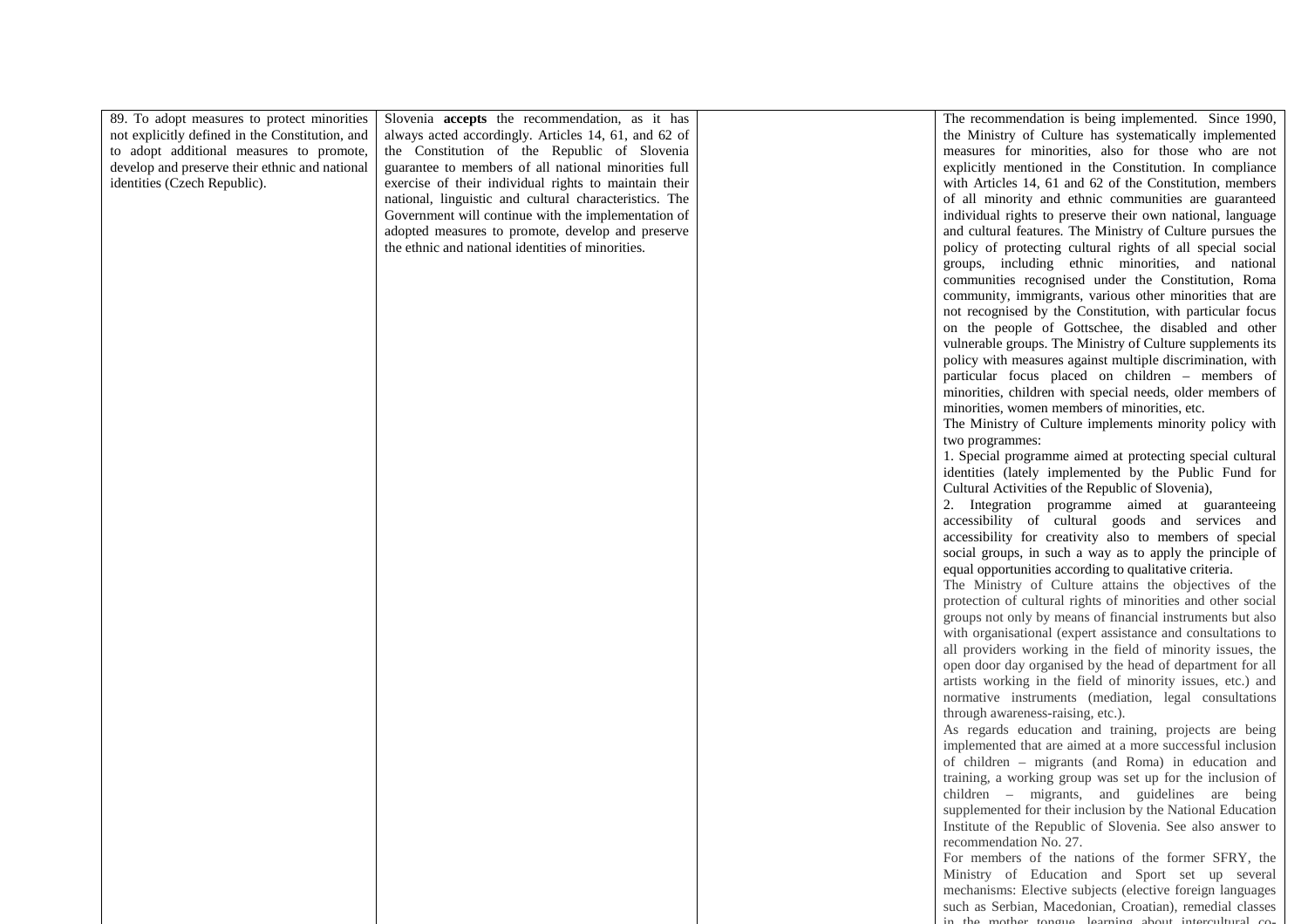| 89. To adopt measures to protect minorities     | Slovenia accepts the recommendation, as it has         | The recommendation is being implemented. Since 1990,         |
|-------------------------------------------------|--------------------------------------------------------|--------------------------------------------------------------|
| not explicitly defined in the Constitution, and | always acted accordingly. Articles 14, 61, and 62 of   | the Ministry of Culture has systematically implemented       |
| to adopt additional measures to promote,        | the Constitution of the Republic of Slovenia           | measures for minorities, also for those who are not          |
| develop and preserve their ethnic and national  | guarantee to members of all national minorities full   | explicitly mentioned in the Constitution. In compliance      |
|                                                 |                                                        |                                                              |
| identities (Czech Republic).                    | exercise of their individual rights to maintain their  | with Articles 14, 61 and 62 of the Constitution, members     |
|                                                 | national, linguistic and cultural characteristics. The | of all minority and ethnic communities are guaranteed        |
|                                                 | Government will continue with the implementation of    | individual rights to preserve their own national, language   |
|                                                 | adopted measures to promote, develop and preserve      | and cultural features. The Ministry of Culture pursues the   |
|                                                 | the ethnic and national identities of minorities.      | policy of protecting cultural rights of all special social   |
|                                                 |                                                        | groups, including ethnic minorities, and national            |
|                                                 |                                                        | communities recognised under the Constitution, Roma          |
|                                                 |                                                        | community, immigrants, various other minorities that are     |
|                                                 |                                                        | not recognised by the Constitution, with particular focus    |
|                                                 |                                                        | on the people of Gottschee, the disabled and other           |
|                                                 |                                                        | vulnerable groups. The Ministry of Culture supplements its   |
|                                                 |                                                        | policy with measures against multiple discrimination, with   |
|                                                 |                                                        | particular focus placed on children - members of             |
|                                                 |                                                        | minorities, children with special needs, older members of    |
|                                                 |                                                        | minorities, women members of minorities, etc.                |
|                                                 |                                                        | The Ministry of Culture implements minority policy with      |
|                                                 |                                                        | two programmes:                                              |
|                                                 |                                                        | 1. Special programme aimed at protecting special cultural    |
|                                                 |                                                        | identities (lately implemented by the Public Fund for        |
|                                                 |                                                        | Cultural Activities of the Republic of Slovenia),            |
|                                                 |                                                        | 2. Integration programme aimed at guaranteeing               |
|                                                 |                                                        | accessibility of cultural goods and services and             |
|                                                 |                                                        | accessibility for creativity also to members of special      |
|                                                 |                                                        |                                                              |
|                                                 |                                                        | social groups, in such a way as to apply the principle of    |
|                                                 |                                                        | equal opportunities according to qualitative criteria.       |
|                                                 |                                                        | The Ministry of Culture attains the objectives of the        |
|                                                 |                                                        | protection of cultural rights of minorities and other social |
|                                                 |                                                        | groups not only by means of financial instruments but also   |
|                                                 |                                                        | with organisational (expert assistance and consultations to  |
|                                                 |                                                        | all providers working in the field of minority issues, the   |
|                                                 |                                                        | open door day organised by the head of department for all    |
|                                                 |                                                        | artists working in the field of minority issues, etc.) and   |
|                                                 |                                                        | normative instruments (mediation, legal consultations        |
|                                                 |                                                        | through awareness-raising, etc.).                            |
|                                                 |                                                        | As regards education and training, projects are being        |
|                                                 |                                                        | implemented that are aimed at a more successful inclusion    |
|                                                 |                                                        | of children - migrants (and Roma) in education and           |
|                                                 |                                                        | training, a working group was set up for the inclusion of    |
|                                                 |                                                        | children – migrants, and guidelines are being                |
|                                                 |                                                        | supplemented for their inclusion by the National Education   |
|                                                 |                                                        | Institute of the Republic of Slovenia. See also answer to    |
|                                                 |                                                        | recommendation No. 27.                                       |
|                                                 |                                                        | For members of the nations of the former SFRY, the           |
|                                                 |                                                        | Ministry of Education and Sport set up several               |
|                                                 |                                                        | mechanisms: Elective subjects (elective foreign languages    |
|                                                 |                                                        | such as Serbian, Macedonian, Croatian), remedial classes     |
|                                                 |                                                        | in the mother tongue learning about intercultural co-        |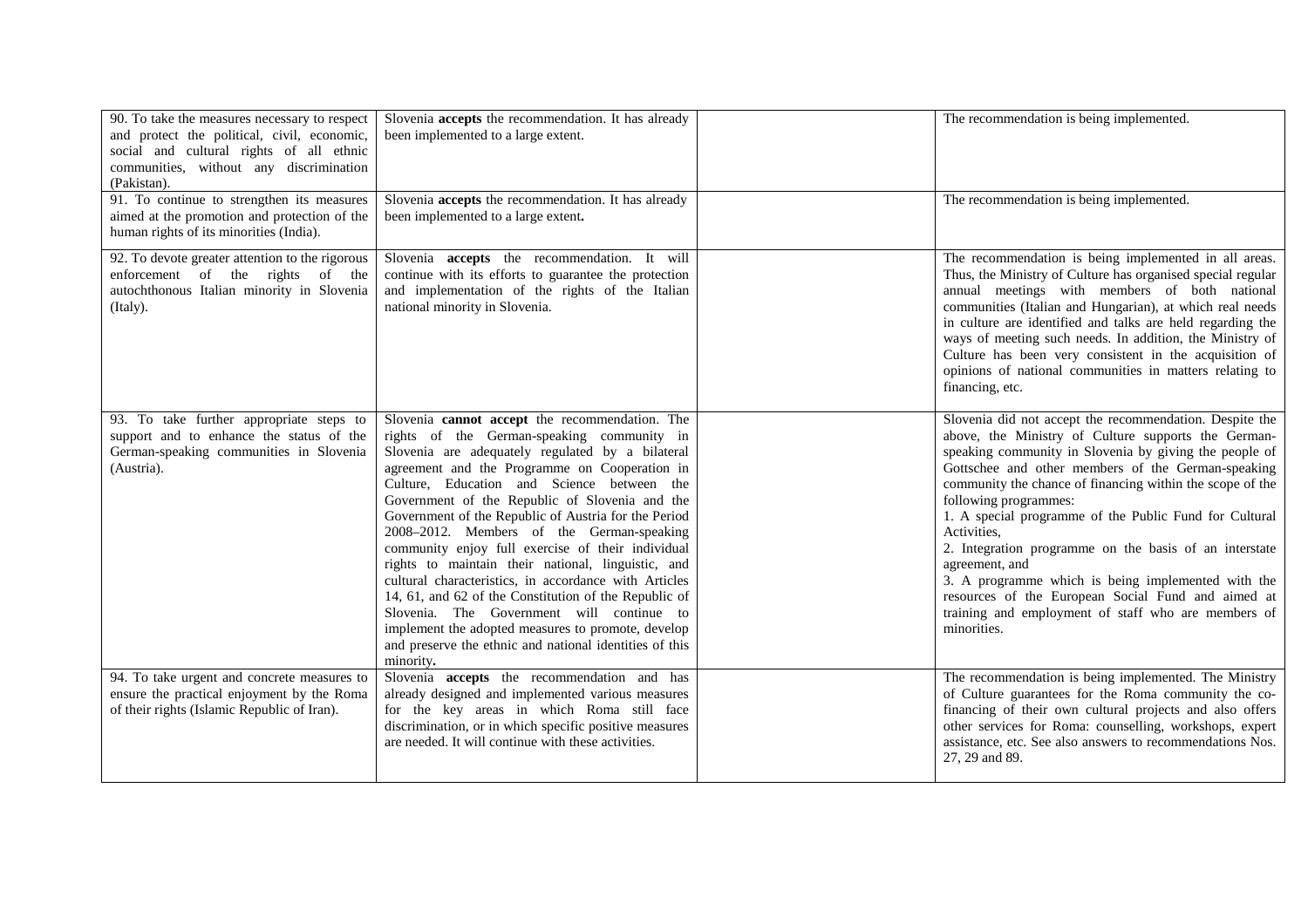| 90. To take the measures necessary to respect<br>and protect the political, civil, economic,<br>social and cultural rights of all ethnic<br>communities, without any discrimination<br>(Pakistan). | Slovenia accepts the recommendation. It has already<br>been implemented to a large extent.                                                                                                                                                                                                                                                                                                                                                                                                                                                                                                                                                                                                                                                                                                                     | The recommendation is being implemented.                                                                                                                                                                                                                                                                                                                                                                                                                                                                                                                                                                                                                    |
|----------------------------------------------------------------------------------------------------------------------------------------------------------------------------------------------------|----------------------------------------------------------------------------------------------------------------------------------------------------------------------------------------------------------------------------------------------------------------------------------------------------------------------------------------------------------------------------------------------------------------------------------------------------------------------------------------------------------------------------------------------------------------------------------------------------------------------------------------------------------------------------------------------------------------------------------------------------------------------------------------------------------------|-------------------------------------------------------------------------------------------------------------------------------------------------------------------------------------------------------------------------------------------------------------------------------------------------------------------------------------------------------------------------------------------------------------------------------------------------------------------------------------------------------------------------------------------------------------------------------------------------------------------------------------------------------------|
| 91. To continue to strengthen its measures<br>aimed at the promotion and protection of the<br>human rights of its minorities (India).                                                              | Slovenia accepts the recommendation. It has already<br>been implemented to a large extent.                                                                                                                                                                                                                                                                                                                                                                                                                                                                                                                                                                                                                                                                                                                     | The recommendation is being implemented.                                                                                                                                                                                                                                                                                                                                                                                                                                                                                                                                                                                                                    |
| 92. To devote greater attention to the rigorous<br>enforcement of the rights of the<br>autochthonous Italian minority in Slovenia<br>(Italy).                                                      | Slovenia accepts the recommendation. It will<br>continue with its efforts to guarantee the protection<br>and implementation of the rights of the Italian<br>national minority in Slovenia.                                                                                                                                                                                                                                                                                                                                                                                                                                                                                                                                                                                                                     | The recommendation is being implemented in all areas.<br>Thus, the Ministry of Culture has organised special regular<br>annual meetings with members of both national<br>communities (Italian and Hungarian), at which real needs<br>in culture are identified and talks are held regarding the<br>ways of meeting such needs. In addition, the Ministry of<br>Culture has been very consistent in the acquisition of<br>opinions of national communities in matters relating to<br>financing, etc.                                                                                                                                                         |
| 93. To take further appropriate steps to<br>support and to enhance the status of the<br>German-speaking communities in Slovenia<br>(Austria).                                                      | Slovenia cannot accept the recommendation. The<br>rights of the German-speaking community in<br>Slovenia are adequately regulated by a bilateral<br>agreement and the Programme on Cooperation in<br>Culture, Education and Science between the<br>Government of the Republic of Slovenia and the<br>Government of the Republic of Austria for the Period<br>2008–2012. Members of the German-speaking<br>community enjoy full exercise of their individual<br>rights to maintain their national, linguistic, and<br>cultural characteristics, in accordance with Articles<br>14, 61, and 62 of the Constitution of the Republic of<br>Slovenia. The Government will continue to<br>implement the adopted measures to promote, develop<br>and preserve the ethnic and national identities of this<br>minority. | Slovenia did not accept the recommendation. Despite the<br>above, the Ministry of Culture supports the German-<br>speaking community in Slovenia by giving the people of<br>Gottschee and other members of the German-speaking<br>community the chance of financing within the scope of the<br>following programmes:<br>1. A special programme of the Public Fund for Cultural<br>Activities.<br>2. Integration programme on the basis of an interstate<br>agreement, and<br>3. A programme which is being implemented with the<br>resources of the European Social Fund and aimed at<br>training and employment of staff who are members of<br>minorities. |
| 94. To take urgent and concrete measures to<br>ensure the practical enjoyment by the Roma<br>of their rights (Islamic Republic of Iran).                                                           | Slovenia <b>accepts</b> the recommendation and has<br>already designed and implemented various measures<br>for the key areas in which Roma still face<br>discrimination, or in which specific positive measures<br>are needed. It will continue with these activities.                                                                                                                                                                                                                                                                                                                                                                                                                                                                                                                                         | The recommendation is being implemented. The Ministry<br>of Culture guarantees for the Roma community the co-<br>financing of their own cultural projects and also offers<br>other services for Roma: counselling, workshops, expert<br>assistance, etc. See also answers to recommendations Nos.<br>27, 29 and 89.                                                                                                                                                                                                                                                                                                                                         |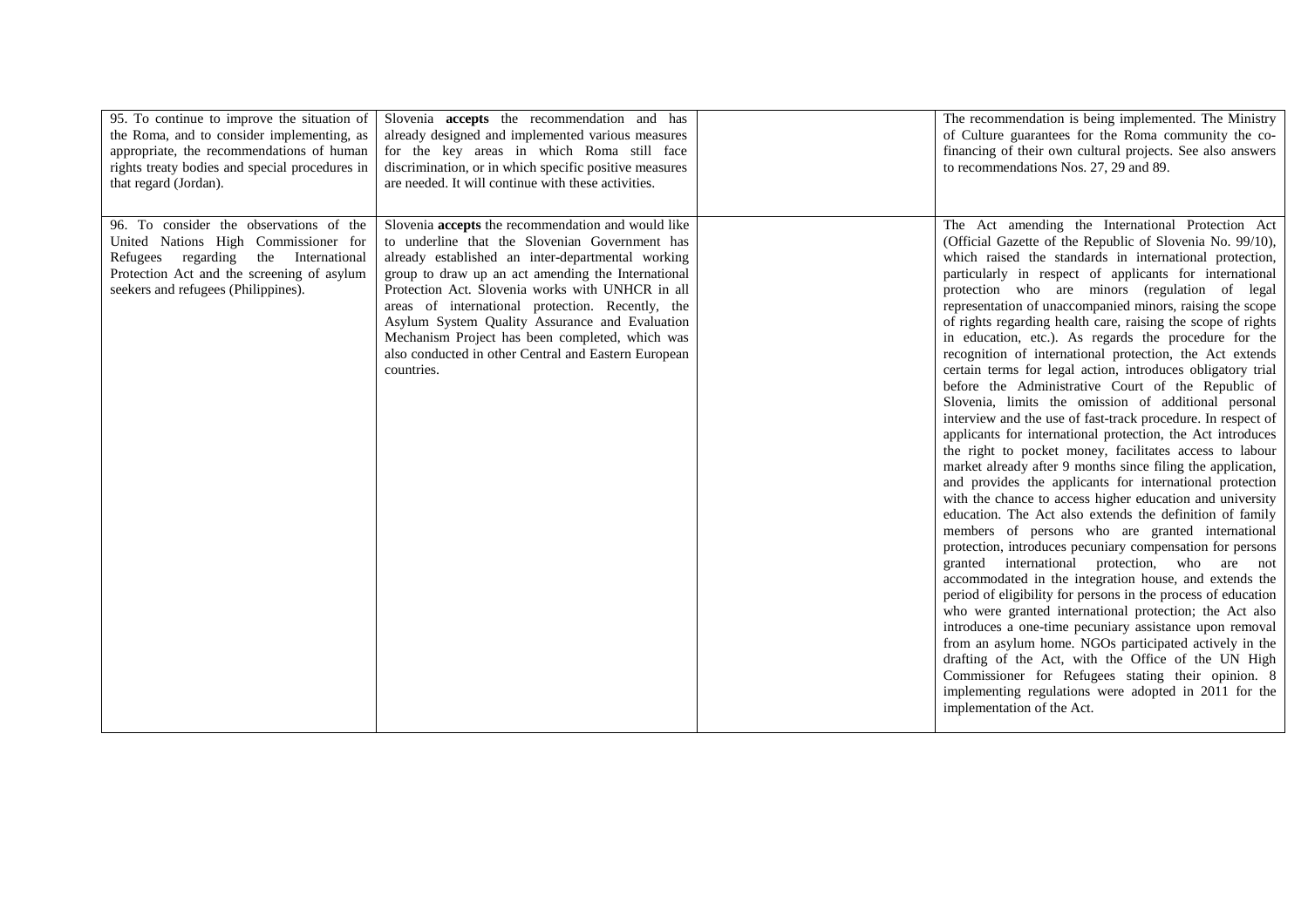| 95. To continue to improve the situation of<br>the Roma, and to consider implementing, as<br>appropriate, the recommendations of human<br>rights treaty bodies and special procedures in<br>that regard (Jordan). | Slovenia <b>accepts</b> the recommendation and has<br>already designed and implemented various measures<br>for the key areas in which Roma still face<br>discrimination, or in which specific positive measures<br>are needed. It will continue with these activities.                                                                                                                                                                                                                             | The recommendation is being implemented. The Ministry<br>of Culture guarantees for the Roma community the co-<br>financing of their own cultural projects. See also answers<br>to recommendations Nos. 27, 29 and 89.                                                                                                                                                                                                                                                                                                                                                                                                                                                                                                                                                                                                                                                                                                                                                                                                                                                                                                                                                                                                                                                                                                                                                                                                                                                                                                                                                                                                                                                                                                                                                                                                                                |
|-------------------------------------------------------------------------------------------------------------------------------------------------------------------------------------------------------------------|----------------------------------------------------------------------------------------------------------------------------------------------------------------------------------------------------------------------------------------------------------------------------------------------------------------------------------------------------------------------------------------------------------------------------------------------------------------------------------------------------|------------------------------------------------------------------------------------------------------------------------------------------------------------------------------------------------------------------------------------------------------------------------------------------------------------------------------------------------------------------------------------------------------------------------------------------------------------------------------------------------------------------------------------------------------------------------------------------------------------------------------------------------------------------------------------------------------------------------------------------------------------------------------------------------------------------------------------------------------------------------------------------------------------------------------------------------------------------------------------------------------------------------------------------------------------------------------------------------------------------------------------------------------------------------------------------------------------------------------------------------------------------------------------------------------------------------------------------------------------------------------------------------------------------------------------------------------------------------------------------------------------------------------------------------------------------------------------------------------------------------------------------------------------------------------------------------------------------------------------------------------------------------------------------------------------------------------------------------------|
| 96. To consider the observations of the<br>United Nations High Commissioner for<br>Refugees regarding<br>the International<br>Protection Act and the screening of asylum<br>seekers and refugees (Philippines).   | Slovenia accepts the recommendation and would like<br>to underline that the Slovenian Government has<br>already established an inter-departmental working<br>group to draw up an act amending the International<br>Protection Act. Slovenia works with UNHCR in all<br>areas of international protection. Recently, the<br>Asylum System Quality Assurance and Evaluation<br>Mechanism Project has been completed, which was<br>also conducted in other Central and Eastern European<br>countries. | The Act amending the International Protection Act<br>(Official Gazette of the Republic of Slovenia No. 99/10),<br>which raised the standards in international protection,<br>particularly in respect of applicants for international<br>protection who are minors (regulation of legal<br>representation of unaccompanied minors, raising the scope<br>of rights regarding health care, raising the scope of rights<br>in education, etc.). As regards the procedure for the<br>recognition of international protection, the Act extends<br>certain terms for legal action, introduces obligatory trial<br>before the Administrative Court of the Republic of<br>Slovenia, limits the omission of additional personal<br>interview and the use of fast-track procedure. In respect of<br>applicants for international protection, the Act introduces<br>the right to pocket money, facilitates access to labour<br>market already after 9 months since filing the application,<br>and provides the applicants for international protection<br>with the chance to access higher education and university<br>education. The Act also extends the definition of family<br>members of persons who are granted international<br>protection, introduces pecuniary compensation for persons<br>granted international protection, who are not<br>accommodated in the integration house, and extends the<br>period of eligibility for persons in the process of education<br>who were granted international protection; the Act also<br>introduces a one-time pecuniary assistance upon removal<br>from an asylum home. NGOs participated actively in the<br>drafting of the Act, with the Office of the UN High<br>Commissioner for Refugees stating their opinion. 8<br>implementing regulations were adopted in 2011 for the<br>implementation of the Act. |